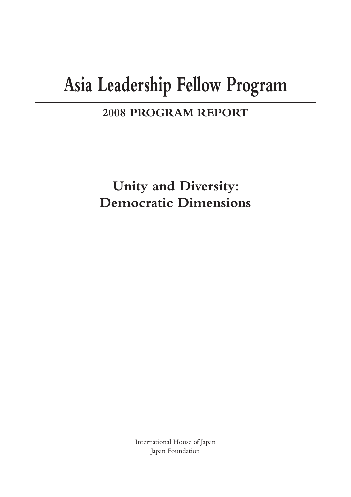# **Asia Leadership Fellow Program**

### **2008 PROGRAM REPORT**

**Unity and Diversity: Democratic Dimensions**

> International House of Japan Japan Foundation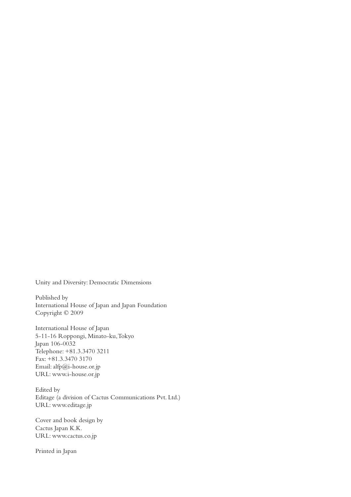Unity and Diversity: Democratic Dimensions

Published by International House of Japan and Japan Foundation Copyright © 2009

International House of Japan 5-11-16 Roppongi, Minato-ku, Tokyo Japan 106-0032 Telephone: +81.3.3470 3211 Fax: +81.3.3470 3170 Email: alfp@i-house.or.jp URL: www.i-house.or.jp

Edited by Editage (a division of Cactus Communications Pvt. Ltd.) URL: www.editage.jp

Cover and book design by Cactus Japan K.K. URL: www.cactus.co.jp

Printed in Japan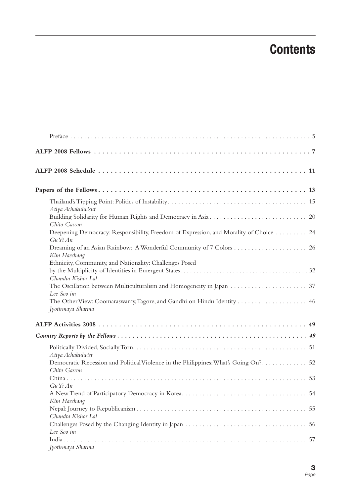# **Contents**

| Atiya Achakulwisut                                                                                  |
|-----------------------------------------------------------------------------------------------------|
| Chito Gascon                                                                                        |
| Deepening Democracy: Responsibility, Freedom of Expression, and Morality of Choice  24<br>GuYiAn    |
| Kim Haechang                                                                                        |
| Ethnicity, Community, and Nationality: Challenges Posed                                             |
| Chandra Kishor Lal                                                                                  |
| Lee Soo im                                                                                          |
| Jyotirmaya Sharma                                                                                   |
|                                                                                                     |
|                                                                                                     |
| Atiya Achakulwist                                                                                   |
| Democratic Recession and Political Violence in the Philippines: What's Going On? 52<br>Chito Gascon |
| GuYiAn                                                                                              |
| Kim Haechang                                                                                        |
| Chandra Kishor Lal                                                                                  |
| Lee Soo im                                                                                          |
| Jyotirmaya Sharma                                                                                   |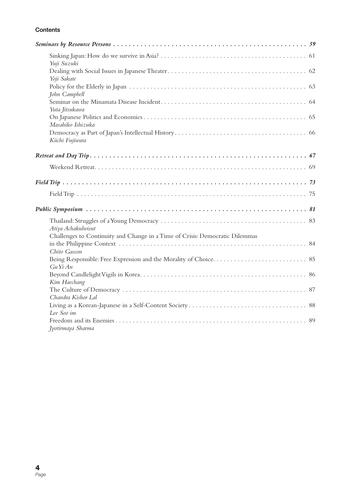#### **Contents**

| Yuji Suzuki                                                                                  |  |
|----------------------------------------------------------------------------------------------|--|
| Yoji Sakate                                                                                  |  |
| John Campbell                                                                                |  |
| Yuta Jitsukawa                                                                               |  |
| Masahiko Ishizuka                                                                            |  |
| Kiichi Fujiwara                                                                              |  |
|                                                                                              |  |
|                                                                                              |  |
|                                                                                              |  |
|                                                                                              |  |
|                                                                                              |  |
| Atiya Achakulwisut                                                                           |  |
| Challenges to Continuity and Change in a Time of Crisis: Democratic Dilemmas<br>Chito Gascon |  |
| GuYiAn                                                                                       |  |
| Kim Haechang                                                                                 |  |
| Chandra Kishor Lal                                                                           |  |
| Lee Soo im                                                                                   |  |
| Jyotirmaya Sharma                                                                            |  |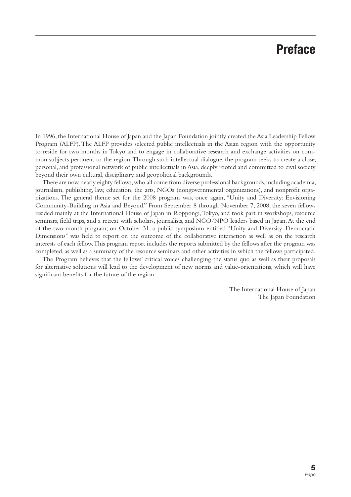## **Preface**

In 1996, the International House of Japan and the Japan Foundation jointly created the Asia Leadership Fellow Program (ALFP). The ALFP provides selected public intellectuals in the Asian region with the opportunity to reside for two months in Tokyo and to engage in collaborative research and exchange activities on common subjects pertinent to the region. Through such intellectual dialogue, the program seeks to create a close, personal, and professional network of public intellectuals in Asia, deeply rooted and committed to civil society beyond their own cultural, disciplinary, and geopolitical backgrounds.

There are now nearly eighty fellows, who all come from diverse professional backgrounds, including academia, journalism, publishing, law, education, the arts, NGOs (nongovernmental organizations), and nonprofi t organizations. The general theme set for the 2008 program was, once again, "Unity and Diversity: Envisioning Community-Building in Asia and Beyond." From September 8 through November 7, 2008, the seven fellows resided mainly at the International House of Japan in Roppongi, Tokyo, and took part in workshops, resource seminars, field trips, and a retreat with scholars, journalists, and NGO/NPO leaders based in Japan. At the end of the two-month program, on October 31, a public symposium entitled "Unity and Diversity: Democratic Dimensions" was held to report on the outcome of the collaborative interaction as well as on the research interests of each fellow. This program report includes the reports submitted by the fellows after the program was completed, as well as a summary of the resource seminars and other activities in which the fellows participated.

The Program believes that the fellows' critical voices challenging the status quo as well as their proposals for alternative solutions will lead to the development of new norms and value-orientations, which will have significant benefits for the future of the region.

> The International House of Japan The Japan Foundation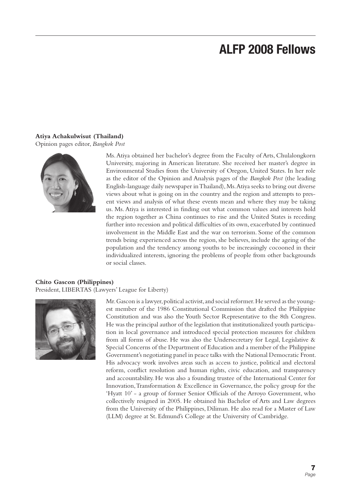# **ALFP 2008 Fellows**

#### **Atiya Achakulwisut (Thailand)**

Opinion pages editor, *Bangkok Post*



Ms. Atiya obtained her bachelor's degree from the Faculty of Arts, Chulalongkorn University, majoring in American literature. She received her master's degree in Environmental Studies from the University of Oregon, United States. In her role as the editor of the Opinion and Analysis pages of the *Bangkok Post* (the leading English-language daily newspaper in Thailand), Ms. Atiya seeks to bring out diverse views about what is going on in the country and the region and attempts to present views and analysis of what these events mean and where they may be taking us. Ms. Atiya is interested in finding out what common values and interests hold the region together as China continues to rise and the United States is receding further into recession and political difficulties of its own, exacerbated by continued involvement in the Middle East and the war on terrorism. Some of the common trends being experienced across the region, she believes, include the ageing of the population and the tendency among youths to be increasingly cocooned in their individualized interests, ignoring the problems of people from other backgrounds or social classes.

#### **Chito Gascon (Philippines)**

President, LIBERTAS (Lawyers' League for Liberty)



Mr. Gascon is a lawyer, political activist, and social reformer. He served as the youngest member of the 1986 Constitutional Commission that drafted the Philippine Constitution and was also the Youth Sector Representative to the 8th Congress. He was the principal author of the legislation that institutionalized youth participation in local governance and introduced special protection measures for children from all forms of abuse. He was also the Undersecretary for Legal, Legislative & Special Concerns of the Department of Education and a member of the Philippine Government's negotiating panel in peace talks with the National Democratic Front. His advocacy work involves areas such as access to justice, political and electoral reform, conflict resolution and human rights, civic education, and transparency and accountability. He was also a founding trustee of the International Center for Innovation, Transformation & Excellence in Governance, the policy group for the 'Hyatt 10' - a group of former Senior Officials of the Arroyo Government, who collectively resigned in 2005. He obtained his Bachelor of Arts and Law degrees from the University of the Philippines, Diliman. He also read for a Master of Law (LLM) degree at St. Edmund's College at the University of Cambridge.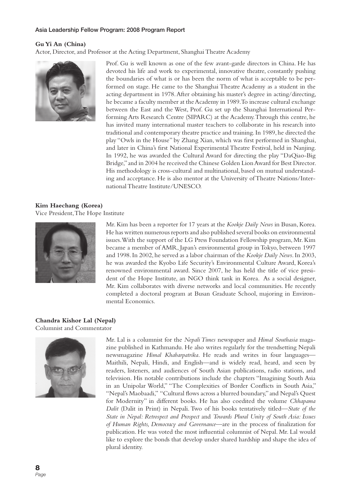#### **Gu Yi An (China)**

Actor, Director, and Professor at the Acting Department, Shanghai Theatre Academy



Prof. Gu is well known as one of the few avant-garde directors in China. He has devoted his life and work to experimental, innovative theatre, constantly pushing the boundaries of what is or has been the norm of what is acceptable to be performed on stage. He came to the Shanghai Theatre Academy as a student in the acting department in 1978. After obtaining his master's degree in acting/directing, he became a faculty member at the Academy in 1989. To increase cultural exchange between the East and the West, Prof. Gu set up the Shanghai International Performing Arts Research Centre (SIPARC) at the Academy. Through this centre, he has invited many international master teachers to collaborate in his research into traditional and contemporary theatre practice and training. In 1989, he directed the play "Owls in the House" by Zhang Xian, which was first performed in Shanghai, and later in China's first National Experimental Theatre Festival, held in Nanjing. In 1992, he was awarded the Cultural Award for directing the play "DaQiao-Big Bridge," and in 2004 he received the Chinese Golden Lion Award for Best Director. His methodology is cross-cultural and multinational, based on mutual understanding and acceptance. He is also mentor at the University of Theatre Nations/International Theatre Institute/UNESCO.

#### **Kim Haechang (Korea)**

Vice President, The Hope Institute



Mr. Kim has been a reporter for 17 years at the *Kookje Daily News* in Busan, Korea. He has written numerous reports and also published several books on environmental issues. With the support of the LG Press Foundation Fellowship program, Mr. Kim became a member of AMR, Japan's environmental group in Tokyo, between 1997 and 1998. In 2002, he served as a labor chairman of the *Kookje Daily News*. In 2003, he was awarded the Kyobo Life Security's Environmental Culture Award, Korea's renowned environmental award. Since 2007, he has held the title of vice president of the Hope Institute, an NGO think tank in Korea. As a social designer, Mr. Kim collaborates with diverse networks and local communities. He recently completed a doctoral program at Busan Graduate School, majoring in Environmental Economics.

#### **Chandra Kishor Lal (Nepal)** Columnist and Commentator



Mr. Lal is a columnist for the *Nepali Times* newspaper and *Himal Southasia* magazine published in Kathmandu. He also writes regularly for the trendsetting Nepali newsmagazine *Himal Khabarpatrika*. He reads and writes in four languages— Maithili, Nepali, Hindi, and English—and is widely read, heard, and seen by readers, listeners, and audiences of South Asian publications, radio stations, and television. His notable contributions include the chapters "Imagining South Asia in an Unipolar World," "The Complexities of Border Conflicts in South Asia," "Nepal's Maobaadi," "Cultural flows across a blurred boundary," and Nepal's Quest for Modernity" in different books. He has also coedited the volume *Chhapama Dalit* (Dalit in Print) in Nepali. Two of his books tentatively titled—*State of the State in Nepal: Retrospect and Prospect* and *Towards Plural Unity of South Asia: Issues*  of Human Rights, Democracy and Governance—are in the process of finalization for publication. He was voted the most influential columnist of Nepal. Mr. Lal would like to explore the bonds that develop under shared hardship and shape the idea of plural identity.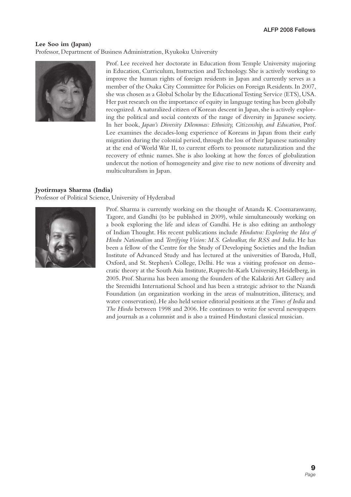#### **Lee Soo im (Japan)**

Professor, Department of Business Administration, Ryukoku University



Prof. Lee received her doctorate in Education from Temple University majoring in Education, Curriculum, Instruction and Technology. She is actively working to improve the human rights of foreign residents in Japan and currently serves as a member of the Osaka City Committee for Policies on Foreign Residents. In 2007, she was chosen as a Global Scholar by the Educational Testing Service (ETS), USA. Her past research on the importance of equity in language testing has been globally recognized. A naturalized citizen of Korean descent in Japan, she is actively exploring the political and social contexts of the range of diversity in Japanese society. In her book, *Japan's Diversity Dilemmas: Ethnicity, Citizenship, and Education*, Prof. Lee examines the decades-long experience of Koreans in Japan from their early migration during the colonial period, through the loss of their Japanese nationality at the end of World War II, to current efforts to promote naturalization and the recovery of ethnic names. She is also looking at how the forces of globalization undercut the notion of homogeneity and give rise to new notions of diversity and multiculturalism in Japan.

#### **Jyotirmaya Sharma (India)**

Professor of Political Science, University of Hyderabad



Prof. Sharma is currently working on the thought of Ananda K. Coomaraswamy, Tagore, and Gandhi (to be published in 2009), while simultaneously working on a book exploring the life and ideas of Gandhi. He is also editing an anthology of Indian Thought. His recent publications include *Hindutva: Exploring the Idea of Hindu Nationalism* and *Terrifying Vision: M.S. Golwalkar, the RSS and India*. He has been a fellow of the Centre for the Study of Developing Societies and the Indian Institute of Advanced Study and has lectured at the universities of Baroda, Hull, Oxford, and St. Stephen's College, Delhi. He was a visiting professor on democratic theory at the South Asia Institute, Ruprecht-Karls University, Heidelberg, in 2005. Prof. Sharma has been among the founders of the Kalakriti Art Gallery and the Sreenidhi International School and has been a strategic advisor to the Naandi Foundation (an organization working in the areas of malnutrition, illiteracy, and water conservation). He also held senior editorial positions at the *Times of India* and *The Hindu* between 1998 and 2006. He continues to write for several newspapers and journals as a columnist and is also a trained Hindustani classical musician.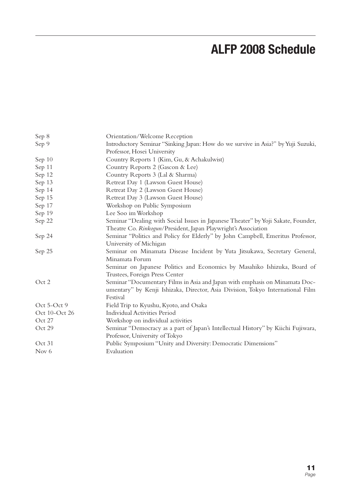# **ALFP 2008 Schedule**

| Sep 8         | Orientation/Welcome Reception                                                     |
|---------------|-----------------------------------------------------------------------------------|
| Sep 9         | Introductory Seminar "Sinking Japan: How do we survive in Asia?" by Yuji Suzuki,  |
|               | Professor, Hosei University                                                       |
| Sep 10        | Country Reports 1 (Kim, Gu, & Achakulwist)                                        |
| Sep 11        | Country Reports 2 (Gascon & Lee)                                                  |
| Sep 12        | Country Reports 3 (Lal & Sharma)                                                  |
| Sep 13        | Retreat Day 1 (Lawson Guest House)                                                |
| Sep 14        | Retreat Day 2 (Lawson Guest House)                                                |
| Sep 15        | Retreat Day 3 (Lawson Guest House)                                                |
| Sep 17        | Workshop on Public Symposium                                                      |
| Sep 19        | Lee Soo im Workshop                                                               |
| Sep 22        | Seminar "Dealing with Social Issues in Japanese Theater" by Yoji Sakate, Founder, |
|               | Theatre Co. Rinkogun/President, Japan Playwright's Association                    |
| Sep 24        | Seminar "Politics and Policy for Elderly" by John Campbell, Emeritus Professor,   |
|               | University of Michigan                                                            |
| Sep 25        | Seminar on Minamata Disease Incident by Yuta Jitsukawa, Secretary General,        |
|               | Minamata Forum                                                                    |
|               | Seminar on Japanese Politics and Economics by Masahiko Ishizuka, Board of         |
|               | Trustees, Foreign Press Center                                                    |
| Oct 2         | Seminar "Documentary Films in Asia and Japan with emphasis on Minamata Doc-       |
|               | umentary" by Kenji Ishizaka, Director, Asia Division, Tokyo International Film    |
|               | Festival                                                                          |
| Oct 5-Oct 9   | Field Trip to Kyushu, Kyoto, and Osaka                                            |
| Oct 10-Oct 26 | <b>Individual Activities Period</b>                                               |
| Oct 27        | Workshop on individual activities                                                 |
| Oct 29        | Seminar "Democracy as a part of Japan's Intellectual History" by Kiichi Fujiwara, |
|               | Professor, University of Tokyo                                                    |
| Oct 31        | Public Symposium "Unity and Diversity: Democratic Dimensions"                     |
| Nov 6         | Evaluation                                                                        |
|               |                                                                                   |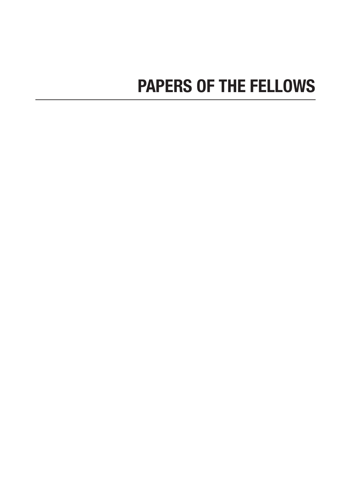# **PAPERS OF THE FELLOWS**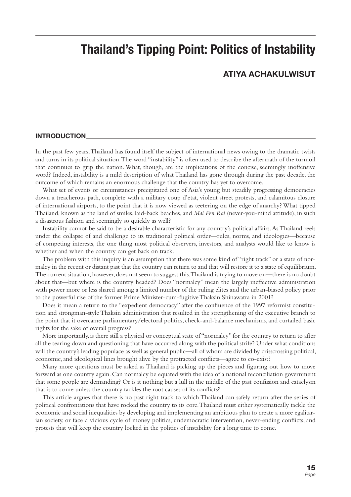### **Thailand's Tipping Point: Politics of Instability**

#### **ATIYA ACHAKULWISUT**

#### **INTRODUCTION**

In the past few years, Thailand has found itself the subject of international news owing to the dramatic twists and turns in its political situation. The word "instability" is often used to describe the aftermath of the turmoil that continues to grip the nation. What, though, are the implications of the concise, seemingly inoffensive word? Indeed, instability is a mild description of what Thailand has gone through during the past decade, the outcome of which remains an enormous challenge that the country has yet to overcome.

What set of events or circumstances precipitated one of Asia's young but steadily progressing democracies down a treacherous path, complete with a military coup d'etat, violent street protests, and calamitous closure of international airports, to the point that it is now viewed as teetering on the edge of anarchy? What tipped Thailand, known as the land of smiles, laid-back beaches, and *Mai Pen Rai* (never-you-mind attitude), in such a disastrous fashion and seemingly so quickly as well?

Instability cannot be said to be a desirable characteristic for any country's political affairs. As Thailand reels under the collapse of and challenge to its traditional political order—rules, norms, and ideologies—because of competing interests, the one thing most political observers, investors, and analysts would like to know is whether and when the country can get back on track.

The problem with this inquiry is an assumption that there was some kind of "right track" or a state of normalcy in the recent or distant past that the country can return to and that will restore it to a state of equilibrium. The current situation, however, does not seem to suggest this. Thailand is trying to move on—there is no doubt about that—but where is the country headed? Does "normalcy" mean the largely ineffective administration with power more or less shared among a limited number of the ruling elites and the urban-biased policy prior to the powerful rise of the former Prime Minister-cum-fugitive Thaksin Shinawatra in 2001?

Does it mean a return to the "expedient democracy" after the confluence of the 1997 reformist constitution and strongman-style Thaksin administration that resulted in the strengthening of the executive branch to the point that it overcame parliamentary/electoral politics, check-and-balance mechanisms, and curtailed basic rights for the sake of overall progress?

More importantly, is there still a physical or conceptual state of "normalcy" for the country to return to after all the tearing down and questioning that have occurred along with the political strife? Under what conditions will the country's leading populace as well as general public—all of whom are divided by crisscrossing political, economic, and ideological lines brought alive by the protracted conflicts—agree to co-exist?

Many more questions must be asked as Thailand is picking up the pieces and figuring out how to move forward as one country again. Can normalcy be equated with the idea of a national reconciliation government that some people are demanding? Or is it nothing but a lull in the middle of the past confusion and cataclysm that is to come unless the country tackles the root causes of its conflicts?

This article argues that there is no past right track to which Thailand can safely return after the series of political confrontations that have rocked the country to its core. Thailand must either systematically tackle the economic and social inequalities by developing and implementing an ambitious plan to create a more egalitarian society, or face a vicious cycle of money politics, undemocratic intervention, never-ending conflicts, and protests that will keep the country locked in the politics of instability for a long time to come.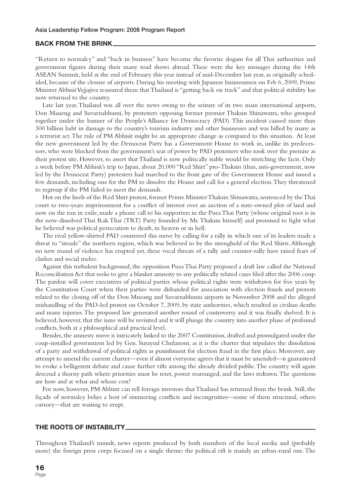#### **BACK FROM THE BRINK**

"Return to normalcy" and "back in business" have become the favorite slogans for all Thai authorities and government figures during their many road shows abroad. These were the key messages during the 14th ASEAN Summit, held at the end of February this year instead of mid-December last year, as originally scheduled, because of the closure of airports. During his meeting with Japanese businessmen on Feb 6, 2009, Prime Minister Abhisit Vejjajiva reassured them that Thailand is "getting back on track" and that political stability has now returned to the country.

Late last year, Thailand was all over the news owing to the seizure of its two main international airports, Don Maueng and Suvarnabhumi, by protesters opposing former premier Thaksin Shinawatra, who grouped together under the banner of the People's Alliance for Democracy (PAD). This incident caused more than 300 billion baht in damage to the country's tourism industry and other businesses and was billed by many as a terrorist act. The rule of PM Abhisit might be an appropriate change as compared to this situation. At least the new government led by the Democrat Party has a Government House to work in, unlike its predecessors, who were blocked from the government's seat of power by PAD protesters who took over the premise as their protest site. However, to assert that Thailand is now politically stable would be stretching the facts. Only a week before PM Abhisit's trip to Japan, about 20,000 "Red Shirt" pro-Thaksin (thus, anti-government, now led by the Democrat Party) protesters had marched to the front gate of the Government House and issued a few demands, including one for the PM to dissolve the House and call for a general election. They threatened to regroup if the PM failed to meet the demands.

Hot on the heels of the Red Shirt protest, former Prime Minister Thaksin Shinawatra, sentenced by the Thai court to two-years imprisonment for a conflict of interest over an auction of a state-owned plot of land and now on the run in exile, made a phone call to his supporters in the Puea Thai Party (whose original root is in the now-dissolved Thai Rak Thai (TRT) Party founded by Mr. Thaksin himself) and promised to fight what he believed was political persecution to death, in heaven or in hell.

The rival yellow-shirted PAD countered this move by calling for a rally in which one of its leaders made a threat to "invade" the northern region, which was believed to be the stronghold of the Red Shirts. Although no new round of violence has erupted yet, these vocal threats of a rally and counter-rally have raised fears of clashes and social melee.

Against this turbulent background, the opposition Puea Thai Party proposed a draft law called the National Reconciliation Act that seeks to give a blanket amnesty to any politically related cases filed after the 2006 coup. The pardon will cover executives of political parties whose political rights were withdrawn for five years by the Constitution Court when their parties were disbanded for association with election frauds and protests related to the closing off of the Don Mueang and Suvarnabhumi airports in November 2008 and the alleged mishandling of the PAD-led protest on October 7, 2009, by state authorities, which resulted in civilian deaths and many injuries. The proposed law generated another round of controversy and it was finally shelved. It is believed, however, that the issue will be revisited and it will plunge the country into another phase of profound conflicts, both at a philosophical and practical level.

Besides, the amnesty move is intricately linked to the 2007 Constitution, drafted and promulgated under the coup-installed government led by Gen. Surayud Chulanont, as it is the charter that stipulates the dissolution of a party and withdrawal of political rights as punishment for election fraud in the first place. Moreover, any attempt to amend the current charter—even if almost everyone agrees that it must be amended—is guaranteed to evoke a belligerent debate and cause further rifts among the already divided public. The country will again descend a thorny path where priorities must be reset, power rearranged, and the laws redrawn. The questions are how and at what and whose cost?

For now, however, PM Abhisit can tell foreign investors that Thailand has returned from the brink. Still, the façade of normalcy belies a host of simmering conflicts and incongruities—some of them structural, others cursory—that are waiting to erupt.

#### **THE ROOTS OF INSTABILITY**

Throughout Thailand's tumult, news reports produced by both members of the local media and (probably more) the foreign press corps focused on a single theme: the political rift is mainly an urban-rural one. The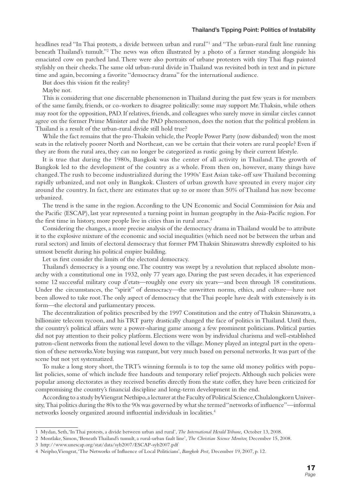#### **Thailand's Tipping Point: Politics of Instability**

headlines read "In Thai protests, a divide between urban and rural"1 and "The urban-rural fault line running beneath Thailand's tumult."2 The news was often illustrated by a photo of a farmer standing alongside his emaciated cow on parched land. There were also portraits of urbane protesters with tiny Thai flags painted stylishly on their cheeks. The same old urban-rural divide in Thailand was revisited both in text and in picture time and again, becoming a favorite "democracy drama" for the international audience.

But does this vision fit the reality?

Maybe not.

This is considering that one discernable phenomenon in Thailand during the past few years is for members of the same family, friends, or co-workers to disagree politically: some may support Mr. Thaksin, while others may root for the opposition, PAD. If relatives, friends, and colleagues who surely move in similar circles cannot agree on the former Prime Minister and the PAD phenomenon, does the notion that the political problem in Thailand is a result of the urban-rural divide still hold true?

While the fact remains that the pro-Thaksin vehicle, the People Power Party (now disbanded) won the most seats in the relatively poorer North and Northeast, can we be certain that their voters are rural people? Even if they are from the rural area, they can no longer be categorized as rustic going by their current lifestyle.

It is true that during the 1980s, Bangkok was the center of all activity in Thailand. The growth of Bangkok led to the development of the country as a whole. From then on, however, many things have changed. The rush to become industrialized during the 1990s' East Asian take-off saw Thailand becoming rapidly urbanized, and not only in Bangkok. Clusters of urban growth have sprouted in every major city around the country. In fact, there are estimates that up to or more than 50% of Thailand has now become urbanized.

The trend is the same in the region. According to the UN Economic and Social Commission for Asia and the Pacific (ESCAP), last year represented a turning point in human geography in the Asia-Pacific region. For the first time in history, more people live in cities than in rural areas.<sup>3</sup>

Considering the changes, a more precise analysis of the democracy drama in Thailand would be to attribute it to the explosive mixture of the economic and social inequalities (which need not be between the urban and rural sectors) and limits of electoral democracy that former PM Thaksin Shinawatra shrewdly exploited to his utmost benefit during his political empire building.

Let us first consider the limits of the electoral democracy.

Thailand's democracy is a young one. The country was swept by a revolution that replaced absolute monarchy with a constitutional one in 1932, only 77 years ago. During the past seven decades, it has experienced some 12 successful military coup d'etats—roughly one every six years—and been through 18 constitutions. Under the circumstances, the "spirit" of democracy—the unwritten norms, ethics, and culture—have not been allowed to take root. The only aspect of democracy that the Thai people have dealt with extensively is its form—the electoral and parliamentary process.

The decentralization of politics prescribed by the 1997 Constitution and the entry of Thaksin Shinawatra, a billionaire telecom tycoon, and his TRT party drastically changed the face of politics in Thailand. Until then, the country's political affairs were a power-sharing game among a few prominent politicians. Political parties did not pay attention to their policy platform. Elections were won by individual charisma and well-established patron-client networks from the national level down to the village. Money played an integral part in the operation of these networks. Vote buying was rampant, but very much based on personal networks. It was part of the scene but not yet systematized.

To make a long story short, the TRT's winning formula is to top the same old money politics with populist policies, some of which include free handouts and temporary relief projects. Although such policies were popular among electorates as they received benefits directly from the state coffer, they have been criticized for compromising the country's financial discipline and long-term development in the end.

According to a study by Viengrat Nethipo, a lecturer at the Faculty of Political Science, Chulalongkorn University, Thai politics during the 80s to the 90s was governed by what she termed "networks of influence"—informal networks loosely organized around influential individuals in localities.<sup>4</sup>

<sup>1</sup> Mydan, Seth, 'In Thai protests, a divide between urban and rural', *The International Herald Tribune,* October 13, 2008.

<sup>2</sup> Montlake, Simon, 'Beneath Thailand's tumult, a rural-urban fault line', *The Christian Science Monitor,* December 15, 2008.

<sup>3</sup> http://www.unescap.org/stat/data/syb2007/ESCAP-syb2007.pdf

<sup>4</sup> Neipho, Viengrat, 'The Networks of Influence of Local Politicians', *Bangkok Post*, December 19, 2007, p. 12.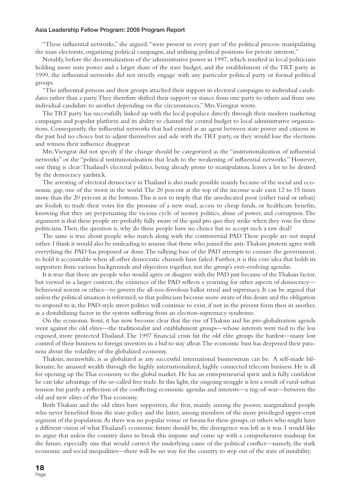"These influential networks," she argued, "were present in every part of the political process: manipulating the mass electorate, organizing political campaigns, and utilising political positions for private interests."

Notably, before the decentralization of the administrative power in 1997, which resulted in local politicians holding more state power and a larger share of the state budget, and the establishment of the TRT party in 1999, the influential networks did not strictly engage with any particular political party or formal political groups.

"The influential persons and their groups attached their support in electoral campaigns to individual candidates rather than a party. They therefore shifted their support or stance from one party to others and from one individual candidate to another depending on the circumstances," Mrs. Viengrat wrote.

The TRT party has successfully linked up with the local populace directly through their modern marketing campaigns and populist platform and its ability to channel the central budget to local administrative organizations. Consequently, the influential networks that had existed as an agent between state power and citizens in the past had no choice but to adjust themselves and side with the TRT party, or they would lose the elections and witness their influence disappear.

Mrs. Viengrat did not specify if the change should be categorized as the "institutionalization of influential networks" or the "political institutionalisation that leads to the weakening of influential networks." However, one thing is clear: Thailand's electoral politics, being already prone to manipulation, leaves a lot to be desired by the democracy yardstick.

The arresting of electoral democracy in Thailand is also made possible mainly because of the social and economic gap, one of the worst in the world. The 20 percent at the top of the income scale earn 12 to 15 times more than the 20 percent at the bottom. This is not to imply that the uneducated poor (either rural or urban) are foolish to trade their votes for the promise of a new road, access to cheap funds, or healthcare benefits, knowing that they are perpetuating the vicious cycle of money politics, abuse of power, and corruption. The argument is that these people are probably fully aware of the quid pro quo they strike when they vote for these politicians. Then, the question is, why do these people have no choice but to accept such a raw deal?

The same is true about people who march along with the controversial PAD. These people are not stupid either. I think it would also be misleading to assume that those who joined the anti-Thaksin protests agree with everything the PAD has proposed or done. The rallying base of the PAD attempts to censure the government, to hold it accountable when all other democratic channels have failed. Further, it is this core idea that holds its supporters from various backgrounds and objectives together, not the group's ever-evolving agendas.

It is true that there are people who would agree or disagree with the PAD just because of the Thaksin factor, but viewed in a larger context, the existence of the PAD reflects a yearning for other aspects of democracy behavioral norms or ethics—to govern the all-too-frivolous ballot ritual and supremacy. It can be argued that unless the political situation is reformed, so that politicians become more aware of this desire and the obligation to respond to it, the PAD-style street politics will continue to exist, if not in the present form then in another, as a destabilizing factor in the system suffering from an election-supremacy syndrome.

On the economic front, it has now become clear that the rise of Thaksin and his pro-globalization agenda went against the old elites—the traditionalist and establishment groups—whose interests were tied to the less exposed, more protected Thailand. The 1997 financial crisis hit the old elite groups the hardest—many lost control of their business to foreign investors in a bid to stay afloat. The economic bust has deepened their paranoia about the volatility of the globalized economy.

Thaksin, meanwhile, is as globalized as any successful international businessman can be. A self-made billionaire, he amassed wealth through the highly internationalized, highly connected telecom business. He is all for opening up the Thai economy to the global market. He has an entrepreneurial spirit and is fully confident he can take advantage of the so-called free trade. In this light, the ongoing struggle is less a result of rural-urban tension but partly a reflection of the conflicting economic agendas and interests—a tug-of-war—between the old and new elites of the Thai economy.

Both Thaksin and the old elites have supporters, the first, mainly among the poorer, marginalized people who never benefited from the state policy and the latter, among members of the more privileged upper-crust segment of the population. As there was no popular venue or forum for these groups, or others who might have a different vision of what Thailand's economic future should be, the divergence was left as it was. I would like to argue that unless the country dares to break this impasse and come up with a comprehensive roadmap for the future, especially one that would correct the underlying cause of the political conflict—namely, the stark economic and social inequalities—there will be no way for the country to step out of the state of instability.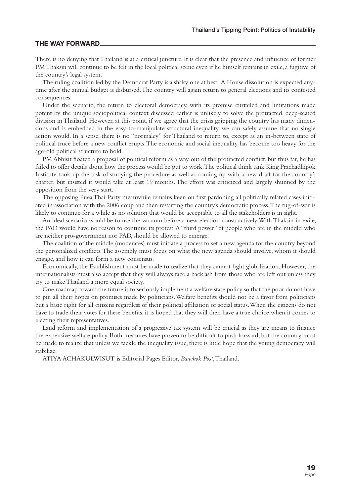#### **THE WAY FORWARD**

There is no denying that Thailand is at a critical juncture. It is clear that the presence and influence of former PM Thaksin will continue to be felt in the local political scene even if he himself remains in exile, a fugitive of the country's legal system.

The ruling coalition led by the Democrat Party is a shaky one at best. A House dissolution is expected anytime after the annual budget is disbursed. The country will again return to general elections and its contested consequences.

Under the scenario, the return to electoral democracy, with its promise curtailed and limitations made potent by the unique sociopolitical context discussed earlier is unlikely to solve the protracted, deep-seated division in Thailand. However, at this point, if we agree that the crisis gripping the country has many dimensions and is embedded in the easy-to-manipulate structural inequality, we can safely assume that no single action would. In a sense, there is no "normalcy" for Thailand to return to, except as an in-between state of political truce before a new conflict erupts. The economic and social inequality has become too heavy for the age-old political structure to hold.

PM Abhisit floated a proposal of political reform as a way out of the protracted conflict, but thus far, he has failed to offer details about how the process would be put to work. The political think tank King Prachadhipok Institute took up the task of studying the procedure as well as coming up with a new draft for the country's charter, but insisted it would take at least 19 months. The effort was criticized and largely shunned by the opposition from the very start.

The opposing Puea Thai Party meanwhile remains keen on first pardoning all politically related cases initiated in association with the 2006 coup and then restarting the country's democratic process. The tug-of-war is likely to continue for a while as no solution that would be acceptable to all the stakeholders is in sight.

An ideal scenario would be to use the vacuum before a new election constructively. With Thaksin in exile, the PAD would have no reason to continue its protest. A "third power" of people who are in the middle, who are neither pro-government nor PAD, should be allowed to emerge.

The coalition of the middle (moderates) must initiate a process to set a new agenda for the country beyond the personalized conflicts. The assembly must focus on what the new agenda should involve, whom it should engage, and how it can form a new consensus.

Economically, the Establishment must be made to realize that they cannot fight globalization. However, the internationalists must also accept that they will always face a backlash from those who are left out unless they try to make Thailand a more equal society.

One roadmap toward the future is to seriously implement a welfare state policy so that the poor do not have to pin all their hopes on promises made by politicians. Welfare benefits should not be a favor from politicians but a basic right for all citizens regardless of their political affiliation or social status. When the citizens do not have to trade their votes for these benefits, it is hoped that they will then have a true choice when it comes to electing their representatives.

Land reform and implementation of a progressive tax system will be crucial as they are means to finance the expensive welfare policy. Both measures have proven to be difficult to push forward, but the country must be made to realize that unless we tackle the inequality issue, there is little hope that the young democracy will stabilize.

ATIYA ACHAKULWISUT is Editorial Pages Editor, *Bangkok Post*, Thailand.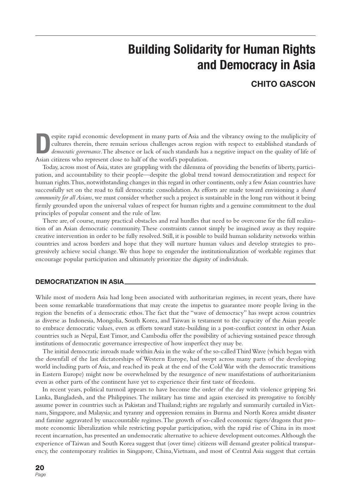# **Building Solidarity for Human Rights and Democracy in Asia**

#### **CHITO GASCON**

espite rapid economic development in many parts of Asia and the vibrancy owing to the muliplicity of cultures therein, there remain serious challenges across region with respect to established standards of *democratic gove* cultures therein, there remain serious challenges across region with respect to established standards of Asian citizens who represent close to half of the world's population.

Today, across most of Asia, states are grappling with the dilemma of providing the benefits of liberty, participation, and accountability to their people—despite the global trend toward democratization and respect for human rights. Thus, notwithstanding changes in this regard in other continents, only a few Asian countries have successfully set on the road to full democratic consolidation. As efforts are made toward envisioning a *shared community for all Asians*, we must consider whether such a project is sustainable in the long run without it being firmly grounded upon the universal values of respect for human rights and a genuine commitment to the dual principles of popular consent and the rule of law.

There are, of course, many practical obstacles and real hurdles that need to be overcome for the full realization of an Asian democratic community. These constraints cannot simply be imagined away as they require creative intervention in order to be fully resolved. Still, it is possible to build human solidarity networks within countries and across borders and hope that they will nurture human values and develop strategies to progressively achieve social change. We thus hope to engender the institutionalization of workable regimes that encourage popular participation and ultimately prioritize the dignity of individuals.

#### **DEMOCRATIZATION IN ASIA**

While most of modern Asia had long been associated with authoritarian regimes, in recent years, there have been some remarkable transformations that may create the impetus to guarantee more people living in the region the benefits of a democratic ethos. The fact that the "wave of democracy" has swept across countries as diverse as Indonesia, Mongolia, South Korea, and Taiwan is testament to the capacity of the Asian people to embrace democratic values, even as efforts toward state-building in a post-conflict context in other Asian countries such as Nepal, East Timor, and Cambodia offer the possibility of achieving sustained peace through institutions of democratic governance irrespective of how imperfect they may be.

The initial democratic inroads made within Asia in the wake of the so-called Third Wave (which began with the downfall of the last dictatorships of Western Europe, had swept across many parts of the developing world including parts of Asia, and reached its peak at the end of the Cold War with the democratic transitions in Eastern Europe) might now be overwhelmed by the resurgence of new manifestations of authoritarianism even as other parts of the continent have yet to experience their first taste of freedom.

In recent years, political turmoil appears to have become the order of the day with violence gripping Sri Lanka, Bangladesh, and the Philippines. The military has time and again exercised its prerogative to forcibly assume power in countries such as Pakistan and Thailand; rights are regularly and summarily curtailed in Vietnam, Singapore, and Malaysia; and tyranny and oppression remains in Burma and North Korea amidst disaster and famine aggravated by unaccountable regimes. The growth of so-called economic tigers/dragons that promote economic liberalization while restricting popular participation, with the rapid rise of China in its most recent incarnation, has presented an undemocratic alternative to achieve development outcomes. Although the experience of Taiwan and South Korea suggest that (over time) citizens will demand greater political transparency, the contemporary realities in Singapore, China, Vietnam, and most of Central Asia suggest that certain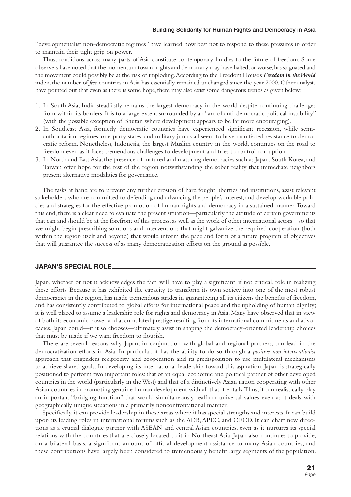"developmentalist non-democratic regimes" have learned how best not to respond to these pressures in order to maintain their tight grip on power.

Thus, conditions across many parts of Asia constitute contemporary hurdles to the future of freedom. Some observers have noted that the momentum toward rights and democracy may have halted, or worse, has stagnated and the movement could possibly be at the risk of imploding. According to the Freedom House's *Freedom in the World* index, the number of *free* countries in Asia has essentially remained unchanged since the year 2000. Other analysts have pointed out that even as there is some hope, there may also exist some dangerous trends as given below:

- 1. In South Asia, India steadfastly remains the largest democracy in the world despite continuing challenges from within its borders. It is to a large extent surrounded by an "arc of anti-democratic political instability" (with the possible exception of Bhutan where development appears to be far more encouraging).
- 2. In Southeast Asia, formerly democratic countries have experienced significant recession, while semiauthoritarian regimes, one-party states, and military juntas all seem to have manifested resistance to democratic reform. Nonetheless, Indonesia, the largest Muslim country in the world, continues on the road to freedom even as it faces tremendous challenges to development and tries to control corruption.
- 3. In North and East Asia, the presence of matured and maturing democracies such as Japan, South Korea, and Taiwan offer hope for the rest of the region notwithstanding the sober reality that immediate neighbors present alternative modalities for governance.

The tasks at hand are to prevent any further erosion of hard fought liberties and institutions, assist relevant stakeholders who are committed to defending and advancing the people's interest, and develop workable policies and strategies for the effective promotion of human rights and democracy in a sustained manner. Toward this end, there is a clear need to evaluate the present situation—particularly the attitude of certain governments that can and should be at the forefront of this process, as well as the work of other international actors—so that we might begin prescribing solutions and interventions that might galvanize the required cooperation (both within the region itself and beyond) that would inform the pace and form of a future program of objectives that will guarantee the success of as many democratization efforts on the ground as possible.

#### **JAPAN'S SPECIAL ROLE**

Japan, whether or not it acknowledges the fact, will have to play a significant, if not critical, role in realizing these efforts. Because it has exhibited the capacity to transform its own society into one of the most robust democracies in the region, has made tremendous strides in guaranteeing all its citizens the benefits of freedom, and has consistently contributed to global efforts for international peace and the upholding of human dignity; it is well placed to assume a leadership role for rights and democracy in Asia. Many have observed that in view of both its economic power and accumulated prestige resulting from its international commitments and advocacies, Japan could—if it so chooses—ultimately assist in shaping the democracy-oriented leadership choices that must be made if we want freedom to flourish.

There are several reasons why Japan, in conjunction with global and regional partners, can lead in the democratization efforts in Asia. In particular, it has the ability to do so through a *positive non-interventionist* approach that engenders reciprocity and cooperation and its predisposition to use multilateral mechanisms to achieve shared goals. In developing its international leadership toward this aspiration, Japan is strategically positioned to perform two important roles: that of an equal economic and political partner of other developed countries in the world (particularly in the West) and that of a distinctively Asian nation cooperating with other Asian countries in promoting genuine human development with all that it entails. Thus, it can realistically play an important "bridging function" that would simultaneously reaffirm universal values even as it deals with geographically unique situations in a primarily nonconfrontational manner.

Specifically, it can provide leadership in those areas where it has special strengths and interests. It can build upon its leading roles in international forums such as the ADB, APEC, and OECD. It can chart new directions as a crucial dialogue partner with ASEAN and central Asian countries, even as it nurtures its special relations with the countries that are closely located to it in Northeast Asia. Japan also continues to provide, on a bilateral basis, a significant amount of official development assistance to many Asian countries, and these contributions have largely been considered to tremendously benefit large segments of the population.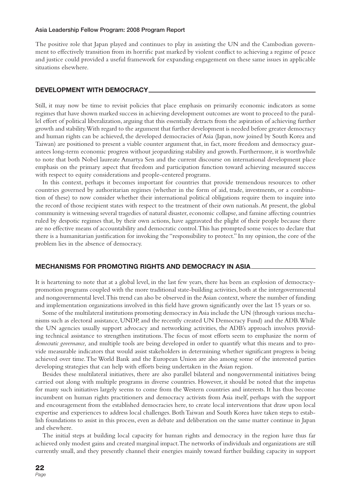The positive role that Japan played and continues to play in assisting the UN and the Cambodian government to effectively transition from its horrific past marked by violent conflict to achieving a regime of peace and justice could provided a useful framework for expanding engagement on these same issues in applicable situations elsewhere.

#### **DEVELOPMENT WITH DEMOCRACY**

Still, it may now be time to revisit policies that place emphasis on primarily economic indicators as some regimes that have shown marked success in achieving development outcomes are wont to proceed to the parallel effort of political liberalization, arguing that this essentially detracts from the aspiration of achieving further growth and stability. With regard to the argument that further development is needed before greater democracy and human rights can be achieved, the developed democracies of Asia (Japan, now joined by South Korea and Taiwan) are positioned to present a viable counter argument that, in fact, more freedom and democracy guarantees long-term economic progress without jeopardizing stability and growth. Furthermore, it is worthwhile to note that both Nobel laureate Amartya Sen and the current discourse on international development place emphasis on the primary aspect that freedom and participation function toward achieving measured success with respect to equity considerations and people-centered programs.

In this context, perhaps it becomes important for countries that provide tremendous resources to other countries governed by authoritarian regimes (whether in the form of aid, trade, investments, or a combination of these) to now consider whether their international political obligations require them to inquire into the record of those recipient states with respect to the treatment of their own nationals. At present, the global community is witnessing several tragedies of natural disaster, economic collapse, and famine affecting countries ruled by despotic regimes that, by their own actions, have aggravated the plight of their people because there are no effective means of accountability and democratic control. This has prompted some voices to declare that there is a humanitarian justification for invoking the "responsibility to protect." In my opinion, the core of the problem lies in the absence of democracy.

#### **MECHANISMS FOR PROMOTING RIGHTS AND DEMOCRACY IN ASIA**

It is heartening to note that at a global level, in the last few years, there has been an explosion of democracypromotion programs coupled with the more traditional state-building activities, both at the intergovernmental and nongovernmental level. This trend can also be observed in the Asian context, where the number of funding and implementation organizations involved in this field have grown significantly over the last 15 years or so.

Some of the multilateral institutions promoting democracy in Asia include the UN (through various mechanisms such as electoral assistance, UNDP, and the recently created UN Democracy Fund) and the ADB. While the UN agencies usually support advocacy and networking activities, the ADB's approach involves providing technical assistance to strengthen institutions. The focus of most efforts seem to emphasize the norm of *democratic governance,* and multiple tools are being developed in order to quantify what this means and to provide measurable indicators that would assist stakeholders in determining whether significant progress is being achieved over time. The World Bank and the European Union are also among some of the interested parties developing strategies that can help with efforts being undertaken in the Asian region.

Besides these multilateral initiatives, there are also parallel bilateral and nongovernmental initiatives being carried out along with multiple programs in diverse countries. However, it should be noted that the impetus for many such initiatives largely seems to come from the Western countries and interests. It has thus become incumbent on human rights practitioners and democracy activists from Asia itself, perhaps with the support and encouragement from the established democracies here, to create local interventions that draw upon local expertise and experiences to address local challenges. Both Taiwan and South Korea have taken steps to establish foundations to assist in this process, even as debate and deliberation on the same matter continue in Japan and elsewhere.

The initial steps at building local capacity for human rights and democracy in the region have thus far achieved only modest gains and created marginal impact. The networks of individuals and organizations are still currently small, and they presently channel their energies mainly toward further building capacity in support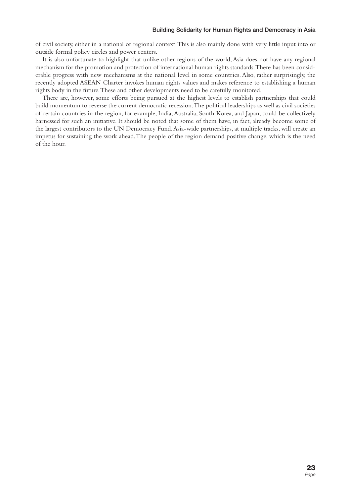of civil society, either in a national or regional context. This is also mainly done with very little input into or outside formal policy circles and power centers.

It is also unfortunate to highlight that unlike other regions of the world, Asia does not have any regional mechanism for the promotion and protection of international human rights standards. There has been considerable progress with new mechanisms at the national level in some countries. Also, rather surprisingly, the recently adopted ASEAN Charter invokes human rights values and makes reference to establishing a human rights body in the future. These and other developments need to be carefully monitored.

There are, however, some efforts being pursued at the highest levels to establish partnerships that could build momentum to reverse the current democratic recession. The political leaderships as well as civil societies of certain countries in the region, for example, India, Australia, South Korea, and Japan, could be collectively harnessed for such an initiative. It should be noted that some of them have, in fact, already become some of the largest contributors to the UN Democracy Fund. Asia-wide partnerships, at multiple tracks, will create an impetus for sustaining the work ahead. The people of the region demand positive change, which is the need of the hour.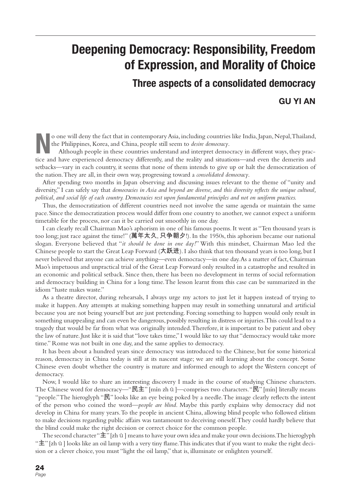## **Deepening Democracy: Responsibility, Freedom of Expression, and Morality of Choice**

**Three aspects of a consolidated democracy GU YI AN**

**N**o one will deny the fact that in contemporary Asia, including countries like India, Japan, Nepal, Thailand, the Philippines, Korea, and China, people still seem to *desire democracy*.

Although people in these countries understand and interpret democracy in different ways, they practice and have experienced democracy differently, and the reality and situations—and even the demerits and setbacks—vary in each country, it seems that none of them intends to give up or halt the democratization of the nation. They are all, in their own way, progressing toward a *consolidated democracy*.

After spending two months in Japan observing and discussing issues relevant to the theme of "unity and diversity," I can safely say that *democracies in Asia and beyond are diverse, and this diversity reflects the unique cultural*, *political, and social life of each country. Democracies rest upon fundamental principles and not on uniform practices.*

Thus, the democratization of different countries need not involve the same agenda or maintain the same pace. Since the democratization process would differ from one country to another, we cannot expect a uniform timetable for the process, nor can it be carried out smoothly in one day.

I can clearly recall Chairman Mao's aphorism in one of his famous poems. It went as "Ten thousand years is too long; just race against the time!" (萬年太久, 只争朝夕!). In the 1950s, this aphorism became our national slogan. Everyone believed that "*it should be done in one day!*" With this mindset, Chairman Mao led the Chinese people to start the Great Leap Forward ( $\uparrow$ 跃进). I also think that ten thousand years is too long, but I never believed that anyone can achieve anything—even democracy—in one day. As a matter of fact, Chairman Mao's impetuous and unpractical trial of the Great Leap Forward only resulted in a catastrophe and resulted in an economic and political setback. Since then, there has been no development in terms of social reformation and democracy building in China for a long time. The lesson learnt from this case can be summarized in the idiom "haste makes waste."

As a theatre director, during rehearsals, I always urge my actors to just let it happen instead of trying to make it happen. Any attempts at making something happen may result in something unnatural and artificial because you are not being yourself but are just pretending. Forcing something to happen would only result in something unappealing and can even be dangerous, possibly resulting in distress or injuries. This could lead to a tragedy that would be far from what was originally intended. Therefore, it is important to be patient and obey the law of nature. Just like it is said that "love takes time," I would like to say that "democracy would take more time." Rome was not built in one day, and the same applies to democracy.

It has been about a hundred years since democracy was introduced to the Chinese, but for some historical reason, democracy in China today is still at its nascent stage; we are still learning about the concept. Some Chinese even doubt whether the country is mature and informed enough to adopt the Western concept of democracy.

Now, I would like to share an interesting discovery I made in the course of studying Chinese characters. The Chinese word for democracy—"民主" [mín zh ŭ ]—comprises two characters. "民" [mín] literally means "people." The hieroglyph " $\mathbb{R}$ " looks like an eye being poked by a needle. The image clearly reflects the intent of the person who coined the word—*people are blind*. Maybe this partly explains why democracy did not develop in China for many years. To the people in ancient China, allowing blind people who followed elitism to make decisions regarding public affairs was tantamount to deceiving oneself. They could hardly believe that the blind could make the right decision or correct choice for the common people.

The second character " $\pm$ " [zh ŭ ] means to have your own idea and make your own decisions. The hieroglyph " $\pm$ " [zh ŭ ] looks like an oil lamp with a very tiny flame. This indicates that if you want to make the right decision or a clever choice, you must "light the oil lamp," that is, illuminate or enlighten yourself.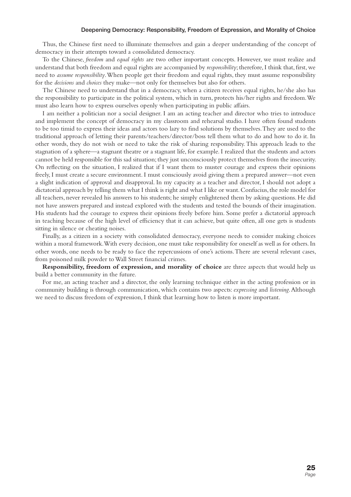#### **Deepening Democracy: Responsibility, Freedom of Expression, and Morality of Choice**

Thus, the Chinese first need to illuminate themselves and gain a deeper understanding of the concept of democracy in their attempts toward a consolidated democracy.

To the Chinese, *freedom* and *equal rights* are two other important concepts. However, we must realize and understand that both freedom and equal rights are accompanied by *responsibility*; therefore, I think that, first, we need to *assume responsibility*. When people get their freedom and equal rights, they must assume responsibility for the *decisions* and *choices* they make—not only for themselves but also for others.

The Chinese need to understand that in a democracy, when a citizen receives equal rights, he/she also has the responsibility to participate in the political system, which in turn, protects his/her rights and freedom. We must also learn how to express ourselves openly when participating in public affairs.

I am neither a politician nor a social designer. I am an acting teacher and director who tries to introduce and implement the concept of democracy in my classroom and rehearsal studio. I have often found students to be too timid to express their ideas and actors too lazy to find solutions by themselves. They are used to the traditional approach of letting their parents/teachers/director/boss tell them what to do and how to do it. In other words, they do not wish or need to take the risk of sharing responsibility. This approach leads to the stagnation of a sphere—a stagnant theatre or a stagnant life, for example. I realized that the students and actors cannot be held responsible for this sad situation; they just unconsciously protect themselves from the insecurity. On refl ecting on the situation, I realized that if I want them to muster courage and express their opinions freely, I must create a secure environment. I must consciously avoid giving them a prepared answer—not even a slight indication of approval and disapproval. In my capacity as a teacher and director, I should not adopt a dictatorial approach by telling them what I think is right and what I like or want. Confucius, the role model for all teachers, never revealed his answers to his students; he simply enlightened them by asking questions. He did not have answers prepared and instead explored with the students and tested the bounds of their imagination. His students had the courage to express their opinions freely before him. Some prefer a dictatorial approach in teaching because of the high level of efficiency that it can achieve, but quite often, all one gets is students sitting in silence or cheating noises.

Finally, as a citizen in a society with consolidated democracy, everyone needs to consider making choices within a moral framework. With every decision, one must take responsibility for oneself as well as for others. In other words, one needs to be ready to face the repercussions of one's actions. There are several relevant cases, from poisoned milk powder to Wall Street financial crimes.

**Responsibility, freedom of expression, and morality of choice** are three aspects that would help us build a better community in the future.

For me, an acting teacher and a director, the only learning technique either in the acting profession or in community building is through communication, which contains two aspects: *expressing* and *listening*. Although we need to discuss freedom of expression, I think that learning how to listen is more important.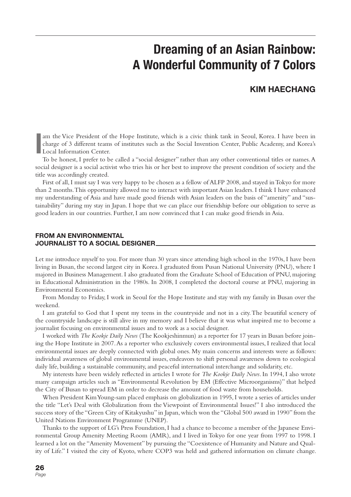# **Dreaming of an Asian Rainbow: A Wonderful Community of 7 Colors**

#### **KIM HAECHANG**

**I** am the Vice President of the Hope Institute, which is a civic think tank in Seoul, Korea. I have been in charge of 3 different teams of institutes such as the Social Invention Center, Public Academy, and Korea's Local Information Center.

To be honest, I prefer to be called a "social designer" rather than any other conventional titles or names. A social designer is a social activist who tries his or her best to improve the present condition of society and the title was accordingly created.

First of all, I must say I was very happy to be chosen as a fellow of ALFP 2008, and stayed in Tokyo for more than 2 months. This opportunity allowed me to interact with important Asian leaders. I think I have enhanced my understanding of Asia and have made good friends with Asian leaders on the basis of "amenity" and "sustainability" during my stay in Japan. I hope that we can place our friendship before our obligation to serve as good leaders in our countries. Further, I am now convinced that I can make good friends in Asia.

#### **FROM AN ENVIRONMENTAL JOURNALIST TO A SOCIAL DESIGNER**

Let me introduce myself to you. For more than 30 years since attending high school in the 1970s, I have been living in Busan, the second largest city in Korea. I graduated from Pusan National University (PNU), where I majored in Business Management. I also graduated from the Graduate School of Education of PNU, majoring in Educational Administration in the 1980s. In 2008, I completed the doctoral course at PNU, majoring in Environmental Economics.

From Monday to Friday, I work in Seoul for the Hope Institute and stay with my family in Busan over the weekend.

I am grateful to God that I spent my teens in the countryside and not in a city. The beautiful scenery of the countryside landscape is still alive in my memory and I believe that it was what inspired me to become a journalist focusing on environmental issues and to work as a social designer.

I worked with *The Kookje Daily News* (The Kookjeshinmun) as a reporter for 17 years in Busan before joining the Hope Institute in 2007. As a reporter who exclusively covers environmental issues, I realized that local environmental issues are deeply connected with global ones. My main concerns and interests were as follows: individual awareness of global environmental issues, endeavors to shift personal awareness down to ecological daily life, building a sustainable community, and peaceful international interchange and solidarity, etc.

My interests have been widely reflected in articles I wrote for *The Kookje Daily News*. In 1994, I also wrote many campaign articles such as "Environmental Revolution by EM (Effective Microorganisms)" that helped the City of Busan to spread EM in order to decrease the amount of food waste from households.

When President Kim Young-sam placed emphasis on globalization in 1995, I wrote a series of articles under the title "Let's Deal with Globalization from the Viewpoint of Environmental Issues!" I also introduced the success story of the "Green City of Kitakyushu" in Japan, which won the "Global 500 award in 1990" from the United Nations Environment Programme (UNEP).

Thanks to the support of LG's Press Foundation, I had a chance to become a member of the Japanese Environmental Group Amenity Meeting Room (AMR), and I lived in Tokyo for one year from 1997 to 1998. I learned a lot on the "Amenity Movement" by pursuing the "Coexistence of Humanity and Nature and Quality of Life." I visited the city of Kyoto, where COP3 was held and gathered information on climate change.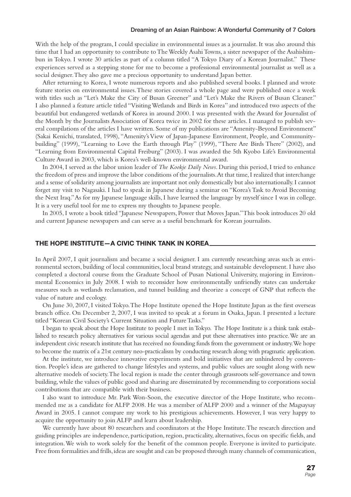#### **Dreaming of an Asian Rainbow: A Wonderful Community of 7 Colors**

With the help of the program, I could specialize in environmental issues as a journalist. It was also around this time that I had an opportunity to contribute to The Weekly Asahi Towns, a sister newspaper of the Asahishimbun in Tokyo. I wrote 30 articles as part of a column titled "A Tokyo Diary of a Korean Journalist." These experiences served as a stepping stone for me to become a professional environmental journalist as well as a social designer. They also gave me a precious opportunity to understand Japan better.

After returning to Korea, I wrote numerous reports and also published several books. I planned and wrote feature stories on environmental issues. These stories covered a whole page and were published once a week with titles such as "Let's Make the City of Busan Greener" and "Let's Make the Rivers of Busan Cleaner." I also planned a feature article titled "Visiting Wetlands and Birds in Korea" and introduced two aspects of the beautiful but endangered wetlands of Korea in around 2000. I was presented with the Award for Journalist of the Month by the Journalists Association of Korea twice in 2002 for these articles. I managed to publish several compilations of the articles I have written. Some of my publications are "Amenity-Beyond Environment" (Sakai Kenichi, translated, 1998), "Amenity's View of Japan-Japanese Environment, People, and Communitybuilding" (1999), "Learning to Love the Earth through Play" (1999), "There Are Birds There" (2002), and "Learning from Environmental Capital Freiburg" (2003). I was awarded the 5th Kyobo Life's Environmental Culture Award in 2003, which is Korea's well-known environmental award.

In 2004, I served as the labor union leader of *The Kookje Daily News*. During this period, I tried to enhance the freedom of press and improve the labor conditions of the journalists. At that time, I realized that interchange and a sense of solidarity among journalists are important not only domestically but also internationally. I cannot forget my visit to Nagasaki. I had to speak in Japanese during a seminar on "Korea's Task to Avoid Becoming the Next Iraq." As for my Japanese language skills, I have learned the language by myself since I was in college. It is a very useful tool for me to express my thoughts to Japanese people.

In 2005, I wrote a book titled "Japanese Newspapers, Power that Moves Japan." This book introduces 20 old and current Japanese newspapers and can serve as a useful benchmark for Korean journalists.

#### **THE HOPE INSTITUTE—A CIVIC THINK TANK IN KOREA**

In April 2007, I quit journalism and became a social designer. I am currently researching areas such as environmental sectors, building of local communities, local brand strategy, and sustainable development. I have also completed a doctoral course from the Graduate School of Pusan National University, majoring in Environmental Economics in July 2008. I wish to reconsider how environmentally unfriendly states can undertake measures such as wetlands reclamation, and tunnel building and theorize a concept of GNP that reflects the value of nature and ecology.

On June 30, 2007, I visited Tokyo. The Hope Institute opened the Hope Institute Japan as the first overseas branch office. On December 2, 2007, I was invited to speak at a forum in Osaka, Japan. I presented a lecture titled "Korean Civil Society's Current Situation and Future Tasks."

I began to speak about the Hope Institute to people I met in Tokyo. The Hope Institute is a think tank established to research policy alternatives for various social agendas and put these alternatives into practice. We are an independent civic research institute that has received no founding funds from the government or industry. We hope to become the matrix of a 21st century neo-practicalism by conducting research along with pragmatic application.

At the institute, we introduce innovative experiments and bold initiatives that are unhindered by convention. People's ideas are gathered to change lifestyles and systems, and public values are sought along with new alternative models of society. The local region is made the center through grassroots self-governance and town building, while the values of public good and sharing are disseminated by recommending to corporations social contributions that are compatible with their business.

I also want to introduce Mr. Park Won-Soon, the executive director of the Hope Institute, who recommended me as a candidate for ALFP 2008. He was a member of ALFP 2000 and a winner of the Magsaysay Award in 2005. I cannot compare my work to his prestigious achievements. However, I was very happy to acquire the opportunity to join ALFP and learn about leadership.

We currently have about 80 researchers and coordinators at the Hope Institute. The research direction and guiding principles are independence, participation, region, practicality, alternatives, focus on specific fields, and integration. We wish to work solely for the benefit of the common people. Everyone is invited to participate. Free from formalities and frills, ideas are sought and can be proposed through many channels of communication,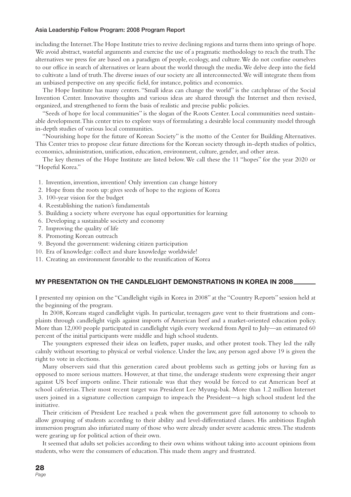including the Internet. The Hope Institute tries to revive declining regions and turns them into springs of hope. We avoid abstract, wasteful arguments and exercise the use of a pragmatic methodology to reach the truth. The alternatives we press for are based on a paradigm of people, ecology, and culture. We do not confine ourselves to our office in search of alternatives or learn about the world through the media. We delve deep into the field to cultivate a land of truth. The diverse issues of our society are all interconnected. We will integrate them from an unbiased perspective on any specific field, for instance, politics and economics.

The Hope Institute has many centers. "Small ideas can change the world" is the catchphrase of the Social Invention Center. Innovative thoughts and various ideas are shared through the Internet and then revised, organized, and strengthened to form the basis of realistic and precise public policies.

"Seeds of hope for local communities" is the slogan of the Roots Center. Local communities need sustainable development. This center tries to explore ways of formulating a desirable local community model through in-depth studies of various local communities.

"Nourishing hope for the future of Korean Society" is the motto of the Center for Building Alternatives. This Center tries to propose clear future directions for the Korean society through in-depth studies of politics, economics, administration, unification, education, environment, culture, gender, and other areas.

The key themes of the Hope Institute are listed below. We call these the 11 "hopes" for the year 2020 or "Hopeful Korea."

- 1. Invention, invention, invention! Only invention can change history
- 2. Hope from the roots up: gives seeds of hope to the regions of Korea
- 3. 100-year vision for the budget
- 4. Reestablishing the nation's fundamentals
- 5. Building a society where everyone has equal opportunities for learning
- 6. Developing a sustainable society and economy
- 7. Improving the quality of life
- 8. Promoting Korean outreach
- 9. Beyond the government: widening citizen participation
- 10. Era of knowledge: collect and share knowledge worldwide!
- 11. Creating an environment favorable to the reunification of Korea

#### **MY PRESENTATION ON THE CANDLELIGHT DEMONSTRATIONS IN KOREA IN 2008**

I presented my opinion on the "Candlelight vigils in Korea in 2008" at the "Country Reports" session held at the beginning of the program.

In 2008, Koreans staged candlelight vigils. In particular, teenagers gave vent to their frustrations and complaints through candlelight vigils against imports of American beef and a market-oriented education policy. More than 12,000 people participated in candlelight vigils every weekend from April to July—an estimated 60 percent of the initial participants were middle and high school students.

The youngsters expressed their ideas on leaflets, paper masks, and other protest tools. They led the rally calmly without resorting to physical or verbal violence. Under the law, any person aged above 19 is given the right to vote in elections.

Many observers said that this generation cared about problems such as getting jobs or having fun as opposed to more serious matters. However, at that time, the underage students were expressing their anger against US beef imports online. Their rationale was that they would be forced to eat American beef at school cafeterias. Their most recent target was President Lee Myung-bak. More than 1.2 million Internet users joined in a signature collection campaign to impeach the President—a high school student led the initiative.

Their criticism of President Lee reached a peak when the government gave full autonomy to schools to allow grouping of students according to their ability and level-differentiated classes. His ambitious English immersion program also infuriated many of those who were already under severe academic stress. The students were gearing up for political action of their own.

It seemed that adults set policies according to their own whims without taking into account opinions from students, who were the consumers of education. This made them angry and frustrated.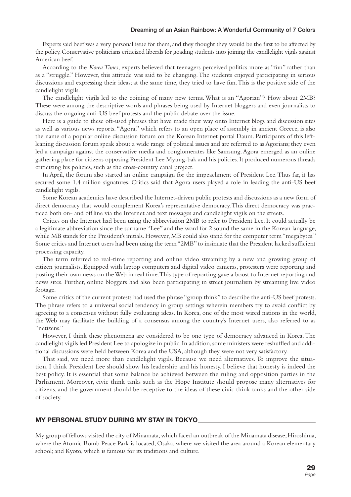Experts said beef was a very personal issue for them, and they thought they would be the first to be affected by the policy. Conservative politicians criticized liberals for goading students into joining the candlelight vigils against American beef.

According to the *Korea Times*, experts believed that teenagers perceived politics more as "fun" rather than as a "struggle." However, this attitude was said to be changing. The students enjoyed participating in serious discussions and expressing their ideas; at the same time, they tried to have fun. This is the positive side of the candlelight vigils.

The candlelight vigils led to the coining of many new terms. What is an "Agorian"? How about 2MB? These were among the descriptive words and phrases being used by Internet bloggers and even journalists to discuss the ongoing anti-US beef protests and the public debate over the issue.

Here is a guide to these oft-used phrases that have made their way onto Internet blogs and discussion sites as well as various news reports. "Agora," which refers to an open place of assembly in ancient Greece, is also the name of a popular online discussion forum on the Korean Internet portal Daum. Participants of this leftleaning discussion forum speak about a wide range of political issues and are referred to as Agorians; they even led a campaign against the conservative media and conglomerates like Samsung. Agora emerged as an online gathering place for citizens opposing President Lee Myung-bak and his policies. It produced numerous threads criticizing his policies, such as the cross-country canal project.

In April, the forum also started an online campaign for the impeachment of President Lee. Thus far, it has secured some 1.4 million signatures. Critics said that Agora users played a role in leading the anti-US beef candlelight vigils.

Some Korean academics have described the Internet-driven public protests and discussions as a new form of direct democracy that would complement Korea's representative democracy. This direct democracy was practiced both on- and off line via the Internet and text messages and candlelight vigils on the streets.

Critics on the Internet had been using the abbreviation 2MB to refer to President Lee. It could actually be a legitimate abbreviation since the surname "Lee" and the word for 2 sound the same in the Korean language, while MB stands for the President's initials. However, MB could also stand for the computer term "megabytes." Some critics and Internet users had been using the term "2MB" to insinuate that the President lacked sufficient processing capacity.

The term referred to real-time reporting and online video streaming by a new and growing group of citizen journalists. Equipped with laptop computers and digital video cameras, protesters were reporting and posting their own news on the Web in real time. This type of reporting gave a boost to Internet reporting and news sites. Further, online bloggers had also been participating in street journalism by streaming live video footage.

Some critics of the current protests had used the phrase "group think" to describe the anti-US beef protests. The phrase refers to a universal social tendency in group settings wherein members try to avoid conflict by agreeing to a consensus without fully evaluating ideas. In Korea, one of the most wired nations in the world, the Web may facilitate the building of a consensus among the country's Internet users, also referred to as "netizens."

However, I think these phenomena are considered to be one type of democracy advanced in Korea. The candlelight vigils led President Lee to apologize in public. In addition, some ministers were reshuffled and additional discussions were held between Korea and the USA, although they were not very satisfactory.

That said, we need more than candlelight vigils. Because we need alternatives. To improve the situation, I think President Lee should show his leadership and his honesty. I believe that honesty is indeed the best policy. It is essential that some balance be achieved between the ruling and opposition parties in the Parliament. Moreover, civic think tanks such as the Hope Institute should propose many alternatives for citizens, and the government should be receptive to the ideas of these civic think tanks and the other side of society.

#### **MY PERSONAL STUDY DURING MY STAY IN TOKYO**

My group of fellows visited the city of Minamata, which faced an outbreak of the Minamata disease; Hiroshima, where the Atomic Bomb Peace Park is located; Osaka, where we visited the area around a Korean elementary school; and Kyoto, which is famous for its traditions and culture.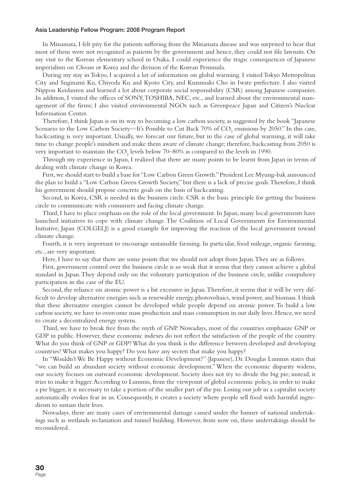In Minamata, I felt pity for the patients suffering from the Minamata disease and was surprised to hear that most of them were not recognized as patients by the government and hence, they could not file lawsuits. On my visit to the Korean elementary school in Osaka, I could experience the tragic consequences of Japanese imperialism on *Chosun* or Korea and the division of the Korean Peninsula.

During my stay in Tokyo, I acquired a lot of information on global warming. I visited Tokyo Metropolitan City and Suginami Ku, Chiyoda Ku and Kyoto City, and Kuzumaki Cho in Iwate prefecture. I also visited Nippon Keidanren and learned a lot about corporate social responsibility (CSR) among Japanese companies. In addition, I visited the offices of SONY, TOSHIBA, NEC, etc., and learned about the environmental management of the firms; I also visited environmental NGOs such as Greenpeace Japan and Citizen's Nuclear Information Center.

Therefore, I think Japan is on its way to becoming a low carbon society, as suggested by the book "Japanese Scenario to the Low Carbon Society—It's Possible to Cut Back 70% of  $CO_2$  emissions by 2050." In this case, backcasting is very important. Usually, we forecast our future, but in the case of global warming, it will take time to change people's mindsets and make them aware of climate change; therefore, backcasting from 2050 is very important to maintain the  $\text{CO}_2$  levels below 70–80% as compared to the levels in 1990.

Through my experience in Japan, I realized that there are many points to be learnt from Japan in terms of dealing with climate change in Korea.

First, we should start to build a base for "Low Carbon Green Growth." President Lee Myung-bak announced the plan to build a "Low Carbon Green Growth Society," but there is a lack of precise goals. Therefore, I think his government should propose concrete goals on the basis of backcasting.

Second, in Korea, CSR is needed in the business circle. CSR is the basic principle for getting the business circle to communicate with consumers and facing climate change.

Third, I have to place emphasis on the role of the local government. In Japan, many local governments have launched initiatives to cope with climate change. The Coalition of Local Governments for Environmental Initiative, Japan (COLGEI,J) is a good example for improving the reaction of the local government toward climate change.

Fourth, it is very important to encourage sustainable farming. In particular, food mileage, organic farming, etc., are very important.

Here, I have to say that there are some points that we should not adopt from Japan. They are as follows.

First, government control over the business circle is so weak that it seems that they cannot achieve a global standard in Japan. They depend only on the voluntary participation of the business circle, unlike compulsory participation in the case of the EU.

Second, the reliance on atomic power is a bit excessive in Japan. Therefore, it seems that it will be very difficult to develop alternative energies such as renewable energy, photovoltaics, wind power, and biomass. I think that these alternative energies cannot be developed while people depend on atomic power. To build a low carbon society, we have to overcome mass production and mass consumption in our daily lives. Hence, we need to create a decentralized energy system.

Third, we have to break free from the myth of GNP. Nowadays, most of the countries emphasize GNP or GDP in public. However, these economic indexes do not reflect the satisfaction of the people of the country. What do you think of GNP or GDP? What do you think is the difference between developed and developing countries? What makes you happy? Do you have any secrets that make you happy?

In "Wouldn't We Be Happy without Economic Development?" (Japanese), Dr. Douglas Lummis states that "we can build an abundant society without economic development." When the economic disparity widens, our society focuses on outward economic development. Society does not try to divide the big pie; instead, it tries to make it bigger. According to Lummis, from the viewpoint of global economic policy, in order to make a pie bigger, it is necessary to take a portion of the smaller part of the pie. Losing our job in a capitalist society automatically evokes fear in us. Consequently, it creates a society where people sell food with harmful ingredients to sustain their lives.

Nowadays, there are many cases of environmental damage caused under the banner of national undertakings such as wetlands reclamation and tunnel building. However, from now on, these undertakings should be reconsidered.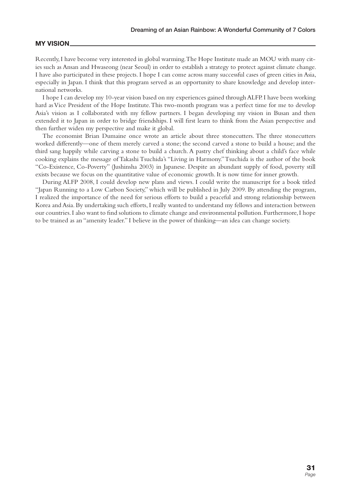#### **MY VISION**

Recently, I have become very interested in global warming. The Hope Institute made an MOU with many cities such as Ansan and Hwaseong (near Seoul) in order to establish a strategy to protect against climate change. I have also participated in these projects. I hope I can come across many successful cases of green cities in Asia, especially in Japan. I think that this program served as an opportunity to share knowledge and develop international networks.

I hope I can develop my 10-year vision based on my experiences gained through ALFP. I have been working hard as Vice President of the Hope Institute. This two-month program was a perfect time for me to develop Asia's vision as I collaborated with my fellow partners. I began developing my vision in Busan and then extended it to Japan in order to bridge friendships. I will first learn to think from the Asian perspective and then further widen my perspective and make it global.

The economist Brian Dumaine once wrote an article about three stonecutters. The three stonecutters worked differently—one of them merely carved a stone; the second carved a stone to build a house; and the third sang happily while carving a stone to build a church. A pastry chef thinking about a child's face while cooking explains the message of Takashi Tsuchida's "Living in Harmony." Tsuchida is the author of the book "Co-Existence, Co-Poverty" (Jushinsha 2003) in Japanese. Despite an abundant supply of food, poverty still exists because we focus on the quantitative value of economic growth. It is now time for inner growth.

During ALFP 2008, I could develop new plans and views. I could write the manuscript for a book titled "Japan Running to a Low Carbon Society," which will be published in July 2009. By attending the program, I realized the importance of the need for serious efforts to build a peaceful and strong relationship between Korea and Asia. By undertaking such efforts, I really wanted to understand my fellows and interaction between our countries. I also want to find solutions to climate change and environmental pollution. Furthermore, I hope to be trained as an "amenity leader." I believe in the power of thinking—an idea can change society.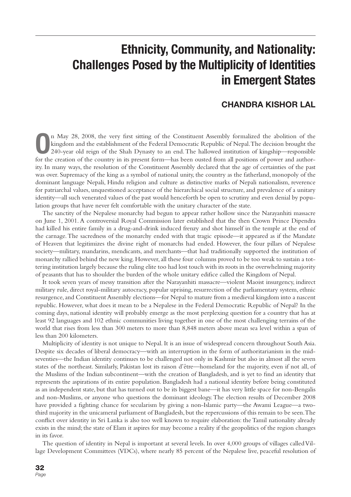## **Ethnicity, Community, and Nationality: Challenges Posed by the Multiplicity of Identities in Emergent States**

#### **CHANDRA KISHOR LAL**

**O**n May 28, 2008, the very first sitting of the Constituent Assembly formalized the abolition of the kingdom and the establishment of the Federal Democratic Republic of Nepal. The decision brought the 240-year old reign o kingdom and the establishment of the Federal Democratic Republic of Nepal. The decision brought the for the creation of the country in its present form—has been ousted from all positions of power and authority. In many ways, the resolution of the Constituent Assembly declared that the age of certainties of the past was over. Supremacy of the king as a symbol of national unity, the country as the fatherland, monopoly of the dominant language Nepali, Hindu religion and culture as distinctive marks of Nepali nationalism, reverence for patriarchal values, unquestioned acceptance of the hierarchical social structure, and prevalence of a unitary identity—all such venerated values of the past would henceforth be open to scrutiny and even denial by population groups that have never felt comfortable with the unitary character of the state.

The sanctity of the Nepalese monarchy had begun to appear rather hollow since the Narayanhiti massacre on June 1, 2001. A controversial Royal Commission later established that the then Crown Prince Dipendra had killed his entire family in a drug-and-drink induced frenzy and shot himself in the temple at the end of the carnage. The sacredness of the monarchy ended with that tragic episode—it appeared as if the Mandate of Heaven that legitimizes the divine right of monarchs had ended. However, the four pillars of Nepalese society—military, mandarins, mendicants, and merchants—that had traditionally supported the institution of monarchy rallied behind the new king. However, all these four columns proved to be too weak to sustain a tottering institution largely because the ruling elite too had lost touch with its roots in the overwhelming majority of peasants that has to shoulder the burden of the whole unitary edifice called the Kingdom of Nepal.

It took seven years of messy transition after the Narayanhiti massacre—violent Maoist insurgency, indirect military rule, direct royal-military autocracy, popular uprising, resurrection of the parliamentary system, ethnic resurgence, and Constituent Assembly elections—for Nepal to mature from a medieval kingdom into a nascent republic. However, what does it mean to be a Nepalese in the Federal Democratic Republic of Nepal? In the coming days, national identity will probably emerge as the most perplexing question for a country that has at least 92 languages and 102 ethnic communities living together in one of the most challenging terrains of the world that rises from less than 300 meters to more than 8,848 meters above mean sea level within a span of less than 200 kilometers.

Multiplicity of identity is not unique to Nepal. It is an issue of widespread concern throughout South Asia. Despite six decades of liberal democracy—with an interruption in the form of authoritarianism in the midseventies—the Indian identity continues to be challenged not only in Kashmir but also in almost all the seven states of the northeast. Similarly, Pakistan lost its raison d'être—homeland for the majority, even if not all, of the Muslims of the Indian subcontinent—with the creation of Bangladesh, and is yet to find an identity that represents the aspirations of its entire population. Bangladesh had a national identity before being constituted as an independent state, but that has turned out to be its biggest bane—it has very little space for non-Bengalis and non-Muslims, or anyone who questions the dominant ideology. The election results of December 2008 have provided a fighting chance for secularism by giving a non-Islamic party—the Awami League—a twothird majority in the unicameral parliament of Bangladesh, but the repercussions of this remain to be seen. The conflict over identity in Sri Lanka is also too well known to require elaboration: the Tamil nationality already exists in the mind; the state of Elam it aspires for may become a reality if the geopolitics of the region changes in its favor.

The question of identity in Nepal is important at several levels. In over 4,000 groups of villages called Village Development Committees (VDCs), where nearly 85 percent of the Nepalese live, peaceful resolution of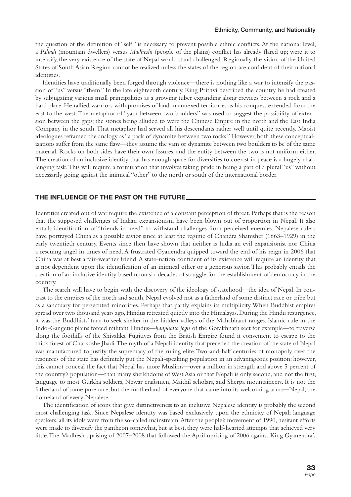the question of the definition of "self" is necessary to prevent possible ethnic conflicts. At the national level, a *Pahadi* (mountain dwellers) versus *Madheshi* (people of the plains) conflict has already flared up; were it to intensify, the very existence of the state of Nepal would stand challenged. Regionally, the vision of the United States of South Asian Region cannot be realized unless the states of the region are confident of their national identities.

Identities have traditionally been forged through violence—there is nothing like a war to intensify the passion of "us" versus "them." In the late eighteenth century, King Prithvi described the country he had created by subjugating various small principalities as a growing tuber expanding along crevices between a rock and a hard place. He rallied warriors with promises of land in annexed territories as his conquest extended from the east to the west. The metaphor of "yam between two boulders" was used to suggest the possibility of extension between the gaps; the stones being alluded to were the Chinese Empire in the north and the East India Company in the south. That metaphor had served all his descendants rather well until quite recently. Maoist ideologues reframed the analogy as "a pack of dynamite between two rocks." However, both these conceptualizations suffer from the same flaw—they assume the yam or dynamite between two boulders to be of the same material. Rocks on both sides have their own fissures, and the entity between the two is not uniform either. The creation of an inclusive identity that has enough space for diversities to coexist in peace is a hugely challenging task. This will require a formulation that involves taking pride in being a part of a plural "us" without necessarily going against the inimical "other" to the north or south of the international border.

#### **THE INFLUENCE OF THE PAST ON THE FUTURE**

Identities created out of war require the existence of a constant perception of threat. Perhaps that is the reason that the supposed challenges of Indian expansionism have been blown out of proportion in Nepal. It also entails identification of "friends in need" to withstand challenges from perceived enemies. Nepalese rulers have portrayed China as a possible savior since at least the regime of Chandra Shamsher (1863–1929) in the early twentieth century. Events since then have shown that neither is India an evil expansionist nor China a rescuing angel in times of need. A frustrated Gyanendra quipped toward the end of his reign in 2006 that China was at best a fair-weather friend. A state-nation confident of its existence will require an identity that is not dependent upon the identification of an inimical other or a generous savior. This probably entails the creation of an inclusive identity based upon six decades of struggle for the establishment of democracy in the country.

The search will have to begin with the discovery of the ideology of statehood—the idea of Nepal. In contrast to the empires of the north and south, Nepal evolved not as a fatherland of some distinct race or tribe but as a sanctuary for persecuted minorities. Perhaps that partly explains its multiplicity. When Buddhist empires spread over two thousand years ago, Hindus retreated quietly into the Himalayas. During the Hindu resurgence, it was the Buddhists' turn to seek shelter in the hidden valleys of the Mahabharat ranges. Islamic rule in the Indo-Gangetic plains forced militant Hindus—*kanphatta jogis* of the Gorakhnath sect for example—to traverse along the foothills of the Shivaliks. Fugitives from the British Empire found it convenient to escape to the thick forest of Charkoshe Jhadi. The myth of a Nepali identity that preceded the creation of the state of Nepal was manufactured to justify the supremacy of the ruling elite. Two-and-half centuries of monopoly over the resources of the state has definitely put the Nepali-speaking population in an advantageous position; however, this cannot conceal the fact that Nepal has more Muslims—over a million in strength and above 5 percent of the country's population—than many sheikhdoms of West Asia or that Nepali is only second, and not the first, language to most Gurkha soldiers, Newar craftsmen, Maithil scholars, and Sherpa mountaineers. It is not the fatherland of some pure race, but the motherland of everyone that came into its welcoming arms—Nepal, the homeland of every Nepalese.

The identification of icons that give distinctiveness to an inclusive Nepalese identity is probably the second most challenging task. Since Nepalese identity was based exclusively upon the ethnicity of Nepali language speakers, all its idols were from the so-called mainstream. After the people's movement of 1990, hesitant efforts were made to diversify the pantheon somewhat, but at best, they were half-hearted attempts that achieved very little. The Madhesh uprising of 2007–2008 that followed the April uprising of 2006 against King Gyanendra's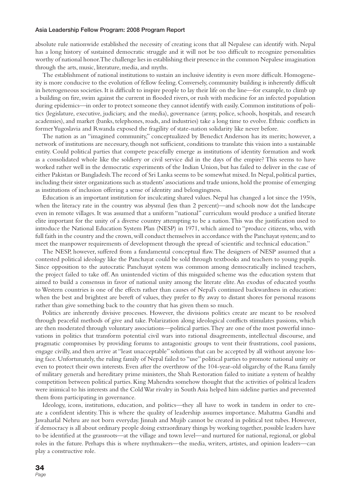absolute rule nationwide established the necessity of creating icons that all Nepalese can identify with. Nepal has a long history of sustained democratic struggle and it will not be too difficult to recognize personalities worthy of national honor. The challenge lies in establishing their presence in the common Nepalese imagination through the arts, music, literature, media, and myths.

The establishment of national institutions to sustain an inclusive identity is even more difficult. Homogeneity is more conducive to the evolution of fellow feeling. Conversely, community building is inherently difficult in heterogeneous societies. It is difficult to inspire people to lay their life on the line—for example, to climb up a building on fire, swim against the current in flooded rivers, or rush with medicine for an infected population during epidemics—in order to protect someone they cannot identify with easily. Common institutions of politics (legislature, executive, judiciary, and the media), governance (army, police, schools, hospitals, and research academies), and market (banks, telephones, roads, and industries) take a long time to evolve. Ethnic conflicts in former Yugoslavia and Rwanda exposed the fragility of state-nation solidarity like never before.

The nation as an "imagined community," conceptualized by Benedict Anderson has its merits; however, a network of institutions are necessary, though not sufficient, conditions to translate this vision into a sustainable entity. Could political parties that compete peacefully emerge as institutions of identity formation and work as a consolidated whole like the soldiery or civil service did in the days of the empire? This seems to have worked rather well in the democratic experiments of the Indian Union, but has failed to deliver in the case of either Pakistan or Bangladesh. The record of Sri Lanka seems to be somewhat mixed. In Nepal, political parties, including their sister organizations such as students' associations and trade unions, hold the promise of emerging as institutions of inclusion offering a sense of identity and belongingness.

Education is an important institution for inculcating shared values. Nepal has changed a lot since the 1950s, when the literacy rate in the country was abysmal (less than 2 percent)—and schools now dot the landscape even in remote villages. It was assumed that a uniform "national" curriculum would produce a unified literate elite important for the unity of a diverse country attempting to be a nation. This was the justification used to introduce the National Education System Plan (NESP) in 1971, which aimed to "produce citizens, who, with full faith in the country and the crown, will conduct themselves in accordance with the Panchayat system; and to meet the manpower requirements of development through the spread of scientific and technical education."

The NESP, however, suffered from a fundamental conceptual flaw. The designers of NESP assumed that a contested political ideology like the Panchayat could be sold through textbooks and teachers to young pupils. Since opposition to the autocratic Panchayat system was common among democratically inclined teachers, the project failed to take off. An unintended victim of this misguided scheme was the education system that aimed to build a consensus in favor of national unity among the literate elite. An exodus of educated youths to Western countries is one of the effects rather than causes of Nepal's continued backwardness in education: when the best and brightest are bereft of values, they prefer to fly away to distant shores for personal reasons rather than give something back to the country that has given them so much.

Politics are inherently divisive processes. However, the divisions politics create are meant to be resolved through peaceful methods of give and take. Polarization along ideological conflicts stimulates passions, which are then moderated through voluntary associations—political parties. They are one of the most powerful innovations in politics that transform potential civil wars into rational disagreements, intellectual discourse, and pragmatic compromises by providing forums to antagonistic groups to vent their frustrations, cool passions, engage civilly, and then arrive at "least unacceptable" solutions that can be accepted by all without anyone losing face. Unfortunately, the ruling family of Nepal failed to "use" political parties to promote national unity or even to protect their own interests. Even after the overthrow of the 104-year-old oligarchy of the Rana family of military generals and hereditary prime ministers, the Shah Restoration failed to initiate a system of healthy competition between political parties. King Mahendra somehow thought that the activities of political leaders were inimical to his interests and the Cold War rivalry in South Asia helped him sideline parties and prevented them from participating in governance.

Ideology, icons, institutions, education, and politics—they all have to work in tandem in order to create a confident identity. This is where the quality of leadership assumes importance. Mahatma Gandhi and Jawaharlal Nehru are not born everyday. Jinnah and Mujib cannot be created in political test tubes. However, if democracy is all about ordinary people doing extraordinary things by working together, possible leaders have to be identified at the grassroots—at the village and town level—and nurtured for national, regional, or global roles in the future. Perhaps this is where mythmakers—the media, writers, artistes, and opinion leaders—can play a constructive role.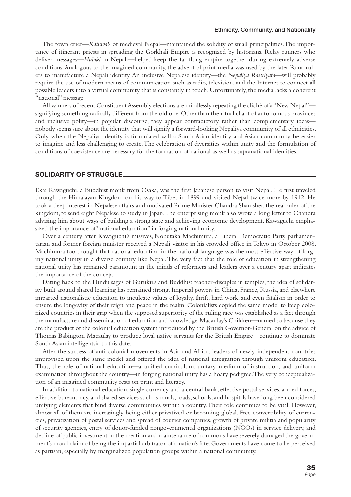The town crier—*Katuwals* of medieval Nepal—maintained the solidity of small principalities. The importance of itinerant priests in spreading the Gorkhali Empire is recognized by historians. Relay runners who deliver messages—*Hulaki* in Nepali—helped keep the far-flung empire together during extremely adverse conditions. Analogous to the imagined community, the advent of print media was used by the later Rana rulers to manufacture a Nepali identity. An inclusive Nepalese identity—the *Nepaliya Rastriyata*—will probably require the use of modern means of communication such as radio, television, and the Internet to connect all possible leaders into a virtual community that is constantly in touch. Unfortunately, the media lacks a coherent "national" message.

All winners of recent Constituent Assembly elections are mindlessly repeating the cliché of a "New Nepal" signifying something radically different from the old one. Other than the ritual chant of autonomous provinces and inclusive polity—in popular discourse, they appear contradictory rather than complementary ideas nobody seems sure about the identity that will signify a forward-looking Nepaliya community of all ethnicities. Only when the Nepaliya identity is formulated will a South Asian identity and Asian community be easier to imagine and less challenging to create. The celebration of diversities within unity and the formulation of conditions of coexistence are necessary for the formation of national as well as supranational identities.

#### **SOLIDARITY OF STRUGGLE**

Ekai Kawaguchi, a Buddhist monk from Osaka, was the first Japanese person to visit Nepal. He first traveled through the Himalayan Kingdom on his way to Tibet in 1899 and visited Nepal twice more by 1912. He took a deep interest in Nepalese affairs and motivated Prime Minister Chandra Shamsher, the real ruler of the kingdom, to send eight Nepalese to study in Japan. The enterprising monk also wrote a long letter to Chandra advising him about ways of building a strong state and achieving economic development. Kawaguchi emphasized the importance of "national education" in forging national unity.

Over a century after Kawaguchi's missives, Nobutaka Machimura, a Liberal Democratic Party parliamentarian and former foreign minister received a Nepali visitor in his crowded office in Tokyo in October 2008. Machimura too thought that national education in the national language was the most effective way of forging national unity in a diverse country like Nepal. The very fact that the role of education in strengthening national unity has remained paramount in the minds of reformers and leaders over a century apart indicates the importance of the concept.

Dating back to the Hindu sages of Gurukuls and Buddhist teacher-disciples in temples, the idea of solidarity built around shared learning has remained strong. Imperial powers in China, France, Russia, and elsewhere imparted nationalistic education to inculcate values of loyalty, thrift, hard work, and even fatalism in order to ensure the longevity of their reign and peace in the realm. Colonialists copied the same model to keep colonized countries in their grip when the supposed superiority of the ruling race was established as a fact through the manufacture and dissemination of education and knowledge. Macaulay's Children—named so because they are the product of the colonial education system introduced by the British Governor-General on the advice of Thomas Babington Macaulay to produce loyal native servants for the British Empire—continue to dominate South Asian intelligentsia to this date.

After the success of anti-colonial movements in Asia and Africa, leaders of newly independent countries improvised upon the same model and offered the idea of national integration through uniform education. Thus, the role of national education—a unified curriculum, unitary medium of instruction, and uniform examination throughout the country—in forging national unity has a hoary pedigree. The very conceptualization of an imagined community rests on print and literacy.

In addition to national education, single currency and a central bank, effective postal services, armed forces, effective bureaucracy, and shared services such as canals, roads, schools, and hospitals have long been considered unifying elements that bind diverse communities within a country. Their role continues to be vital. However, almost all of them are increasingly being either privatized or becoming global. Free convertibility of currencies, privatization of postal services and spread of courier companies, growth of private militia and popularity of security agencies, entry of donor-funded nongovernmental organizations (NGOs) in service delivery, and decline of public investment in the creation and maintenance of commons have severely damaged the government's moral claim of being the impartial arbitrator of a nation's fate. Governments have come to be perceived as partisan, especially by marginalized population groups within a national community.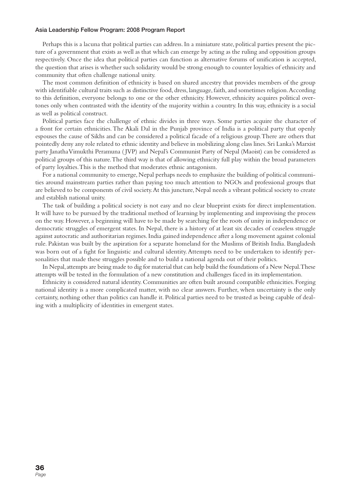Perhaps this is a lacuna that political parties can address. In a miniature state, political parties present the picture of a government that exists as well as that which can emerge by acting as the ruling and opposition groups respectively. Once the idea that political parties can function as alternative forums of unification is accepted, the question that arises is whether such solidarity would be strong enough to counter loyalties of ethnicity and community that often challenge national unity.

The most common definition of ethnicity is based on shared ancestry that provides members of the group with identifiable cultural traits such as distinctive food, dress, language, faith, and sometimes religion. According to this definition, everyone belongs to one or the other ethnicity. However, ethnicity acquires political overtones only when contrasted with the identity of the majority within a country. In this way, ethnicity is a social as well as political construct.

Political parties face the challenge of ethnic divides in three ways. Some parties acquire the character of a front for certain ethnicities. The Akali Dal in the Punjab province of India is a political party that openly espouses the cause of Sikhs and can be considered a political facade of a religious group. There are others that pointedly deny any role related to ethnic identity and believe in mobilizing along class lines. Sri Lanka's Marxist party Janatha Vimukthi Peramuna ( JVP) and Nepal's Communist Party of Nepal (Maoist) can be considered as political groups of this nature. The third way is that of allowing ethnicity full play within the broad parameters of party loyalties. This is the method that moderates ethnic antagonism.

For a national community to emerge, Nepal perhaps needs to emphasize the building of political communities around mainstream parties rather than paying too much attention to NGOs and professional groups that are believed to be components of civil society. At this juncture, Nepal needs a vibrant political society to create and establish national unity.

The task of building a political society is not easy and no clear blueprint exists for direct implementation. It will have to be pursued by the traditional method of learning by implementing and improvising the process on the way. However, a beginning will have to be made by searching for the roots of unity in independence or democratic struggles of emergent states. In Nepal, there is a history of at least six decades of ceaseless struggle against autocratic and authoritarian regimes. India gained independence after a long movement against colonial rule. Pakistan was built by the aspiration for a separate homeland for the Muslims of British India. Bangladesh was born out of a fight for linguistic and cultural identity. Attempts need to be undertaken to identify personalities that made these struggles possible and to build a national agenda out of their politics.

In Nepal, attempts are being made to dig for material that can help build the foundations of a New Nepal. These attempts will be tested in the formulation of a new constitution and challenges faced in its implementation.

Ethnicity is considered natural identity. Communities are often built around compatible ethnicities. Forging national identity is a more complicated matter, with no clear answers. Further, when uncertainty is the only certainty, nothing other than politics can handle it. Political parties need to be trusted as being capable of dealing with a multiplicity of identities in emergent states.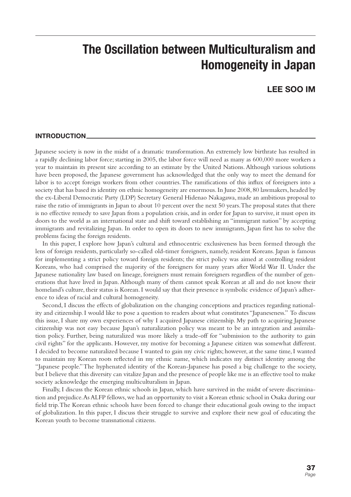# **The Oscillation between Multiculturalism and Homogeneity in Japan**

### **LEE SOO IM**

#### **INTRODUCTION**

Japanese society is now in the midst of a dramatic transformation. An extremely low birthrate has resulted in a rapidly declining labor force; starting in 2005, the labor force will need as many as 600,000 more workers a year to maintain its present size according to an estimate by the United Nations. Although various solutions have been proposed, the Japanese government has acknowledged that the only way to meet the demand for labor is to accept foreign workers from other countries. The ramifications of this influx of foreigners into a society that has based its identity on ethnic homogeneity are enormous. In June 2008, 80 lawmakers, headed by the ex-Liberal Democratic Party (LDP) Secretary General Hidenao Nakagawa, made an ambitious proposal to raise the ratio of immigrants in Japan to about 10 percent over the next 50 years. The proposal states that there is no effective remedy to save Japan from a population crisis, and in order for Japan to survive, it must open its doors to the world as an international state and shift toward establishing an "immigrant nation" by accepting immigrants and revitalizing Japan. In order to open its doors to new immigrants, Japan first has to solve the problems facing the foreign residents.

In this paper, I explore how Japan's cultural and ethnocentric exclusiveness has been formed through the lens of foreign residents, particularly so-called old-timer foreigners, namely, resident Koreans. Japan is famous for implementing a strict policy toward foreign residents; the strict policy was aimed at controlling resident Koreans, who had comprised the majority of the foreigners for many years after World War II. Under the Japanese nationality law based on lineage, foreigners must remain foreigners regardless of the number of generations that have lived in Japan. Although many of them cannot speak Korean at all and do not know their homeland's culture, their status is Korean. I would say that their presence is symbolic evidence of Japan's adherence to ideas of racial and cultural homogeneity.

Second, I discuss the effects of globalization on the changing conceptions and practices regarding nationality and citizenship. I would like to pose a question to readers about what constitutes "Japaneseness." To discuss this issue, I share my own experiences of why I acquired Japanese citizenship. My path to acquiring Japanese citizenship was not easy because Japan's naturalization policy was meant to be an integration and assimilation policy. Further, being naturalized was more likely a trade-off for "submission to the authority to gain civil rights" for the applicants. However, my motive for becoming a Japanese citizen was somewhat different. I decided to become naturalized because I wanted to gain my civic rights; however, at the same time, I wanted to maintain my Korean roots reflected in my ethnic name, which indicates my distinct identity among the "Japanese people." The hyphenated identity of the Korean-Japanese has posed a big challenge to the society, but I believe that this diversity can vitalize Japan and the presence of people like me is an effective tool to make society acknowledge the emerging multiculturalism in Japan.

Finally, I discuss the Korean ethnic schools in Japan, which have survived in the midst of severe discrimination and prejudice. As ALFP fellows, we had an opportunity to visit a Korean ethnic school in Osaka during our field trip. The Korean ethnic schools have been forced to change their educational goals owing to the impact of globalization. In this paper, I discuss their struggle to survive and explore their new goal of educating the Korean youth to become transnational citizens.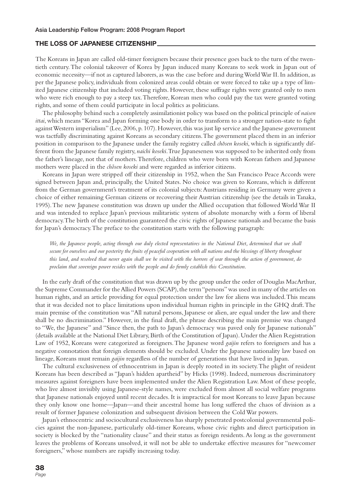#### **THE LOSS OF JAPANESE CITIZENSHIP**

The Koreans in Japan are called old-timer foreigners because their presence goes back to the turn of the twentieth century. The colonial takeover of Korea by Japan induced many Koreans to seek work in Japan out of economic necessity—if not as captured laborers, as was the case before and during World War II. In addition, as per the Japanese policy, individuals from colonized areas could obtain or were forced to take up a type of limited Japanese citizenship that included voting rights. However, these suffrage rights were granted only to men who were rich enough to pay a steep tax. Therefore, Korean men who could pay the tax were granted voting rights, and some of them could participate in local politics as politicians.

The philosophy behind such a completely assimilationist policy was based on the political principle of *naisen ittai*, which means "Korea and Japan forming one body in order to transform to a stronger nation-state to fight against Western imperialism" (Lee, 2006, p. 107). However, this was just lip service and the Japanese government was tactfully discriminating against Koreans as secondary citizens. The government placed them in an inferior position in comparison to the Japanese under the family registry called *chosen koseki*, which is significantly different from the Japanese family registry, *naichi koseki*. True Japaneseness was supposed to be inherited only from the father's lineage, not that of mothers. Therefore, children who were born with Korean fathers and Japanese mothers were placed in the *chosen koseki* and were regarded as inferior citizens.

Koreans in Japan were stripped off their citizenship in 1952, when the San Francisco Peace Accords were signed between Japan and, principally, the United States. No choice was given to Koreans, which is different from the German government's treatment of its colonial subjects: Austrians residing in Germany were given a choice of either remaining German citizens or recovering their Austrian citizenship (see the details in Tanaka, 1995). The new Japanese constitution was drawn up under the Allied occupation that followed World War II and was intended to replace Japan's previous militaristic system of absolute monarchy with a form of liberal democracy. The birth of the constitution guaranteed the civic rights of Japanese nationals and became the basis for Japan's democracy. The preface to the constitution starts with the following paragraph:

We, the Japanese people, acting through our duly elected representatives in the National Diet, determined that we shall *secure for ourselves and our posterity the fruits of peaceful cooperation with all nations and the blessings of liberty throughout this land, and resolved that never again shall we be visited with the horrors of war through the action of government, do proclaim that sovereign power resides with the people and do firmly establish this Constitution.* 

In the early draft of the constitution that was drawn up by the group under the order of Douglas MacArthur, the Supreme Commander for the Allied Powers (SCAP), the term "persons" was used in many of the articles on human rights, and an article providing for equal protection under the law for aliens was included. This means that it was decided not to place limitations upon individual human rights in principle in the GHQ draft. The main premise of the constitution was "All natural persons, Japanese or alien, are equal under the law and there shall be no discrimination." However, in the final draft, the phrase describing the main premise was changed to "We, the Japanese" and "Since then, the path to Japan's democracy was paved only for Japanese nationals" (details available at the National Diet Library, Birth of the Constitution of Japan). Under the Alien Registration Law of 1952, Koreans were categorized as foreigners. The Japanese word *gaijin* refers to foreigners and has a negative connotation that foreign elements should be excluded. Under the Japanese nationality law based on lineage, Koreans must remain *gaijin* regardless of the number of generations that have lived in Japan.

The cultural exclusiveness of ethnocentrism in Japan is deeply rooted in its society. The plight of resident Koreans has been described as "Japan's hidden apartheid" by Hicks (1998). Indeed, numerous discriminatory measures against foreigners have been implemented under the Alien Registration Law. Most of these people, who live almost invisibly using Japanese-style names, were excluded from almost all social welfare programs that Japanese nationals enjoyed until recent decades. It is impractical for most Koreans to leave Japan because they only know one home—Japan—and their ancestral home has long suffered the chaos of division as a result of former Japanese colonization and subsequent division between the Cold War powers.

Japan's ethnocentric and sociocultural exclusiveness has sharply penetrated postcolonial governmental policies against the non-Japanese, particularly old-timer Koreans, whose civic rights and direct participation in society is blocked by the "nationality clause" and their status as foreign residents. As long as the government leaves the problems of Koreans unsolved, it will not be able to undertake effective measures for "newcomer foreigners," whose numbers are rapidly increasing today.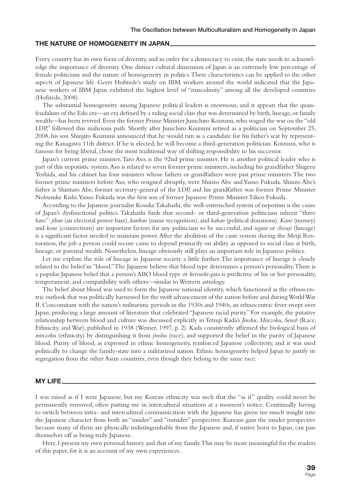### **THE NATURE OF HOMOGENEITY IN JAPAN**

Every country has its own form of diversity, and in order for a democracy to exist, the state needs to acknowledge the importance of diversity. One distinct cultural dimension of Japan is an extremely low percentage of female politicians and the nature of homogeneity in politics. These characteristics can be applied to the other aspects of Japanese life. Geert Hofstede's study on IBM workers around the world indicated that the Japanese workers of IBM Japan exhibited the highest level of "masculinity" among all the developed countries (Hofstede, 2008).

The substantial homogeneity among Japanese political leaders is enormous, and it appears that the quasifeudalism of the Edo era—an era defined by a ruling social class that was determined by birth, lineage, or family wealth—has been revived. Even the former Prime Minister Junichiro Koizumi, who waged the war on the "old LDP," followed this malicious path. Shortly after Junichiro Koizumi retired as a politician on September 25, 2008, his son Shinjiro Koizumi announced that he would run as a candidate for his father's seat by representing the Kanagawa 11th district. If he is elected, he will become a third-generation politician. Koizumi, who is famous for being liberal, chose the most traditional way of shifting responsibility to his successor.

Japan's current prime minister, Taro Aso, is the 92nd prime minister. He is another political leader who is part of this nepotistic system. Aso is related to seven former prime ministers, including his grandfather Shigeru Yoshida, and his cabinet has four ministers whose fathers or grandfathers were past prime ministers. The two former prime ministers before Aso, who resigned abruptly, were Shinzo Abe and Yasuo Fukuda. Shinzo Abe's father is Shintaro Abe, former secretary-general of the LDP, and his grandfather was former Prime Minister Nobusuke Kishi. Yasuo Fukuda was the first son of former Japanese Prime Minister Takeo Fukuda.

According to the Japanese journalist Kosuke Takahashi, the well-entrenched system of nepotism is the cause of Japan's dysfunctional politics. Takahashi finds that second- or third-generation politicians inherit "three *bans*": *jiban* (an electoral power base), *kanban* (name recognition), and *kaban* (political donations). *Kane* (money) and *kone* (connections) are important factors for any politicians to be successful, and *iegara* or *chisuji* (lineage) is a significant factor needed to maintain power. After the abolition of the caste system during the Meiji Restoration, the job a person could secure came to depend primarily on ability as opposed to social class at birth, lineage, or parental wealth. Nonetheless, lineage obviously still plays an important role in Japanese politics.

Let me explore the role of lineage in Japanese society a little further. The importance of lineage is closely related to the belief in "blood." The Japanese believe that blood type determines a person's personality. There is a popular Japanese belief that a person's ABO blood type or *ketsueki-gata* is predictive of his or her personality, temperament, and compatibility with others—similar to Western astrology.

The belief about blood was used to form the Japanese national identity, which functioned as the ethnocentric outlook that was politically harnessed for the swift advancement of the nation before and during World War II. Concomitant with the nation's militaristic periods in the 1930s and 1940s, an ethnocentric fever swept over Japan, producing a large amount of literature that celebrated "Japanese racial purity." For example, the putative relationship between blood and culture was discussed explicitly in Tetsuji Kada's *Jinshu*, *Minzoku*, *Senso-* (Race, Ethnicity, and War), published in 1938 (Weiner, 1997, p. 2). Kada consistently affirmed the biological basis of *minzoku* (ethnicity) by distinguishing it from *jinshu* (race), and supported the belief in the purity of Japanese blood. Purity of blood, as expressed in ethnic homogeneity, reinforced Japanese collectivity, and it was used politically to change the family-state into a militarized nation. Ethnic homogeneity helped Japan to justify its segregation from the other Asian countries, even though they belong to the same race.

#### **MY LIFE**

I was raised as if I were Japanese, but my Korean ethnicity was such that the "as if" quality could never be permanently removed, often putting me in intercultural situations at a moment's notice. Continually having to switch between intra- and intercultural communication with the Japanese has given me much insight into the Japanese character from both an "insider" and "outsider" perspective. Koreans gain the insider perspective because many of them are physically indistinguishable from the Japanese and, if native born to Japan, can pass themselves off as being truly Japanese.

Here, I present my own personal history and that of my family. This may be more meaningful for the readers of this paper, for it is an account of my own experiences.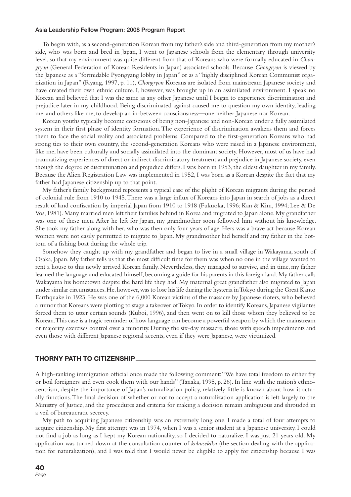#### **Asia Leadership Fellow Program: 2008 Program Report**

To begin with, as a second-generation Korean from my father's side and third-generation from my mother's side, who was born and bred in Japan, I went to Japanese schools from the elementary through university level, so that my environment was quite different from that of Koreans who were formally educated in *Chongryon* (General Federation of Korean Residents in Japan) associated schools. Because *Chongryon* is viewed by the Japanese as a "formidable Pyongyang lobby in Japan" or as a "highly disciplined Korean Communist organization in Japan" (Ryang, 1997, p. 11), *Chongryon* Koreans are isolated from mainstream Japanese society and have created their own ethnic culture. I, however, was brought up in an assimilated environment. I speak no Korean and believed that I was the same as any other Japanese until I began to experience discrimination and prejudice later in my childhood. Being discriminated against caused me to question my own identity, leading me, and others like me, to develop an in-between consciousness—one neither Japanese nor Korean.

Korean youths typically become conscious of being non-Japanese and non-Korean under a fully assimilated system in their first phase of identity formation. The experience of discrimination awakens them and forces them to face the social reality and associated problems. Compared to the first-generation Koreans who had strong ties to their own country, the second-generation Koreans who were raised in a Japanese environment, like me, have been culturally and socially assimilated into the dominant society. However, most of us have had traumatizing experiences of direct or indirect discriminatory treatment and prejudice in Japanese society, even though the degree of discrimination and prejudice differs. I was born in 1953, the eldest daughter in my family. Because the Alien Registration Law was implemented in 1952, I was born as a Korean despite the fact that my father had Japanese citizenship up to that point.

My father's family background represents a typical case of the plight of Korean migrants during the period of colonial rule from 1910 to 1945. There was a large influx of Koreans into Japan in search of jobs as a direct result of land confiscation by imperial Japan from 1910 to 1918 (Fukuoka, 1996; Kan & Kim, 1994; Lee & De Vos, 1981). Many married men left their families behind in Korea and migrated to Japan alone. My grandfather was one of these men. After he left for Japan, my grandmother soon followed him without his knowledge. She took my father along with her, who was then only four years of age. Hers was a brave act because Korean women were not easily permitted to migrate to Japan. My grandmother hid herself and my father in the bottom of a fishing boat during the whole trip.

Somehow they caught up with my grandfather and began to live in a small village in Wakayama, south of Osaka, Japan. My father tells us that the most difficult time for them was when no one in the village wanted to rent a house to this newly arrived Korean family. Nevertheless, they managed to survive, and in time, my father learned the language and educated himself, becoming a guide for his parents in this foreign land. My father calls Wakayama his hometown despite the hard life they had. My maternal great grandfather also migrated to Japan under similar circumstances. He, however, was to lose his life during the hysteria in Tokyo during the Great Kanto Earthquake in 1923. He was one of the 6,000 Korean victims of the massacre by Japanese rioters, who believed a rumor that Koreans were plotting to stage a takeover of Tokyo. In order to identify Koreans, Japanese vigilantes forced them to utter certain sounds (Kuboi, 1996), and then went on to kill those whom they believed to be Korean. This case is a tragic reminder of how language can become a powerful weapon by which the mainstream or majority exercises control over a minority. During the six-day massacre, those with speech impediments and even those with different Japanese regional accents, even if they were Japanese, were victimized.

#### **THORNY PATH TO CITIZENSHIP**

A high-ranking immigration official once made the following comment: "We have total freedom to either fry or boil foreigners and even cook them with our hands" (Tanaka, 1995, p. 26). In line with the nation's ethnocentrism, despite the importance of Japan's naturalization policy, relatively little is known about how it actually functions. The final decision of whether or not to accept a naturalization application is left largely to the Ministry of Justice, and the procedures and criteria for making a decision remain ambiguous and shrouded in a veil of bureaucratic secrecy.

My path to acquiring Japanese citizenship was an extremely long one. I made a total of four attempts to acquire citizenship. My first attempt was in 1974, when I was a senior student at a Japanese university. I could not find a job as long as I kept my Korean nationality, so I decided to naturalize. I was just 21 years old. My application was turned down at the consultation counter of *kokusekika* (the section dealing with the application for naturalization), and I was told that I would never be eligible to apply for citizenship because I was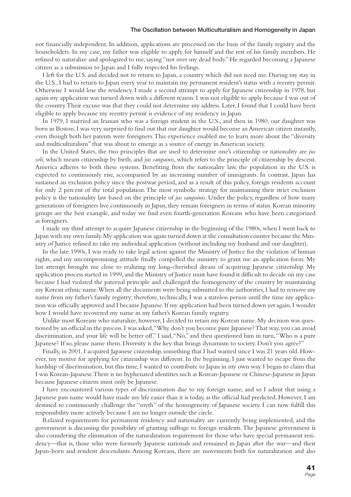#### **The Oscillation between Multiculturalism and Homogeneity in Japan**

not financially independent. In addition, applications are processed on the basis of the family registry and the householders. In my case, my father was eligible to apply for himself and the rest of his family members. He refused to naturalize and apologized to me, saying "not over my dead body." He regarded becoming a Japanese citizen as a submission to Japan and I fully respected his feelings.

I left for the U.S. and decided not to return to Japan, a country which did not need me. During my stay in the U.S., I had to return to Japan every year to maintain my permanent resident's status with a reentry permit. Otherwise I would lose the residency. I made a second attempt to apply for Japanese citizenship in 1978, but again my application was turned down with a different reason: I was not eligible to apply because I was out of the country. Their excuse was that they could not determine my address. Later, I found that I could have been eligible to apply because my reentry permit is evidence of my residency in Japan.

In 1979, I married an Iranian who was a foreign student in the U.S., and then in 1980, our daughter was born in Boston. I was very surprised to find out that our daughter would become an American citizen instantly, even though both her parents were foreigners. This experience enabled me to learn more about the "diversity and multiculturalism" that was about to emerge as a source of energy in American society.

In the United States, the two principles that are used to determine one's citizenship or nationality are *jus soli*, which means citizenship by birth, and *jus sanguinis*, which refers to the principle of citizenship by descent. America adheres to both these systems. Benefiting from the nationality law, the population in the U.S. is expected to continuously rise, accompanied by an increasing number of immigrants. In contrast, Japan has sustained an exclusion policy since the postwar period, and as a result of this policy, foreign residents account for only 2 percent of the total population. The most symbolic strategy for maintaining their strict exclusion policy is the nationality law based on the principle of *jus sanguinis*. Under the policy, regardless of how many generations of foreigners live continuously in Japan, they remain foreigners in terms of status. Korean minority groups are the best example, and today we find even fourth-generation Koreans who have been categorized as foreigners.

I made my third attempt to acquire Japanese citizenship in the beginning of the 1980s, when I went back to Japan with my own family. My application was again turned down at the consultation counter because the Ministry of Justice refused to take my individual application (without including my husband and our daughter).

In the late 1990s, I was ready to take legal action against the Ministry of Justice for the violation of human rights, and my uncompromising attitude finally compelled the ministry to grant me an application form. My last attempt brought me close to realizing my long-cherished dream of acquiring Japanese citizenship. My application process started in 1999, and the Ministry of Justice must have found it difficult to decide on my case because I had violated the paternal principle and challenged the homogeneity of the country by maintaining my Korean ethnic name. When all the documents were being submitted to the authorities, I had to remove my name from my father's family registry; therefore, technically, I was a stateless person until the time my application was officially approved and I became Japanese. If my application had been turned down yet again, I wonder how I would have recovered my name in my father's Korean family registry.

Unlike most Koreans who naturalize, however, I decided to retain my Korean name. My decision was questioned by an official in the process. I was asked, "Why don't you become pure Japanese? That way, you can avoid discrimination, and your life will be better off." I said, "No," and then questioned him in turn, "Who is a pure Japanese? If so, please name them. Diversity is the key that brings dynamism to society. Don't you agree?"

Finally, in 2001, I acquired Japanese citizenship, something that I had wanted since I was 21 years old. However, my motive for applying for citizenship was different. In the beginning, I just wanted to escape from the hardship of discrimination, but this time, I wanted to contribute to Japan in my own way. I began to claim that I was Korean-Japanese. There is no hyphenated identities such as Korean-Japanese or Chinese-Japanese in Japan because Japanese citizens must only be Japanese.

I have encountered various types of discrimination due to my foreign name, and so I admit that using a Japanese pass name would have made my life easier than it is today, as the official had predicted. However, I am destined to continuously challenge the "myth" of the homogeneity of Japanese society. I can now fulfill this responsibility more actively because I am no longer outside the circle.

Relaxed requirements for permanent residency and nationality are currently being implemented, and the government is discussing the possibility of granting suffrage to foreign residents. The Japanese government is also considering the elimination of the naturalization requirement for those who have special permanent residency—that is, those who were formerly Japanese nationals and remained in Japan after the war—and their Japan-born and resident descendants. Among Koreans, there are movements both for naturalization and also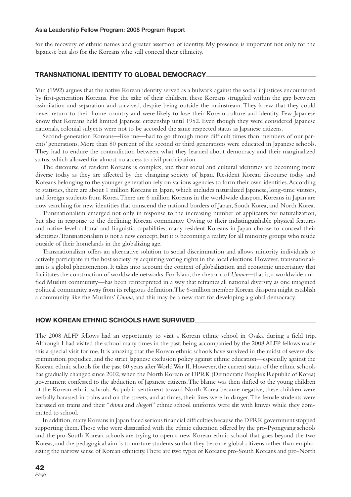#### **Asia Leadership Fellow Program: 2008 Program Report**

for the recovery of ethnic names and greater assertion of identity. My presence is important not only for the Japanese but also for the Koreans who still conceal their ethnicity.

### **TRANSNATIONAL IDENTITY TO GLOBAL DEMOCRACY**

Yun (1992) argues that the native Korean identity served as a bulwark against the social injustices encountered by first-generation Koreans. For the sake of their children, these Koreans struggled within the gap between assimilation and separation and survived, despite being outside the mainstream. They knew that they could never return to their home country and were likely to lose their Korean culture and identity. Few Japanese know that Koreans held limited Japanese citizenship until 1952. Even though they were considered Japanese nationals, colonial subjects were not to be accorded the same respected status as Japanese citizens.

Second-generation Koreans—like me—had to go through more difficult times than members of our parents' generations. More than 80 percent of the second or third generations were educated in Japanese schools. They had to endure the contradiction between what they learned about democracy and their marginalized status, which allowed for almost no access to civil participation.

The discourse of resident Koreans is complex, and their social and cultural identities are becoming more diverse today as they are affected by the changing society of Japan. Resident Korean discourse today and Koreans belonging to the younger generation rely on various agencies to form their own identities. According to statistics, there are about 1 million Koreans in Japan, which includes naturalized Japanese, long-time visitors, and foreign students from Korea. There are 6 million Koreans in the worldwide diaspora. Koreans in Japan are now searching for new identities that transcend the national borders of Japan, South Korea, and North Korea.

Transnationalism emerged not only in response to the increasing number of applicants for naturalization, but also in response to the declining Korean community. Owing to their indistinguishable physical features and native-level cultural and linguistic capabilities, many resident Koreans in Japan choose to conceal their identities. Transnationalism is not a new concept, but it is becoming a reality for all minority groups who reside outside of their homelands in the globalizing age.

Transnationalism offers an alternative solution to social discrimination and allows minority individuals to actively participate in the host society by acquiring voting rights in the local elections. However, transnationalism is a global phenomenon. It takes into account the context of globalization and economic uncertainty that facilitates the construction of worldwide networks. For Islam, the rhetoric of *Umma*—that is, a worldwide unified Muslim community—has been reinterpreted in a way that reframes all national diversity as one imagined political community, away from its religious definition. The 6-million member Korean diaspora might establish a community like the Muslims' *Umma*, and this may be a new start for developing a global democracy.

#### **HOW KOREAN ETHNIC SCHOOLS HAVE SURVIVED**

The 2008 ALFP fellows had an opportunity to visit a Korean ethnic school in Osaka during a field trip. Although I had visited the school many times in the past, being accompanied by the 2008 ALFP fellows made this a special visit for me. It is amazing that the Korean ethnic schools have survived in the midst of severe discrimination, prejudice, and the strict Japanese exclusion policy against ethnic education—especially against the Korean ethnic schools for the past 60 years after World War II. However, the current status of the ethnic schools has gradually changed since 2002, when the North Korean or DPRK (Democratic People's Republic of Korea) government confessed to the abduction of Japanese citizens. The blame was then shifted to the young children of the Korean ethnic schools. As public sentiment toward North Korea became negative, these children were verbally harassed in trains and on the streets, and at times, their lives were in danger. The female students were harassed on trains and their "*chima* and *chogori*" ethnic school uniforms were slit with knives while they commuted to school.

In addition, many Koreans in Japan faced serious financial difficulties because the DPRK government stopped supporting them. Those who were dissatisfied with the ethnic education offered by the pro-Pyongyang schools and the pro-South Korean schools are trying to open a new Korean ethnic school that goes beyond the two Koreas, and the pedagogical aim is to nurture students so that they become global citizens rather than emphasizing the narrow sense of Korean ethnicity. There are two types of Koreans: pro-South Koreans and pro-North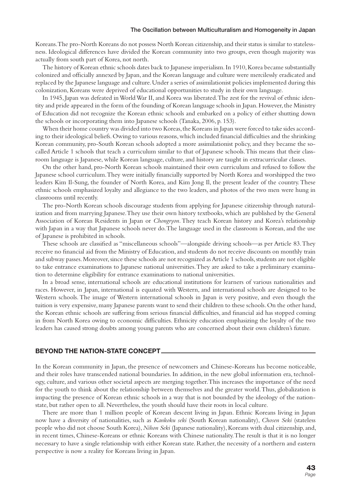Koreans. The pro-North Koreans do not possess North Korean citizenship, and their status is similar to statelessness. Ideological differences have divided the Korean community into two groups, even though majority was actually from south part of Korea, not north.

The history of Korean ethnic schools dates back to Japanese imperialism. In 1910, Korea became substantially colonized and officially annexed by Japan, and the Korean language and culture were mercilessly eradicated and replaced by the Japanese language and culture. Under a series of assimilationist policies implemented during this colonization, Koreans were deprived of educational opportunities to study in their own language.

In 1945, Japan was defeated in World War II, and Korea was liberated. The zest for the revival of ethnic identity and pride appeared in the form of the founding of Korean language schools in Japan. However, the Ministry of Education did not recognize the Korean ethnic schools and embarked on a policy of either shutting down the schools or incorporating them into Japanese schools (Tanaka, 2006, p. 153).

When their home country was divided into two Koreas, the Koreans in Japan were forced to take sides according to their ideological beliefs. Owing to various reasons, which included financial difficulties and the shrinking Korean community, pro-South Korean schools adopted a more assimilationist policy, and they became the socalled Article 1 schools that teach a curriculum similar to that of Japanese schools. This means that their classroom language is Japanese, while Korean language, culture, and history are taught in extracurricular classes.

On the other hand, pro-North Korean schools maintained their own curriculum and refused to follow the Japanese school curriculum. They were initially financially supported by North Korea and worshipped the two leaders Kim Il-Sung, the founder of North Korea, and Kim Jong Il, the present leader of the country. These ethnic schools emphasized loyalty and allegiance to the two leaders, and photos of the two men were hung in classrooms until recently.

The pro-North Korean schools discourage students from applying for Japanese citizenship through naturalization and from marrying Japanese. They use their own history textbooks, which are published by the General Association of Korean Residents in Japan or *Chongryon*. They teach Korean history and Korea's relationship with Japan in a way that Japanese schools never do. The language used in the classroom is Korean, and the use of Japanese is prohibited in schools.

These schools are classified as "miscellaneous schools"—alongside driving schools—as per Article 83. They receive no financial aid from the Ministry of Education, and students do not receive discounts on monthly train and subway passes. Moreover, since these schools are not recognized as Article 1 schools, students are not eligible to take entrance examinations to Japanese national universities. They are asked to take a preliminary examination to determine eligibility for entrance examinations to national universities.

In a broad sense, international schools are educational institutions for learners of various nationalities and races. However, in Japan, international is equated with Western, and international schools are designed to be Western schools. The image of Western international schools in Japan is very positive, and even though the tuition is very expensive, many Japanese parents want to send their children to these schools. On the other hand, the Korean ethnic schools are suffering from serious financial difficulties, and financial aid has stopped coming in from North Korea owing to economic difficulties. Ethnicity education emphasizing the loyalty of the two leaders has caused strong doubts among young parents who are concerned about their own children's future.

#### **BEYOND THE NATION-STATE CONCEPT**

In the Korean community in Japan, the presence of newcomers and Chinese-Koreans has become noticeable, and their roles have transcended national boundaries. In addition, in the new global information era, technology, culture, and various other societal aspects are merging together. This increases the importance of the need for the youth to think about the relationship between themselves and the greater world. Thus, globalization is impacting the presence of Korean ethnic schools in a way that is not bounded by the ideology of the nationstate, but rather open to all. Nevertheless, the youth should have their roots in local culture.

There are more than 1 million people of Korean descent living in Japan. Ethnic Koreans living in Japan now have a diversity of nationalities, such as *Kankoku seki* (South Korean nationality), *Chosen Seki* (stateless people who did not choose South Korea), *Nihon Seki* (Japanese nationality), Koreans with dual citizenship, and, in recent times, Chinese-Koreans or ethnic Koreans with Chinese nationality. The result is that it is no longer necessary to have a single relationship with either Korean state. Rather, the necessity of a northern and eastern perspective is now a reality for Koreans living in Japan.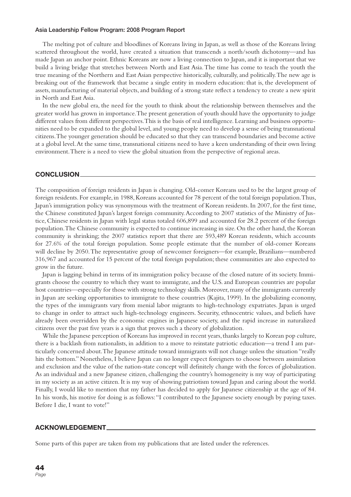#### **Asia Leadership Fellow Program: 2008 Program Report**

The melting pot of culture and bloodlines of Koreans living in Japan, as well as those of the Koreans living scattered throughout the world, have created a situation that transcends a north/south dichotomy—and has made Japan an anchor point. Ethnic Koreans are now a living connection to Japan, and it is important that we build a living bridge that stretches between North and East Asia. The time has come to teach the youth the true meaning of the Northern and East Asian perspective historically, culturally, and politically. The new age is breaking out of the framework that became a single entity in modern education: that is, the development of assets, manufacturing of material objects, and building of a strong state reflect a tendency to create a new spirit in North and East Asia.

In the new global era, the need for the youth to think about the relationship between themselves and the greater world has grown in importance. The present generation of youth should have the opportunity to judge different values from different perspectives. This is the basis of real intelligence. Learning and business opportunities need to be expanded to the global level, and young people need to develop a sense of being transnational citizens. The younger generation should be educated so that they can transcend boundaries and become active at a global level. At the same time, transnational citizens need to have a keen understanding of their own living environment. There is a need to view the global situation from the perspective of regional areas.

### **CONCLUSION**

The composition of foreign residents in Japan is changing. Old-comer Koreans used to be the largest group of foreign residents. For example, in 1988, Koreans accounted for 78 percent of the total foreign population. Thus, Japan's immigration policy was synonymous with the treatment of Korean residents. In 2007, for the first time, the Chinese constituted Japan's largest foreign community. According to 2007 statistics of the Ministry of Justice, Chinese residents in Japan with legal status totaled 606,899 and accounted for 28.2 percent of the foreign population. The Chinese community is expected to continue increasing in size. On the other hand, the Korean community is shrinking; the 2007 statistics report that there are 593,489 Korean residents, which accounts for 27.6% of the total foreign population. Some people estimate that the number of old-comer Koreans will decline by 2050. The representative group of newcomer foreigners—for example, Brazilians—numbered 316,967 and accounted for 15 percent of the total foreign population; these communities are also expected to grow in the future.

Japan is lagging behind in terms of its immigration policy because of the closed nature of its society. Immigrants choose the country to which they want to immigrate, and the U.S. and European countries are popular host countries—especially for those with strong technology skills. Moreover, many of the immigrants currently in Japan are seeking opportunities to immigrate to these countries (Kajita, 1999). In the globalizing economy, the types of the immigrants vary from menial labor migrants to high-technology expatriates. Japan is urged to change in order to attract such high-technology engineers. Security, ethnocentric values, and beliefs have already been overridden by the economic engines in Japanese society, and the rapid increase in naturalized citizens over the past five years is a sign that proves such a theory of globalization.

While the Japanese perception of Koreans has improved in recent years, thanks largely to Korean pop culture, there is a backlash from nationalists, in addition to a move to reinstate patriotic education—a trend I am particularly concerned about. The Japanese attitude toward immigrants will not change unless the situation "really hits the bottom." Nonetheless, I believe Japan can no longer expect foreigners to choose between assimilation and exclusion and the value of the nation-state concept will definitely change with the forces of globalization. As an individual and a new Japanese citizen, challenging the country's homogeneity is my way of participating in my society as an active citizen. It is my way of showing patriotism toward Japan and caring about the world. Finally, I would like to mention that my father has decided to apply for Japanese citizenship at the age of 84. In his words, his motive for doing is as follows: "I contributed to the Japanese society enough by paying taxes. Before I die, I want to vote!"

#### **ACKNOWLEDGEMENT**

Some parts of this paper are taken from my publications that are listed under the references.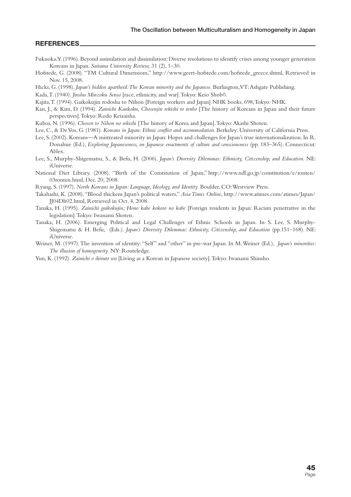### **REFERENCES**

- Fukuoka, Y. (1996). Beyond assimilation and dissimilation: Diverse resolutions to identify crises among younger generation Koreans in Japan. *Saitama University Review,* 31 (2), 1–30.
- Hofstede, G. (2008). "TM Cultural Dimensions," http://www.geert-hofstede.com/hofstede\_greece.shtml, Retrieved in Nov. 15, 2008.
- Hicks, G. (1998). *Japan's hidden apartheid: The Korean minority and the Japanese*. Burlington, VT: Ashgate Publishing.

- Kajita, T. (1994). Gaikokujin rodosha to Nihon [Foreign workers and Japan] NHK books, 698, Tokyo: NHK.
- Kan, J., & Kim, D. (1994). *Zainichi Kankoku, Chosenjin rekishi to tenbo* [The history of Koreans in Japan and their future perspectives]. Tokyo: Rodo Keizaisha.
- Kuboi, N. (1996). *Chosen to Nihon no rekishi* [The history of Korea and Japan]. Tokyo: Akashi Shoten.

Lee, C., & De Vos, G. (1981). *Koreans in Japan: Ethnic conflict and accommodation*. Berkeley: University of California Press.

- Lee, S. (2002). Koreans—A mistreated minority in Japan: Hopes and challenges for Japan's true internationalization. In R. Donahue (Ed.), *Exploring Japaneseness, on Japanese enactments of culture and consciousness* (pp. 183–365). Connecticut: Ablex.
- Lee, S., Murphy-Shigematsu, S., & Befu, H. (2006). *Japan's Diversity Dilemmas: Ethnicity, Citizenship, and Education*. NE: iUniverse.
- National Diet Library. (2008). "Birth of the Constitution of Japan," http://www.ndl.go.jp/constitution/e/ronten/ 03ronten.html, Dec. 20, 2008.
- Ryang, S. (1997). *North Koreans in Japan: Language, Ideology, and Identity*. Boulder, CO: Westview Press.
- Takahashi, K. (2008). "Blood thickens Japan's political waters," *Asia Times Online*, http://www.atimes.com/atimes/Japan/ JJ04Dh02.html, Retrieved in Oct. 4, 2008.
- Tanaka, H. (1995). *Zainichi gaikokujin; Hono kabe kokoro no kabe* [Foreign residents in Japan: Racism penetrative in the legislation]. Tokyo: Iwanami Shoten.
- Tanaka, H. (2006). Emerging Political and Legal Challenges of Ethnic Schools in Japan. In S. Lee, S. Murphy-Shigematsu & H. Befu, (Eds.). *Japan's Diversity Dilemmas: Ethnicity, Citizenship, and Education* (pp.151–168). NE: iUniverse.
- Weiner, M. (1997). The invention of identity: "Self" and "other" in pre-war Japan. In M. Weiner (Ed.), *Japan's minorities: The illusion of homogeneity.* NY: Routeledge.
- Yun, K. (1992). *Zainichi o ikiruto wa* [Living as a Korean in Japanese society]. Tokyo: Iwanami Shinsho.

Kada, T. (1940). *Jinshu Minzoku Senso* [race, ethnicity, and war]. Tokyo: Keio Shobō.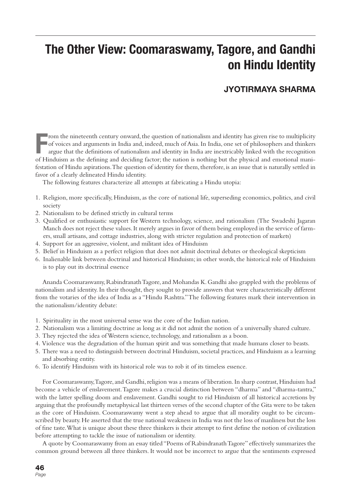# **The Other View: Coomaraswamy, Tagore, and Gandhi on Hindu Identity**

### **JYOTIRMAYA SHARMA**

From the nineteenth century onward, the question of nationalism and identity has given rise to multiplicity of voices and arguments in India and, indeed, much of Asia. In India, one set of philosophers and thinkers argue t rom the nineteenth century onward, the question of nationalism and identity has given rise to multiplicity of voices and arguments in India and, indeed, much of Asia. In India, one set of philosophers and thinkers argue that the definitions of nationalism and identity in India are inextricably linked with the recognition festation of Hindu aspirations. The question of identity for them, therefore, is an issue that is naturally settled in favor of a clearly delineated Hindu identity.

The following features characterize all attempts at fabricating a Hindu utopia:

- 1. Religion, more specifically, Hinduism, as the core of national life, superseding economics, politics, and civil society
- 2. Nationalism to be defined strictly in cultural terms
- 3. Qualified or enthusiastic support for Western technology, science, and rationalism (The Swadeshi Jagaran Manch does not reject these values. It merely argues in favor of them being employed in the service of farmers, small artisans, and cottage industries, along with stricter regulation and protection of markets)
- 4. Support for an aggressive, violent, and militant idea of Hinduism
- 5. Belief in Hinduism as a perfect religion that does not admit doctrinal debates or theological skepticism
- 6. Inalienable link between doctrinal and historical Hinduism; in other words, the historical role of Hinduism is to play out its doctrinal essence

Ananda Coomaraswamy, Rabindranath Tagore, and Mohandas K. Gandhi also grappled with the problems of nationalism and identity. In their thought, they sought to provide answers that were characteristically different from the votaries of the idea of India as a "Hindu Rashtra." The following features mark their intervention in the nationalism/identity debate:

- 1. Spirituality in the most universal sense was the core of the Indian nation.
- 2. Nationalism was a limiting doctrine as long as it did not admit the notion of a universally shared culture.
- 3. They rejected the idea of Western science, technology, and rationalism as a boon.
- 4. Violence was the degradation of the human spirit and was something that made humans closer to beasts.
- 5. There was a need to distinguish between doctrinal Hinduism, societal practices, and Hinduism as a learning and absorbing entity.
- 6. To identify Hinduism with its historical role was to rob it of its timeless essence.

For Coomaraswamy, Tagore, and Gandhi, religion was a means of liberation. In sharp contrast, Hinduism had become a vehicle of enslavement. Tagore makes a crucial distinction between "dharma" and "dharma-tantra," with the latter spelling doom and enslavement. Gandhi sought to rid Hinduism of all historical accretions by arguing that the profoundly metaphysical last thirteen verses of the second chapter of the Gita were to be taken as the core of Hinduism. Coomaraswamy went a step ahead to argue that all morality ought to be circumscribed by beauty. He asserted that the true national weakness in India was not the loss of manliness but the loss of fine taste. What is unique about these three thinkers is their attempt to first define the notion of civilization before attempting to tackle the issue of nationalism or identity.

A quote by Coomaraswamy from an essay titled "Poems of Rabindranath Tagore" effectively summarizes the common ground between all three thinkers. It would not be incorrect to argue that the sentiments expressed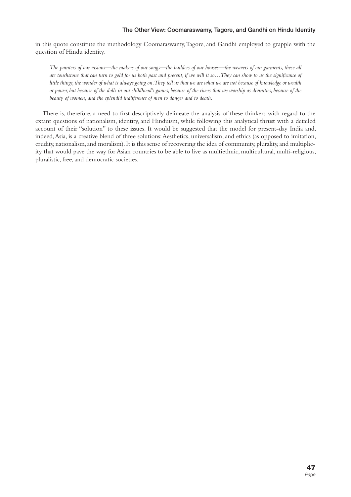### **The Other View: Coomaraswamy, Tagore, and Gandhi on Hindu Identity**

in this quote constitute the methodology Coomaraswamy, Tagore, and Gandhi employed to grapple with the question of Hindu identity.

*The painters of our visions—the makers of our songs—the builders of our houses—the weavers of our garments, these all*  are touchstone that can turn to gold for us both past and present, if we will it so... They can show to us the significance of *little things, the wonder of what is always going on. They tell us that we are what we are not because of knowledge or wealth or power, but because of the dolls in our childhood's games, because of the rivers that we worship as divinities, because of the beauty of women, and the splendid indifference of men to danger and to death.*

There is, therefore, a need to first descriptively delineate the analysis of these thinkers with regard to the extant questions of nationalism, identity, and Hinduism, while following this analytical thrust with a detailed account of their "solution" to these issues. It would be suggested that the model for present-day India and, indeed, Asia, is a creative blend of three solutions: Aesthetics, universalism, and ethics (as opposed to imitation, crudity, nationalism, and moralism). It is this sense of recovering the idea of community, plurality, and multiplicity that would pave the way for Asian countries to be able to live as multiethnic, multicultural, multi-religious, pluralistic, free, and democratic societies.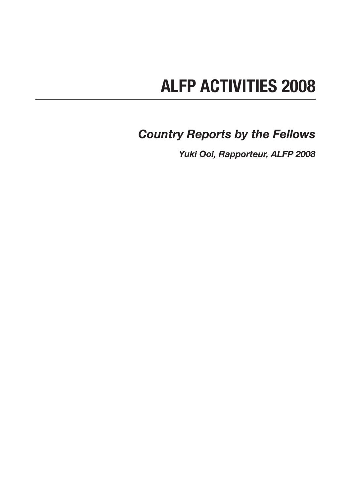# **ALFP ACTIVITIES 2008**

*Country Reports by the Fellows*

*Yuki Ooi, Rapporteur, ALFP 2008*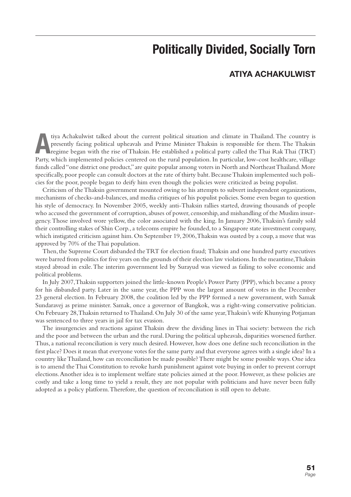# **Politically Divided, Socially Torn**

### **ATIYA ACHAKULWIST**

The country is presently facing political upheavals and Prime Minister Thaksin is responsible for them. The Thaksin regime began with the rise of Thaksin. He established a political party called the Thai Rak Thai (TRT) Par presently facing political upheavals and Prime Minister Thaksin is responsible for them. The Thaksin Party, which implemented policies centered on the rural population. In particular, low-cost healthcare, village funds called "one district one product," are quite popular among voters in North and Northeast Thailand. More specifically, poor people can consult doctors at the rate of thirty baht. Because Thaksin implemented such policies for the poor, people began to deify him even though the policies were criticized as being populist.

Criticism of the Thaksin government mounted owing to his attempts to subvert independent organizations, mechanisms of checks-and-balances, and media critiques of his populist policies. Some even began to question his style of democracy. In November 2005, weekly anti-Thaksin rallies started, drawing thousands of people who accused the government of corruption, abuses of power, censorship, and mishandling of the Muslim insurgency. Those involved wore yellow, the color associated with the king. In January 2006, Thaksin's family sold their controlling stakes of Shin Corp., a telecoms empire he founded, to a Singapore state investment company, which instigated criticism against him. On September 19, 2006, Thaksin was ousted by a coup, a move that was approved by 70% of the Thai population.

Then, the Supreme Court disbanded the TRT for election fraud; Thaksin and one hundred party executives were barred from politics for five years on the grounds of their election law violations. In the meantime, Thaksin stayed abroad in exile. The interim government led by Surayud was viewed as failing to solve economic and political problems.

In July 2007, Thaksin supporters joined the little-known People's Power Party (PPP), which became a proxy for his disbanded party. Later in the same year, the PPP won the largest amount of votes in the December 23 general election. In February 2008, the coalition led by the PPP formed a new government, with Samak Sundaravej as prime minister. Samak, once a governor of Bangkok, was a right-wing conservative politician. On February 28, Thaksin returned to Thailand. On July 30 of the same year, Thaksin's wife Khunying Potjaman was sentenced to three years in jail for tax evasion.

The insurgencies and reactions against Thaksin drew the dividing lines in Thai society: between the rich and the poor and between the urban and the rural. During the political upheavals, disparities worsened further. Thus, a national reconciliation is very much desired. However, how does one define such reconciliation in the first place? Does it mean that everyone votes for the same party and that everyone agrees with a single idea? In a country like Thailand, how can reconciliation be made possible? There might be some possible ways. One idea is to amend the Thai Constitution to revoke harsh punishment against vote buying in order to prevent corrupt elections. Another idea is to implement welfare state policies aimed at the poor. However, as these policies are costly and take a long time to yield a result, they are not popular with politicians and have never been fully adopted as a policy platform. Therefore, the question of reconciliation is still open to debate.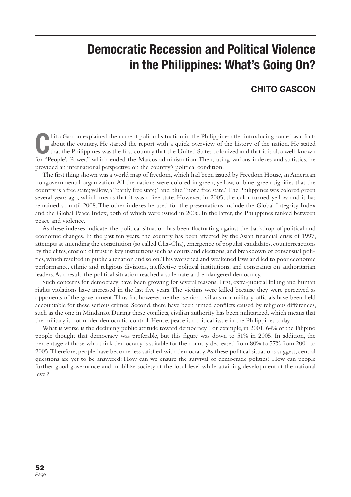# **Democratic Recession and Political Violence in the Philippines: What's Going On?**

### **CHITO GASCON**

This Cascon explained the current political situation in the Philippines after introducing some basic facts about the country. He started the report with a quick overview of the history of the nation. He stated that the Ph hito Gascon explained the current political situation in the Philippines after introducing some basic facts about the country. He started the report with a quick overview of the history of the nation. He stated that the Philippines was the first country that the United States colonized and that it is also well-known provided an international perspective on the country's political condition.

The first thing shown was a world map of freedom, which had been issued by Freedom House, an American nongovernmental organization. All the nations were colored in green, yellow, or blue: green signifies that the country is a free state; yellow, a "partly free state;" and blue, "not a free state." The Philippines was colored green several years ago, which means that it was a free state. However, in 2005, the color turned yellow and it has remained so until 2008. The other indexes he used for the presentations include the Global Integrity Index and the Global Peace Index, both of which were issued in 2006. In the latter, the Philippines ranked between peace and violence.

As these indexes indicate, the political situation has been fluctuating against the backdrop of political and economic changes. In the past ten years, the country has been affected by the Asian financial crisis of 1997, attempts at amending the constitution (so called Cha-Cha), emergence of populist candidates, counterreactions by the elites, erosion of trust in key institutions such as courts and elections, and breakdown of consensual politics, which resulted in public alienation and so on. This worsened and weakened laws and led to poor economic performance, ethnic and religious divisions, ineffective political institutions, and constraints on authoritarian leaders. As a result, the political situation reached a stalemate and endangered democracy.

Such concerns for democracy have been growing for several reasons. First, extra-judicial killing and human rights violations have increased in the last five years. The victims were killed because they were perceived as opponents of the government. Thus far, however, neither senior civilians nor military officials have been held accountable for these serious crimes. Second, there have been armed conflicts caused by religious differences, such as the one in Mindanao. During these conflicts, civilian authority has been militarized, which means that the military is not under democratic control. Hence, peace is a critical issue in the Philippines today.

What is worse is the declining public attitude toward democracy. For example, in 2001, 64% of the Filipino people thought that democracy was preferable, but this figure was down to 51% in 2005. In addition, the percentage of those who think democracy is suitable for the country decreased from 80% to 57% from 2001 to 2005. Therefore, people have become less satisfied with democracy. As these political situations suggest, central questions are yet to be answered: How can we ensure the survival of democratic politics? How can people further good governance and mobilize society at the local level while attaining development at the national level?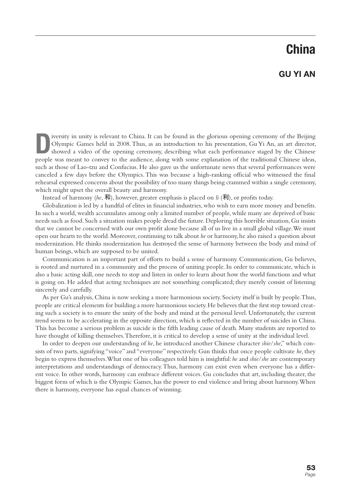# **China**

### **GU YI AN**

**D**iversity in unity is relevant to China. It can be found in the glorious opening ceremony of the Beijing Olympic Games held in 2008. Thus, as an introduction to his presentation, Gu Yi An, an art director, showed a video Olympic Games held in 2008. Thus, as an introduction to his presentation, Gu Yi An, an art director, showed a video of the opening ceremony, describing what each performance staged by the Chinese people was meant to convey to the audience, along with some explanation of the traditional Chinese ideas, such as those of Lao-tzu and Confucius. He also gave us the unfortunate news that several performances were canceled a few days before the Olympics. This was because a high-ranking official who witnessed the final rehearsal expressed concerns about the possibility of too many things being crammed within a single ceremony, which might upset the overall beauty and harmony.

Instead of harmony (*he*,  $\overline{A}$ ), however, greater emphasis is placed on *li* ( $\overline{A}$ ), or profits today.

Globalization is led by a handful of elites in financial industries, who wish to earn more money and benefits. In such a world, wealth accumulates among only a limited number of people, while many are deprived of basic needs such as food. Such a situation makes people dread the future. Deploring this horrible situation, Gu insists that we cannot be concerned with our own profit alone because all of us live in a small global village. We must open our hearts to the world. Moreover, continuing to talk about *he* or harmony, he also raised a question about modernization. He thinks modernization has destroyed the sense of harmony between the body and mind of human beings, which are supposed to be united.

Communication is an important part of efforts to build a sense of harmony. Communication, Gu believes, is rooted and nurtured in a community and the process of uniting people. In order to communicate, which is also a basic acting skill, one needs to stop and listen in order to learn about how the world functions and what is going on. He added that acting techniques are not something complicated; they merely consist of listening sincerely and carefully.

As per Gu's analysis, China is now seeking a more harmonious society. Society itself is built by people. Thus, people are critical elements for building a more harmonious society. He believes that the first step toward creating such a society is to ensure the unity of the body and mind at the personal level. Unfortunately, the current trend seems to be accelerating in the opposite direction, which is reflected in the number of suicides in China. This has become a serious problem as suicide is the fifth leading cause of death. Many students are reported to have thought of killing themselves. Therefore, it is critical to develop a sense of unity at the individual level.

In order to deepen our understanding of *he*, he introduced another Chinese character *shie*/*she*," which consists of two parts, signifying "voice" and "everyone" respectively. Gun thinks that once people cultivate *he*, they begin to express themselves. What one of his colleagues told him is insightful: *he* and *shie*/*she* are contemporary interpretations and understandings of democracy. Thus, harmony can exist even when everyone has a different voice. In other words, harmony can embrace different voices. Gu concludes that art, including theater, the biggest form of which is the Olympic Games, has the power to end violence and bring about harmony. When there is harmony, everyone has equal chances of winning.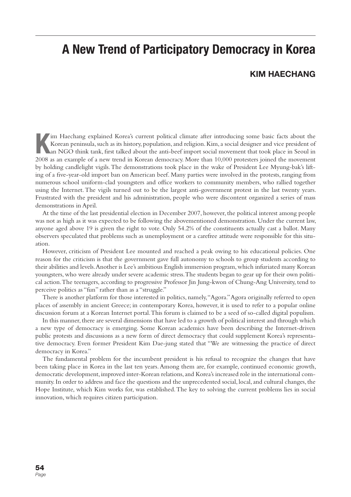# **A New Trend of Participatory Democracy in Korea**

### **KIM HAECHANG**

Im Haechang explained Korea's current political climate after introducing some basic facts about the Korean peninsula, such as its history, population, and religion. Kim, a social designer and vice president of an NGO thin im Haechang explained Korea's current political climate after introducing some basic facts about the Korean peninsula, such as its history, population, and religion. Kim, a social designer and vice president of an NGO think tank, first talked about the anti-beef import social movement that took place in Seoul in by holding candlelight vigils. The demonstrations took place in the wake of President Lee Myung-bak's lifting of a five-year-old import ban on American beef. Many parties were involved in the protests, ranging from numerous school uniform-clad youngsters and office workers to community members, who rallied together using the Internet. The vigils turned out to be the largest anti-government protest in the last twenty years. Frustrated with the president and his administration, people who were discontent organized a series of mass demonstrations in April.

At the time of the last presidential election in December 2007, however, the political interest among people was not as high as it was expected to be following the abovementioned demonstration. Under the current law, anyone aged above 19 is given the right to vote. Only 54.2% of the constituents actually cast a ballot. Many observers speculated that problems such as unemployment or a carefree attitude were responsible for this situation.

However, criticism of President Lee mounted and reached a peak owing to his educational policies. One reason for the criticism is that the government gave full autonomy to schools to group students according to their abilities and levels. Another is Lee's ambitious English immersion program, which infuriated many Korean youngsters, who were already under severe academic stress. The students began to gear up for their own political action. The teenagers, according to progressive Professor Jin Jung-kwon of Chung-Ang University, tend to perceive politics as "fun" rather than as a "struggle."

There is another platform for those interested in politics, namely, "Agora." Agora originally referred to open places of assembly in ancient Greece; in contemporary Korea, however, it is used to refer to a popular online discussion forum at a Korean Internet portal. This forum is claimed to be a seed of so-called digital populism.

In this manner, there are several dimensions that have led to a growth of political interest and through which a new type of democracy is emerging. Some Korean academics have been describing the Internet-driven public protests and discussions as a new form of direct democracy that could supplement Korea's representative democracy. Even former President Kim Dae-jung stated that "We are witnessing the practice of direct democracy in Korea."

The fundamental problem for the incumbent president is his refusal to recognize the changes that have been taking place in Korea in the last ten years. Among them are, for example, continued economic growth, democratic development, improved inter-Korean relations, and Korea's increased role in the international community. In order to address and face the questions and the unprecedented social, local, and cultural changes, the Hope Institute, which Kim works for, was established. The key to solving the current problems lies in social innovation, which requires citizen participation.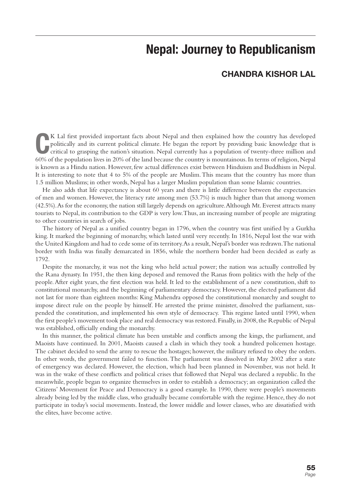# **Nepal: Journey to Republicanism**

### **CHANDRA KISHOR LAL**

**C** 60% of the population lives in 20% of the land because the country is mountainous. In terms of religion, Nepal K Lal first provided important facts about Nepal and then explained how the country has developed politically and its current political climate. He began the report by providing basic knowledge that is critical to grasping the nation's situation. Nepal currently has a population of twenty-three million and is known as a Hindu nation. However, few actual differences exist between Hinduism and Buddhism in Nepal. It is interesting to note that 4 to 5% of the people are Muslim. This means that the country has more than 1.5 million Muslims; in other words, Nepal has a larger Muslim population than some Islamic countries.

He also adds that life expectancy is about 60 years and there is little difference between the expectancies of men and women. However, the literacy rate among men (53.7%) is much higher than that among women (42.5%). As for the economy, the nation still largely depends on agriculture. Although Mt. Everest attracts many tourists to Nepal, its contribution to the GDP is very low. Thus, an increasing number of people are migrating to other countries in search of jobs.

The history of Nepal as a unified country began in 1796, when the country was first unified by a Gurkha king. It marked the beginning of monarchy, which lasted until very recently. In 1816, Nepal lost the war with the United Kingdom and had to cede some of its territory. As a result, Nepal's border was redrawn. The national border with India was finally demarcated in 1856, while the northern border had been decided as early as 1792.

Despite the monarchy, it was not the king who held actual power; the nation was actually controlled by the Rana dynasty. In 1951, the then king deposed and removed the Ranas from politics with the help of the people. After eight years, the first election was held. It led to the establishment of a new constitution, shift to constitutional monarchy, and the beginning of parliamentary democracy. However, the elected parliament did not last for more than eighteen months: King Mahendra opposed the constitutional monarchy and sought to impose direct rule on the people by himself. He arrested the prime minister, dissolved the parliament, suspended the constitution, and implemented his own style of democracy. This regime lasted until 1990, when the first people's movement took place and real democracy was restored. Finally, in 2008, the Republic of Nepal was established, officially ending the monarchy.

In this manner, the political climate has been unstable and conflicts among the kings, the parliament, and Maoists have continued. In 2001, Maoists caused a clash in which they took a hundred policemen hostage. The cabinet decided to send the army to rescue the hostages; however, the military refused to obey the orders. In other words, the government failed to function. The parliament was dissolved in May 2002 after a state of emergency was declared. However, the election, which had been planned in November, was not held. It was in the wake of these conflicts and political crises that followed that Nepal was declared a republic. In the meanwhile, people began to organize themselves in order to establish a democracy; an organization called the Citizens' Movement for Peace and Democracy is a good example. In 1990, there were people's movements already being led by the middle class, who gradually became comfortable with the regime. Hence, they do not participate in today's social movements. Instead, the lower middle and lower classes, who are dissatisfied with the elites, have become active.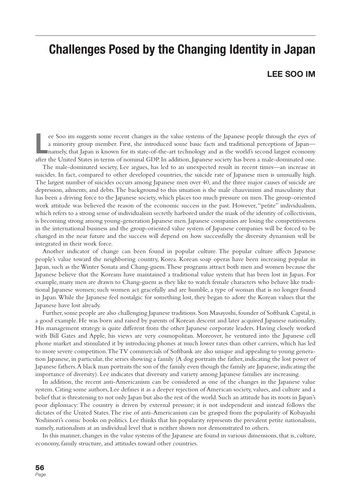# **Challenges Posed by the Changing Identity in Japan**

### **LEE SOO IM**

ee Soo im suggests some recent changes in the value systems of the Japanese people through the eyes of a minority group member. First, she introduced some basic facts and traditional perceptions of Japan—<br>namely, that Japa ee Soo im suggests some recent changes in the value systems of the Japanese people through the eyes of a minority group member. First, she introduced some basic facts and traditional perceptions of Japan namely, that Japan is known for its state-of-the-art technology and as the world's second largest economy

The male-dominated society, Lee argues, has led to an unexpected result in recent times—an increase in suicides. In fact, compared to other developed countries, the suicide rate of Japanese men is unusually high. The largest number of suicides occurs among Japanese men over 40, and the three major causes of suicide are depression, ailments, and debts. The background to this situation is the male chauvinism and masculinity that has been a driving force to the Japanese society, which places too much pressure on men. The group-oriented work attitude was believed the reason of the economic success in the past. However, "petite" individualism, which refers to a strong sense of individualism secretly harbored under the mask of the identity of collectivism, is becoming strong among young-generation Japanese men. Japanese companies are losing the competitiveness in the international business and the group-oriented value system of Japanese companies will be forced to be changed in the near future and the success will depend on how successfully the diversity dynamism will be integrated in their work force.

Another indicator of change can been found in popular culture. The popular culture affects Japanese people's value toward the neighboring country, Korea. Korean soap operas have been increasing popular in Japan, such as the Winter Sonata and Chang-guem. These programs attract both men and women because the Japanese believe that the Koreans have maintained a traditional value system that has been lost in Japan. For example, many men are drawn to Chang-guem as they like to watch female characters who behave like traditional Japanese women; such women act gracefully and are humble, a type of woman that is no longer found in Japan. While the Japanese feel nostalgic for something lost, they began to adore the Korean values that the Japanese have lost already.

Further, some people are also challenging Japanese traditions. Son Masayoshi, founder of Softbank Capital, is a good example. He was born and raised by parents of Korean descent and later acquired Japanese nationality. His management strategy is quite different from the other Japanese corporate leaders. Having closely worked with Bill Gates and Apple, his views are very cosmopolitan. Moreover, he ventured into the Japanese cell phone market and stimulated it by introducing phones at much lower rates than other carriers, which has led to more severe competition. The TV commercials of Softbank are also unique and appealing to young generation Japanese, in particular, the series showing a family (A dog portraits the father, indicating the lost power of Japanese fathers. A black man portraits the son of the family even though the family are Japanese, indicating the importance of diversity). Lee indicates that diversity and variety among Japanese families are increasing.

In addition, the recent anti-Americanism can be considered as one of the changes in the Japanese value system. Citing some authors, Lee defines it as a deeper rejection of American society, values, and culture and a belief that is threatening to not only Japan but also the rest of the world. Such an attitude has its roots in Japan's poor diplomacy: The country is driven by external pressure; it is not independent and instead follows the dictates of the United States. The rise of anti-Americanism can be grasped from the popularity of Kobayashi Yoshinori's comic books on politics. Lee thinks that his popularity represents the prevalent petite nationalism, namely, nationalism at an individual level that is neither shown nor demonstrated to others.

In this manner, changes in the value systems of the Japanese are found in various dimensions, that is, culture, economy, family structure, and attitudes toward other countries.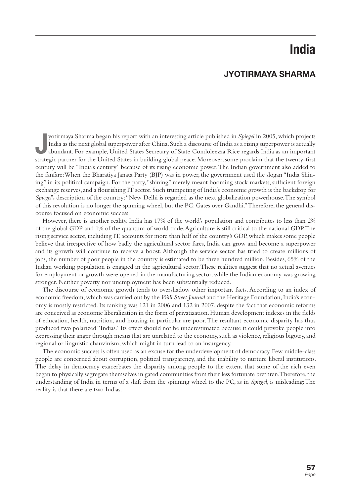# **India**

### **JYOTIRMAYA SHARMA**

Justirmaya Sharma began his report with an interesting article published in *Spiegel* in 2005, which projects India as the next global superpower after China. Such a discourse of India as a rising superpower is actually ab yotirmaya Sharma began his report with an interesting article published in *Spiegel* in 2005, which projects India as the next global superpower after China. Such a discourse of India as a rising superpower is actually abundant. For example, United States Secretary of State Condoleezza Rice regards India as an important century will be "India's century" because of its rising economic power. The Indian government also added to the fanfare: When the Bharatiya Janata Party (BJP) was in power, the government used the slogan "India Shining" in its political campaign. For the party, "shining" merely meant booming stock markets, sufficient foreign exchange reserves, and a flourishing IT sector. Such trumpeting of India's economic growth is the backdrop for *Spiegel*'s description of the country: "New Delhi is regarded as the next globalization powerhouse. The symbol of this revolution is no longer the spinning wheel, but the PC: Gates over Gandhi." Therefore, the general discourse focused on economic success.

However, there is another reality. India has 17% of the world's population and contributes to less than 2% of the global GDP and 1% of the quantum of world trade. Agriculture is still critical to the national GDP. The rising service sector, including IT, accounts for more than half of the country's GDP, which makes some people believe that irrespective of how badly the agricultural sector fares, India can grow and become a superpower and its growth will continue to receive a boost. Although the service sector has tried to create millions of jobs, the number of poor people in the country is estimated to be three hundred million. Besides, 65% of the Indian working population is engaged in the agricultural sector. These realities suggest that no actual avenues for employment or growth were opened in the manufacturing sector, while the Indian economy was growing stronger. Neither poverty nor unemployment has been substantially reduced.

The discourse of economic growth tends to overshadow other important facts. According to an index of economic freedom, which was carried out by the *Wall Street Journal* and the Heritage Foundation, India's economy is mostly restricted. Its ranking was 121 in 2006 and 132 in 2007, despite the fact that economic reforms are conceived as economic liberalization in the form of privatization. Human development indexes in the fields of education, health, nutrition, and housing in particular are poor. The resultant economic disparity has thus produced two polarized "Indias." Its effect should not be underestimated because it could provoke people into expressing their anger through means that are unrelated to the economy, such as violence, religious bigotry, and regional or linguistic chauvinism, which might in turn lead to an insurgency.

The economic success is often used as an excuse for the underdevelopment of democracy. Few middle-class people are concerned about corruption, political transparency, and the inability to nurture liberal institutions. The delay in democracy exacerbates the disparity among people to the extent that some of the rich even began to physically segregate themselves in gated communities from their less fortunate brethren. Therefore, the understanding of India in terms of a shift from the spinning wheel to the PC, as in *Spiegel*, is misleading: The reality is that there are two Indias.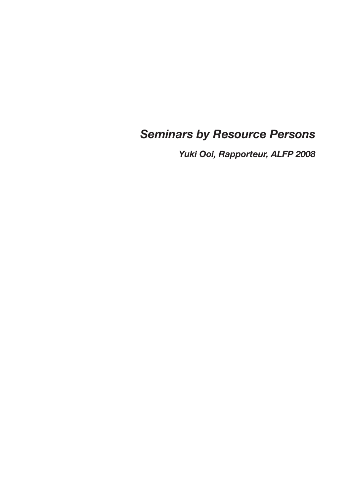# *Seminars by Resource Persons*

*Yuki Ooi, Rapporteur, ALFP 2008*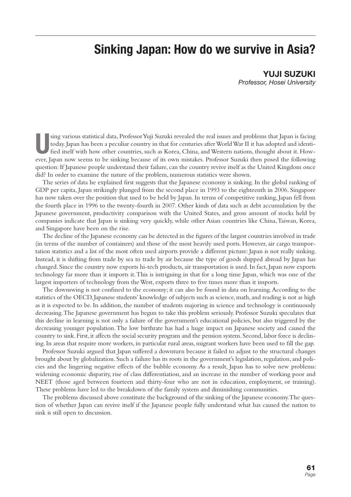# **Sinking Japan: How do we survive in Asia?**

**YUJI SUZUKI** *Professor, Hosei University*

**U**sing various statistical data, Professor Yuji Suzuki revealed the real issues and problems that Japan is facing<br>today. Japan has been a peculiar country in that for centuries after World War II it has adopted and ident sing various statistical data, Professor Yuji Suzuki revealed the real issues and problems that Japan is facing today. Japan has been a peculiar country in that for centuries after World War II it has adopted and identified itself with how other countries, such as Korea, China, and Western nations, thought about it. Howquestion: If Japanese people understand their failure, can the country revive itself as the United Kingdom once did? In order to examine the nature of the problem, numerous statistics were shown.

The series of data he explained first suggests that the Japanese economy is sinking. In the global ranking of GDP per capita, Japan strikingly plunged from the second place in 1993 to the eighteenth in 2006. Singapore has now taken over the position that used to be held by Japan. In terms of competitive ranking, Japan fell from the fourth place in 1996 to the twenty-fourth in 2007. Other kinds of data such as debt accumulation by the Japanese government, productivity comparison with the United States, and gross amount of stocks held by companies indicate that Japan is sinking very quickly, while other Asian countries like China, Taiwan, Korea, and Singapore have been on the rise.

The decline of the Japanese economy can be detected in the figures of the largest countries involved in trade (in terms of the number of containers) and those of the most heavily used ports. However, air cargo transportation statistics and a list of the most often used airports provide a different picture: Japan is not really sinking. Instead, it is shifting from trade by sea to trade by air because the type of goods shipped abroad by Japan has changed. Since the country now exports hi-tech products, air transportation is used. In fact, Japan now exports technology far more than it imports it. This is intriguing in that for a long time Japan, which was one of the largest importers of technology from the West, exports three to five times more than it imports.

The downswing is not confined to the economy; it can also be found in data on learning. According to the statistics of the OECD, Japanese students' knowledge of subjects such as science, math, and reading is not as high as it is expected to be. In addition, the number of students majoring in science and technology is continuously decreasing. The Japanese government has begun to take this problem seriously. Professor Suzuki speculates that this decline in learning is not only a failure of the government's educational policies, but also triggered by the decreasing younger population. The low birthrate has had a huge impact on Japanese society and caused the country to sink. First, it affects the social security program and the pension system. Second, labor force is declining. In areas that require more workers, in particular rural areas, migrant workers have been used to fill the gap.

Professor Suzuki argued that Japan suffered a downturn because it failed to adjust to the structural changes brought about by globalization. Such a failure has its roots in the government's legislation, regulation, and policies and the lingering negative effects of the bubble economy. As a result, Japan has to solve new problems: widening economic disparity, rise of class differentiation, and an increase in the number of working poor and NEET (those aged between fourteen and thirty-four who are not in education, employment, or training). These problems have led to the breakdown of the family system and diminishing communities.

The problems discussed above constitute the background of the sinking of the Japanese economy. The question of whether Japan can revive itself if the Japanese people fully understand what has caused the nation to sink is still open to discussion.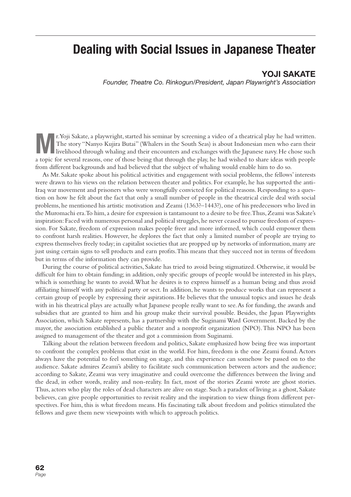## **Dealing with Social Issues in Japanese Theater**

### **YOJI SAKATE**

*Founder, Theatre Co. Rinkogun/President, Japan Playwright's Association*

**Marting 1. Yoji Sakate, a playwright, started his seminar by screening a video of a theatrical play he had written.**<br>The story "Nanyo Kujira Butai" (Whalers in the South Seas) is about Indonesian men who earn their liveli The story "Nanyo Kujira Butai" (Whalers in the South Seas) is about Indonesian men who earn their a topic for several reasons, one of those being that through the play, he had wished to share ideas with people from different backgrounds and had believed that the subject of whaling would enable him to do so.

As Mr. Sakate spoke about his political activities and engagement with social problems, the fellows' interests were drawn to his views on the relation between theater and politics. For example, he has supported the anti-Iraq war movement and prisoners who were wrongfully convicted for political reasons. Responding to a question on how he felt about the fact that only a small number of people in the theatrical circle deal with social problems, he mentioned his artistic motivation and Zeami (1363?–1443?), one of his predecessors who lived in the Muromachi era. To him, a desire for expression is tantamount to a desire to be free. Thus, Zeami was Sakate's inspiration: Faced with numerous personal and political struggles, he never ceased to pursue freedom of expression. For Sakate, freedom of expression makes people freer and more informed, which could empower them to confront harsh realities. However, he deplores the fact that only a limited number of people are trying to express themselves freely today; in capitalist societies that are propped up by networks of information, many are just using certain signs to sell products and earn profits. This means that they succeed not in terms of freedom but in terms of the information they can provide.

During the course of political activities, Sakate has tried to avoid being stigmatized. Otherwise, it would be difficult for him to obtain funding; in addition, only specific groups of people would be interested in his plays, which is something he wants to avoid. What he desires is to express himself as a human being and thus avoid affiliating himself with any political party or sect. In addition, he wants to produce works that can represent a certain group of people by expressing their aspirations. He believes that the unusual topics and issues he deals with in his theatrical plays are actually what Japanese people really want to see. As for funding, the awards and subsidies that are granted to him and his group make their survival possible. Besides, the Japan Playwrights Association, which Sakate represents, has a partnership with the Suginami Ward Government. Backed by the mayor, the association established a public theater and a nonprofit organization (NPO). This NPO has been assigned to management of the theater and got a commission from Suginami.

Talking about the relation between freedom and politics, Sakate emphasized how being free was important to confront the complex problems that exist in the world. For him, freedom is the one Zeami found. Actors always have the potential to feel something on stage, and this experience can somehow be passed on to the audience. Sakate admires Zeami's ability to facilitate such communication between actors and the audience; according to Sakate, Zeami was very imaginative and could overcome the differences between the living and the dead, in other words, reality and non-reality. In fact, most of the stories Zeami wrote are ghost stories. Thus, actors who play the roles of dead characters are alive on stage. Such a paradox of living as a ghost, Sakate believes, can give people opportunities to revisit reality and the inspiration to view things from different perspectives. For him, this is what freedom means. His fascinating talk about freedom and politics stimulated the fellows and gave them new viewpoints with which to approach politics.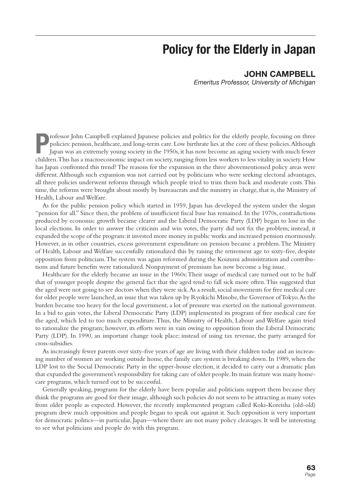# **Policy for the Elderly in Japan**

### **JOHN CAMPBELL**

*Emeritus Professor, University of Michigan*

**P** rofessor John Campbell explained Japanese policies and politics for the elderly people, focusing on three policies: pension, healthcare, and long-term care. Low birthrate lies at the core of these policies. Although Japan was an extremely young society in the 1950s, it has now become an aging society with much fewer children. This has a macroeconomic impact on society, ranging from less workers to less vitality in society. How has Japan confronted this trend? The reasons for the expansion in the three abovementioned policy areas were different. Although such expansion was not carried out by politicians who were seeking electoral advantages, all three policies underwent reforms through which people tried to trim them back and moderate costs. This time, the reforms were brought about mostly by bureaucrats and the ministry in charge, that is, the Ministry of Health, Labour and Welfare.

As for the public pension policy which started in 1959, Japan has developed the system under the slogan "pension for all." Since then, the problem of insufficient fiscal base has remained. In the 1970s, contradictions produced by economic growth became clearer and the Liberal Democratic Party (LDP) began to lose in the local elections. In order to answer the criticism and win votes, the party did not fix the problem; instead, it expanded the scope of the program: it invested more money in public works and increased pension enormously. However, as in other countries, excess government expenditure on pension became a problem. The Ministry of Health, Labour and Welfare successfully rationalized this by raising the retirement age to sixty-five, despite opposition from politicians. The system was again reformed during the Koizumi administration and contributions and future benefits were rationalized. Nonpayment of premium has now become a big issue.

Healthcare for the elderly became an issue in the 1960s: Their usage of medical care turned out to be half that of younger people despite the general fact that the aged tend to fall sick more often. This suggested that the aged were not going to see doctors when they were sick. As a result, social movements for free medical care for older people were launched, an issue that was taken up by Ryokichi Minobe, the Governor of Tokyo. As the burden became too heavy for the local government, a lot of pressure was exerted on the national government. In a bid to gain votes, the Liberal Democratic Party (LDP) implemented its program of free medical care for the aged, which led to too much expenditure. Thus, the Ministry of Health, Labour and Welfare again tried to rationalize the program; however, its efforts were in vain owing to opposition from the Liberal Democratic Party (LDP). In 1990, an important change took place; instead of using tax revenue, the party arranged for cross-subsidies.

As increasingly fewer parents over sixty-five years of age are living with their children today and an increasing number of women are working outside home, the family care system is breaking down. In 1989, when the LDP lost to the Social Democratic Party in the upper-house election, it decided to carry out a dramatic plan that expanded the government's responsibility for taking care of older people. Its main feature was many homecare programs, which turned out to be successful.

Generally speaking, programs for the elderly have been popular and politicians support them because they think the programs are good for their image, although such policies do not seem to be attracting as many votes from older people as expected. However, the recently implemented program called Koki-Koreisha (old-old) program drew much opposition and people began to speak out against it. Such opposition is very important for democratic politics—in particular, Japan—where there are not many policy cleavages. It will be interesting to see what politicians and people do with this program.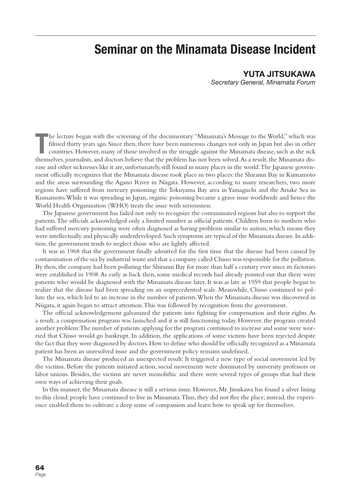# **Seminar on the Minamata Disease Incident**

### **YUTA JITSUKAWA**

*Secretary General, Minamata Forum*

The lecture began with the screening of the documentary "Minamata's Message to the World," which was filmed thirty years ago. Since then, there have been numerous changes not only in Japan but also in other countries. Howe he lecture began with the screening of the documentary "Minamata's Message to the World," which was filmed thirty years ago. Since then, there have been numerous changes not only in Japan but also in other countries. However, many of those involved in the struggle against the Minamata disease, such as the sick ease and other sicknesses like it are, unfortunately, still found in many places in the world. The Japanese government officially recognizes that the Minamata disease took place in two places: the Shiranui Bay in Kumamoto and the areas surrounding the Agano River in Niigata. However, according to many researchers, two more regions have suffered from mercury poisoning: the Tokuyama Bay area in Yamaguchi and the Ariake Sea in Kumamoto. While it was spreading in Japan, organic poisoning became a grave issue worldwide and hence the World Health Organization (WHO) treats the issue with seriousness.

The Japanese government has failed not only to recognize the contaminated regions but also to support the patients. The officials acknowledged only a limited number as official patients. Children born to mothers who had suffered mercury poisoning were often diagnosed as having problems similar to autism, which means they were intellectually and physically underdeveloped. Such symptoms are typical of the Minamata disease. In addition, the government tends to neglect those who are lightly affected.

It was in 1968 that the government finally admitted for the first time that the disease had been caused by contamination of the sea by industrial waste and that a company called Chisso was responsible for the pollution. By then, the company had been polluting the Shiranui Bay for more than half a century ever since its factories were established in 1908. As early as back then, some medical records had already pointed out that there were patients who would be diagnosed with the Minamata disease later. It was as late as 1959 that people began to realize that the disease had been spreading on an unprecedented scale. Meanwhile, Chisso continued to pollute the sea, which led to an increase in the number of patients. When the Minamata disease was discovered in Niigata, it again began to attract attention. This was followed by recognition from the government.

The official acknowledgement galvanized the patients into fighting for compensation and their rights. As a result, a compensation program was launched and it is still functioning today. However, the program created another problem: The number of patients applying for the program continued to increase and some were worried that Chisso would go bankrupt. In addition, the applications of some victims have been rejected despite the fact that they were diagnosed by doctors. How to define who should be officially recognized as a Minamata patient has been an unresolved issue and the government policy remains undefined.

The Minamata disease produced an unexpected result: It triggered a new type of social movement led by the victims. Before the patients initiated action, social movements were dominated by university professors or labor unions. Besides, the victims are never monolithic and there were several types of groups that had their own ways of achieving their goals.

In this manner, the Minamata disease is still a serious issue. However, Mr. Jitsukawa has found a silver lining to this cloud: people have continued to live in Minamata. Thus, they did not flee the place; instead, the experience enabled them to cultivate a deep sense of compassion and learn how to speak up for themselves.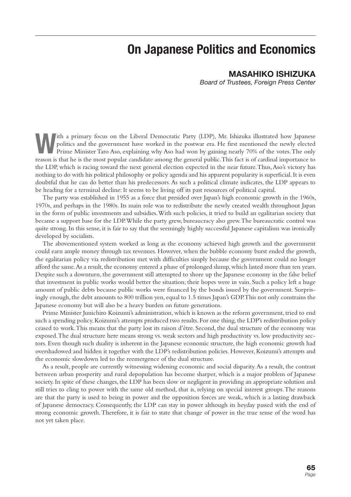# **On Japanese Politics and Economics**

### **MASAHIKO ISHIZUKA**

*Board of Trustees, Foreign Press Center*

The a primary focus on the Liberal Democratic Party (LDP), Mr. Ishizuka illustrated how Japanese politics and the government have worked in the postwar era. He first mentioned the newly elected Prime Minister Taro Aso, exp politics and the government have worked in the postwar era. He first mentioned the newly elected reason is that he is the most popular candidate among the general public. This fact is of cardinal importance to the LDP, which is racing toward the next general election expected in the near future. Thus, Aso's victory has nothing to do with his political philosophy or policy agenda and his apparent popularity is superficial. It is even doubtful that he can do better than his predecessors. As such a political climate indicates, the LDP appears to be heading for a terminal decline: It seems to be living off its past resources of political capital.

The party was established in 1955 as a force that presided over Japan's high economic growth in the 1960s, 1970s, and perhaps in the 1980s. Its main role was to redistribute the newly created wealth throughout Japan in the form of public investments and subsidies. With such policies, it tried to build an egalitarian society that became a support base for the LDP. While the party grew, bureaucracy also grew. The bureaucratic control was quite strong. In this sense, it is fair to say that the seemingly highly successful Japanese capitalism was ironically developed by socialists.

The abovementioned system worked as long as the economy achieved high growth and the government could earn ample money through tax revenues. However, when the bubble economy burst ended the growth, the egalitarian policy via redistribution met with difficulties simply because the government could no longer afford the same. As a result, the economy entered a phase of prolonged slump, which lasted more than ten years. Despite such a downturn, the government still attempted to shore up the Japanese economy in the false belief that investment in public works would better the situation; their hopes were in vain. Such a policy left a huge amount of public debts because public works were financed by the bonds issued by the government. Surprisingly enough, the debt amounts to 800 trillion yen, equal to 1.5 times Japan's GDP. This not only constrains the Japanese economy but will also be a heavy burden on future generations.

Prime Minister Junichiro Koizumi's administration, which is known as the reform government, tried to end such a spending policy. Koizumi's attempts produced two results. For one thing, the LDP's redistribution policy ceased to work. This means that the party lost its raison d'être. Second, the dual structure of the economy was exposed. The dual structure here means strong vs. weak sectors and high productivity vs. low productivity sectors. Even though such duality is inherent in the Japanese economic structure, the high economic growth had overshadowed and hidden it together with the LDP's redistribution policies. However, Koizumi's attempts and the economic slowdown led to the reemergence of the dual structure.

As a result, people are currently witnessing widening economic and social disparity. As a result, the contrast between urban prosperity and rural depopulation has become sharper, which is a major problem of Japanese society. In spite of these changes, the LDP has been slow or negligent in providing an appropriate solution and still tries to cling to power with the same old method, that is, relying on special interest groups. The reasons are that the party is used to being in power and the opposition forces are weak, which is a lasting drawback of Japanese democracy. Consequently, the LDP can stay in power although its heyday passed with the end of strong economic growth. Therefore, it is fair to state that change of power in the true sense of the word has not yet taken place.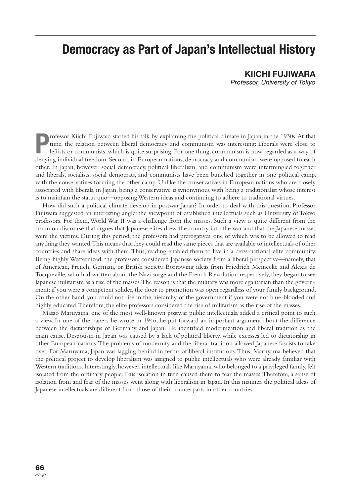# **Democracy as Part of Japan's Intellectual History**

**KIICHI FUJIWARA** *Professor, University of Tokyo*

**P**ordessor Kiichi Fujiwara started his talk by explaining the political climate in Japan in the 1930s. At that<br>
time, the relation between liberal democracy and communism was interesting: Liberals were close to<br>
leftists rofessor Kiichi Fujiwara started his talk by explaining the political climate in Japan in the 1930s. At that time, the relation between liberal democracy and communism was interesting: Liberals were close to leftists or communists, which is quite surprising. For one thing, communism is now regarded as a way of other. In Japan, however, social democracy, political liberalism, and communism were intermingled together and liberals, socialists, social democrats, and communists have been bunched together in one political camp, with the conservatives forming the other camp. Unlike the conservatives in European nations who are closely associated with liberals, in Japan, being a conservative is synonymous with being a traditionalist whose interest is to maintain the status quo—opposing Western ideas and continuing to adhere to traditional virtues.

How did such a political climate develop in postwar Japan? In order to deal with this question, Professor Fujiwara suggested an interesting angle: the viewpoint of established intellectuals such as University of Tokyo professors. For them, World War II was a challenge from the masses. Such a view is quite different from the common discourse that argues that Japanese elites drew the country into the war and that the Japanese masses were the victims. During this period, the professors had prerogatives, one of which was to be allowed to read anything they wanted. This means that they could read the same pieces that are available to intellectuals of other countries and share ideas with them. Thus, reading enabled them to live in a cross-national elite community. Being highly Westernized, the professors considered Japanese society from a liberal perspective—namely, that of American, French, German, or British society. Borrowing ideas from Friedrich Meinecke and Alexis de Tocqueville, who had written about the Nazi surge and the French Revolution respectively, they began to see Japanese militarism as a rise of the masses. The reason is that the military was more egalitarian than the government: if you were a competent solider, the door to promotion was open regardless of your family background. On the other hand, you could not rise in the hierarchy of the government if you were not blue-blooded and highly educated. Therefore, the elite professors considered the rise of militarism as the rise of the masses.

Masao Maruyama, one of the most well-known postwar public intellectuals, added a critical point to such a view. In one of the papers he wrote in 1946, he put forward an important argument about the difference between the dictatorships of Germany and Japan. He identified modernization and liberal tradition as the main cause. Despotism in Japan was caused by a lack of political liberty, while excesses led to dictatorship in other European nations. The problems of modernity and the liberal tradition allowed Japanese fascists to take over. For Maruyama, Japan was lagging behind in terms of liberal institutions. Thus, Maruyama believed that the political project to develop liberalism was assigned to public intellectuals who were already familiar with Western traditions. Interestingly, however, intellectuals like Maruyama, who belonged to a privileged family, felt isolated from the ordinary people. This isolation in turn caused them to fear the masses. Therefore, a sense of isolation from and fear of the masses went along with liberalism in Japan. In this manner, the political ideas of Japanese intellectuals are different from those of their counterparts in other countries.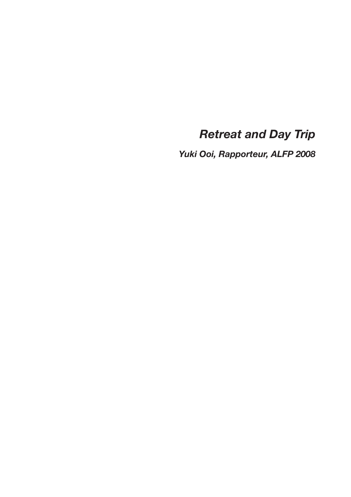# *Retreat and Day Trip*

*Yuki Ooi, Rapporteur, ALFP 2008*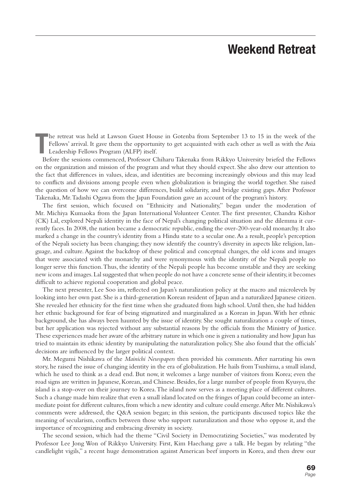# **Weekend Retreat**

**T** he retreat was held at Lawson Guest House in Gotenba from September 13 to 15 in the week of the Fellows' arrival. It gave them the opportunity to get acquainted with each other as well as with the Asia Leadership Fellows Program (ALFP) itself.

Before the sessions commenced, Professor Chiharu Takenaka from Rikkyo University briefed the Fellows on the organization and mission of the program and what they should expect. She also drew our attention to the fact that differences in values, ideas, and identities are becoming increasingly obvious and this may lead to conflicts and divisions among people even when globalization is bringing the world together. She raised the question of how we can overcome differences, build solidarity, and bridge existing gaps. After Professor Takenaka, Mr. Tadashi Ogawa from the Japan Foundation gave an account of the program's history.

The first session, which focused on "Ethnicity and Nationality," began under the moderation of Mr. Michiya Kumaoka from the Japan International Volunteer Center. The first presenter, Chandra Kishor (CK) Lal, explored Nepali identity in the face of Nepal's changing political situation and the dilemma it currently faces. In 2008, the nation became a democratic republic, ending the over-200-year-old monarchy. It also marked a change in the country's identity from a Hindu state to a secular one. As a result, people's perception of the Nepali society has been changing; they now identify the country's diversity in aspects like religion, language, and culture. Against the backdrop of these political and conceptual changes, the old icons and images that were associated with the monarchy and were synonymous with the identity of the Nepali people no longer serve this function. Thus, the identity of the Nepali people has become unstable and they are seeking new icons and images. Lal suggested that when people do not have a concrete sense of their identity, it becomes difficult to achieve regional cooperation and global peace.

The next presenter, Lee Soo im, reflected on Japan's naturalization policy at the macro and microlevels by looking into her own past. She is a third-generation Korean resident of Japan and a naturalized Japanese citizen. She revealed her ethnicity for the first time when she graduated from high school. Until then, she had hidden her ethnic background for fear of being stigmatized and marginalized as a Korean in Japan. With her ethnic background, she has always been haunted by the issue of identity. She sought naturalization a couple of times, but her application was rejected without any substantial reasons by the officials from the Ministry of Justice. These experiences made her aware of the arbitrary nature in which one is given a nationality and how Japan has tried to maintain its ethnic identity by manipulating the naturalization policy. She also found that the officials' decisions are influenced by the larger political context.

Mr. Megumi Nishikawa of the *Mainichi Newspapers* then provided his comments. After narrating his own story, he raised the issue of changing identity in the era of globalization. He hails from Tsushima, a small island, which he used to think as a dead end. But now, it welcomes a large number of visitors from Korea; even the road signs are written in Japanese, Korean, and Chinese. Besides, for a large number of people from Kyusyu, the island is a stop-over on their journey to Korea. The island now serves as a meeting place of different cultures. Such a change made him realize that even a small island located on the fringes of Japan could become an intermediate point for different cultures, from which a new identity and culture could emerge. After Mr. Nishikawa's comments were addressed, the Q&A session began; in this session, the participants discussed topics like the meaning of secularism, conflicts between those who support naturalization and those who oppose it, and the importance of recognizing and embracing diversity in society.

The second session, which had the theme "Civil Society in Democratizing Societies," was moderated by Professor Lee Jong Won of Rikkyo University. First, Kim Haechang gave a talk. He began by relating "the candlelight vigils," a recent huge demonstration against American beef imports in Korea, and then drew our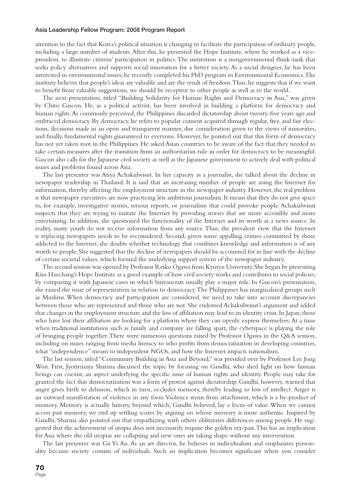#### **Asia Leadership Fellow Program: 2008 Program Report**

attention to the fact that Korea's political situation is changing to facilitate the participation of ordinary people, including a large number of students. After this, he presented the Hope Institute, where he worked as a vicepresident, to illustrate citizens' participation in politics. The institution is a nongovernmental think-tank that seeks policy alternatives and supports social innovation for a better society. As a social designer, he has been interested in environmental issues; he recently completed his PhD program in Environmental Economics. The institute believes that people's ideas are valuable and are the result of freedom. Thus, he suggests that if we want to benefit from valuable suggestions, we should be receptive to other people as well as to the world.

The next presentation, titled "Building Solidarity for Human Rights and Democracy in Asia," was given by Chito Gascon. He, as a political activist, has been involved in building a platform for democracy and human rights. As commonly perceived, the Philippines discarded dictatorship about twenty-five years ago and embraced democracy. By democracy, he refers to popular consent acquired through regular, free, and fair elections, decisions made in an open and transparent manner, due consideration given to the views of minorities, and finally, fundamental rights guaranteed to everyone. However, he pointed out that this form of democracy has not yet taken root in the Philippines. He asked Asian countries to be aware of the fact that they needed to take certain measures after the transition from an authoritarian rule in order for democracy to be meaningful. Gascon also calls for the Japanese civil society as well as the Japanese government to actively deal with political issues and problems found across Asia.

The last presenter was Atiya Achakulwisut. In her capacity as a journalist, she talked about the decline in newspaper readership in Thailand. It is said that an increasing number of people are using the Internet for information, thereby affecting the employment structure in the newspaper industry. However, the real problem is that newspaper executives are now practicing less ambitious journalism. It means that they do not give space to, for example, investigative stories, serious reports, or journalism that could provoke people. Achakulwisut suspects that they are trying to imitate the Internet by providing stories that are more accessible and more entertaining. In addition, she questioned the functionality of the Internet and its worth as a news source. In reality, many youth do not receive information from any source. Thus, the prevalent view that the Internet is replacing newspapers needs to be reconsidered. Second, given some appalling crimes committed by those addicted to the Internet, she doubts whether technology that combines knowledge and information is of any worth to people. She suggested that the decline of newspapers should be accounted for in line with the decline of certain societal values, which formed the underlying support system of the newspaper industry.

The second session was opened by Professor Reiko Ogawa from Kyusyu University. She began by presenting Kim Haechang's Hope Institute as a good example of how civil society works and contributes to social policies, by comparing it with Japanese cases in which bureaucrats usually play a major role. In Gascon's presentation, she raised the issue of representation in relation to democracy. The Philippines has marginalized groups such as Muslims. When democracy and participation are considered, we need to take into account discrepancies between those who are represented and those who are not. She endorsed Achakulwisut's argument and added that changes in the employment structure and the loss of affiliation may lead to an identity crisis. In Japan, those who have lost their affiliation are looking for a platform where they can openly express themselves. At a time when traditional institutions such as family and company are falling apart, the cyberspace is playing the role of bringing people together. There were numerous questions raised by Professor Ogawa in the Q&A session, including on issues ranging from media literacy to who profits from democratization in developing countries, what "independence" means to independent NGOs, and how the Internet impacts nationalism.

The last session, titled "Community Building in Asia and Beyond," was presided over by Professor Lee Jong Won. First, Jyotirmaya Sharma discussed the topic by focusing on Gandhi, who shed light on how human beings can coexist, an aspect underlying the specific issue of human rights and identity. People may take for granted the fact that democratization was a form of protest against dictatorship. Gandhi, however, warned that anger gives birth to delusion, which in turn, occludes memory, thereby leading to loss of intellect. Anger is an outward manifestation of violence in any form. Violence stems from attachment, which is a by-product of memory. Memory is actually history, beyond which, Gandhi believed, lay a locus of value. When we cannot access past memory, we end up settling scores by arguing on whose memory is more authentic. Inspired by Gandhi, Sharma also pointed out that empathizing with others obliterates differences among people. He suggested that the achievement of utopia does not necessarily require the golden era/past. This has an implication for Asia where the old utopias are collapsing and new ones are taking shape without any intervention.

The last presenter was Gu Yi An. As an art director, he believes in individualism and emphasizes personality because society consists of individuals. Such an implication becomes significant when you consider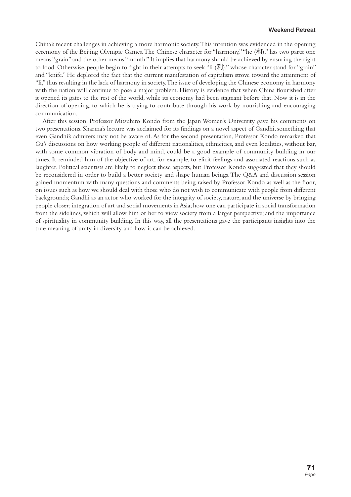China's recent challenges in achieving a more harmonic society. This intention was evidenced in the opening ceremony of the Beijing Olympic Games. The Chinese character for "harmony," "he (和)," has two parts: one means "grain" and the other means "mouth." It implies that harmony should be achieved by ensuring the right to food. Otherwise, people begin to fight in their attempts to seek "li  $(\vec{\pi})$ ", whose character stand for "grain" and "knife." He deplored the fact that the current manifestation of capitalism strove toward the attainment of "li," thus resulting in the lack of harmony in society. The issue of developing the Chinese economy in harmony with the nation will continue to pose a major problem. History is evidence that when China flourished after it opened its gates to the rest of the world, while its economy had been stagnant before that. Now it is in the direction of opening, to which he is trying to contribute through his work by nourishing and encouraging communication.

After this session, Professor Mitsuhiro Kondo from the Japan Women's University gave his comments on two presentations. Sharma's lecture was acclaimed for its findings on a novel aspect of Gandhi, something that even Gandhi's admirers may not be aware of. As for the second presentation, Professor Kondo remarked that Gu's discussions on how working people of different nationalities, ethnicities, and even localities, without bar, with some common vibration of body and mind, could be a good example of community building in our times. It reminded him of the objective of art, for example, to elicit feelings and associated reactions such as laughter. Political scientists are likely to neglect these aspects, but Professor Kondo suggested that they should be reconsidered in order to build a better society and shape human beings. The Q&A and discussion session gained momentum with many questions and comments being raised by Professor Kondo as well as the floor, on issues such as how we should deal with those who do not wish to communicate with people from different backgrounds; Gandhi as an actor who worked for the integrity of society, nature, and the universe by bringing people closer; integration of art and social movements in Asia; how one can participate in social transformation from the sidelines, which will allow him or her to view society from a larger perspective; and the importance of spirituality in community building. In this way, all the presentations gave the participants insights into the true meaning of unity in diversity and how it can be achieved.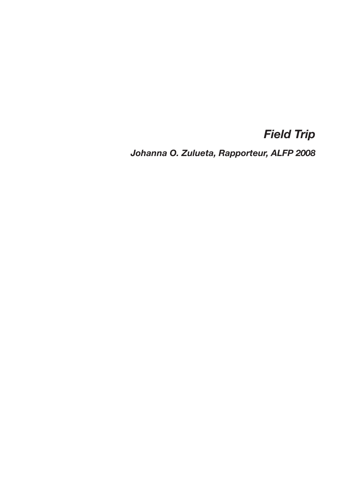## *Field Trip*

*Johanna O. Zulueta, Rapporteur, ALFP 2008*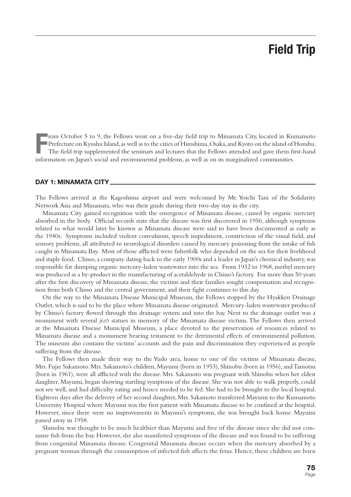# **Field Trip**

**F** rom October 5 to 9, the Fellows went on a five-day field trip to Minamata City, located in Kumamoto Prefecture on Kyushu Island, as well as to the cities of Hiroshima, Osaka, and Kyoto on the island of Honshu. The field trip supplemented the seminars and lectures that the Fellows attended and gave them first-hand information on Japan's social and environmental problems, as well as on its marginalized communities.

#### **DAY 1: MINAMATA CITY**

The Fellows arrived at the Kagoshima airport and were welcomed by Mr. Yoichi Tani of the Solidarity Network Asia and Minamata, who was their guide during their two-day stay in the city.

Minamata City gained recognition with the emergence of Minamata disease, caused by organic mercury absorbed in the body. Official records state that the disease was first discovered in 1956, although symptoms related to what would later be known as Minamata disease were said to have been documented as early as the 1940s. Symptoms included violent convulsions, speech impediment, constriction of the visual field, and sensory problems, all attributed to neurological disorders caused by mercury poisoning from the intake of fish caught in Minamata Bay. Most of those afflicted were fisherfolk who depended on the sea for their livelihood and staple food. Chisso, a company dating back to the early 1900s and a leader in Japan's chemical industry, was responsible for dumping organic mercury-laden wastewater into the sea. From 1932 to 1968, methyl mercury was produced as a by-product in the manufacturing of acetaldehyde in Chisso's factory. For more than 50 years after the first discovery of Minamata disease, the victims and their families sought compensation and recognition from both Chisso and the central government, and their fight continues to this day.

On the way to the Minamata Disease Municipal Museum, the Fellows stopped by the Hyakken Drainage Outlet, which is said to be the place where Minamata disease originated. Mercury-laden wastewater produced by Chisso's factory flowed through this drainage system and into the bay. Next to the drainage outlet was a monument with several *jiz*ō statues in memory of the Minamata disease victims. The Fellows then arrived at the Minamata Disease Municipal Museum, a place devoted to the preservation of resources related to Minamata disease and a monument bearing testament to the detrimental effects of environmental pollution. The museum also contains the victims' accounts and the pain and discrimination they experienced as people suffering from the disease.

The Fellows then made their way to the Yudo area, home to one of the victims of Minamata disease, Mrs. Fujie Sakamoto. Mrs. Sakamoto's children, Mayumi (born in 1953), Shinobu (born in 1956), and Tamotsu (born in 1961), were all afflicted with the disease. Mrs. Sakamoto was pregnant with Shinobu when her eldest daughter, Mayumi, began showing startling symptoms of the disease. She was not able to walk properly, could not see well, and had difficulty eating and hence needed to be fed. She had to be brought to the local hospital. Eighteen days after the delivery of her second daughter, Mrs. Sakamoto transferred Mayumi to the Kumamoto University Hospital where Mayumi was the first patient with Minamata disease to be confined at the hospital. However, since there were no improvements in Mayumi's symptoms, she was brought back home. Mayumi passed away in 1958.

Shinobu was thought to be much healthier than Mayumi and free of the disease since she did not consume fish from the bay. However, she also manifested symptoms of the disease and was found to be suffering from congenital Minamata disease. Congenital Minamata disease occurs when the mercury absorbed by a pregnant woman through the consumption of infected fish affects the fetus. Hence, these children are born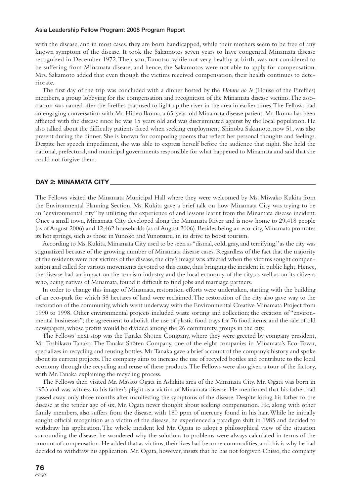#### **Asia Leadership Fellow Program: 2008 Program Report**

with the disease, and in most cases, they are born handicapped, while their mothers seem to be free of any known symptom of the disease. It took the Sakamotos seven years to have congenital Minamata disease recognized in December 1972. Their son, Tamotsu, while not very healthy at birth, was not considered to be suffering from Minamata disease, and hence, the Sakamotos were not able to apply for compensation. Mrs. Sakamoto added that even though the victims received compensation, their health continues to deteriorate.

The first day of the trip was concluded with a dinner hosted by the *Hotaru no Ie* (House of the Fireflies) members, a group lobbying for the compensation and recognition of the Minamata disease victims. The association was named after the fireflies that used to light up the river in the area in earlier times. The Fellows had an engaging conversation with Mr. Hideo Ikoma, a 65-year-old Minamata disease patient. Mr. Ikoma has been afflicted with the disease since he was 15 years old and was discriminated against by the local population. He also talked about the difficulty patients faced when seeking employment. Shinobu Sakamoto, now 51, was also present during the dinner. She is known for composing poems that reflect her personal thoughts and feelings. Despite her speech impediment, she was able to express herself before the audience that night. She held the national, prefectural, and municipal governments responsible for what happened to Minamata and said that she could not forgive them.

#### **DAY 2: MINAMATA CITY**

The Fellows visited the Minamata Municipal Hall where they were welcomed by Ms. Miwako Kukita from the Environmental Planning Section. Ms. Kukita gave a brief talk on how Minamata City was trying to be an "environmental city" by utilizing the experience of and lessons learnt from the Minamata disease incident. Once a small town, Minamata City developed along the Minamata River and is now home to 29,418 people (as of August 2006) and 12,462 households (as of August 2006). Besides being an eco-city, Minamata promotes its hot springs, such as those in Yunoko and Yunotsuru, in its drive to boost tourism.

According to Ms. Kukita, Minamata City used to be seen as "dismal, cold, gray, and terrifying," as the city was stigmatized because of the growing number of Minamata disease cases. Regardless of the fact that the majority of the residents were not victims of the disease, the city's image was affected when the victims sought compensation and called for various movements devoted to this cause, thus bringing the incident in public light. Hence, the disease had an impact on the tourism industry and the local economy of the city, as well as on its citizens who, being natives of Minamata, found it difficult to find jobs and marriage partners.

In order to change this image of Minamata, restoration efforts were undertaken, starting with the building of an eco-park for which 58 hectares of land were reclaimed. The restoration of the city also gave way to the restoration of the community, which went underway with the Environmental Creative Minamata Project from 1990 to 1998. Other environmental projects included waste sorting and collection; the creation of "environmental businesses"; the agreement to abolish the use of plastic food trays for 76 food items; and the sale of old newspapers, whose profits would be divided among the 26 community groups in the city.

The Fellows' next stop was the Tanaka Shōten Company, where they were greeted by company president, Mr. Toshikazu Tanaka. The Tanaka Shōten Company, one of the eight companies in Minamata's Eco-Town, specializes in recycling and reusing bottles. Mr. Tanaka gave a brief account of the company's history and spoke about its current projects. The company aims to increase the use of recycled bottles and contribute to the local economy through the recycling and reuse of these products. The Fellows were also given a tour of the factory, with Mr. Tanaka explaining the recycling process.

The Fellows then visited Mr. Masato Ogata in Ashikita area of the Minamata City. Mr. Ogata was born in 1953 and was witness to his father's plight as a victim of Minamata disease. He mentioned that his father had passed away only three months after manifesting the symptoms of the disease. Despite losing his father to the disease at the tender age of six, Mr. Ogata never thought about seeking compensation. He, along with other family members, also suffers from the disease, with 180 ppm of mercury found in his hair. While he initially sought official recognition as a victim of the disease, he experienced a paradigm shift in 1985 and decided to withdraw his application. The whole incident led Mr. Ogata to adopt a philosophical view of the situation surrounding the disease; he wondered why the solutions to problems were always calculated in terms of the amount of compensation. He added that as victims, their lives had become commodities, and this is why he had decided to withdraw his application. Mr. Ogata, however, insists that he has not forgiven Chisso, the company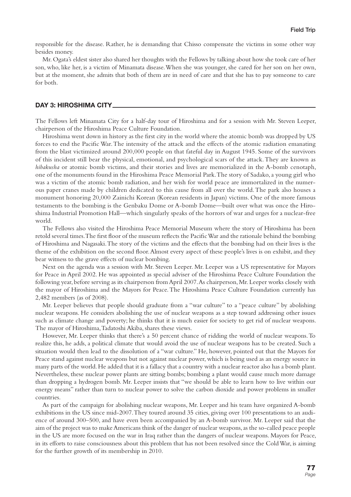responsible for the disease. Rather, he is demanding that Chisso compensate the victims in some other way besides money.

Mr. Ogata's eldest sister also shared her thoughts with the Fellows by talking about how she took care of her son, who, like her, is a victim of Minamata disease. When she was younger, she cared for her son on her own, but at the moment, she admits that both of them are in need of care and that she has to pay someone to care for both.

#### **DAY 3: HIROSHIMA CITY**

The Fellows left Minamata City for a half-day tour of Hiroshima and for a session with Mr. Steven Leeper, chairperson of the Hiroshima Peace Culture Foundation.

Hiroshima went down in history as the first city in the world where the atomic bomb was dropped by US forces to end the Pacific War. The intensity of the attack and the effects of the atomic radiation emanating from the blast victimized around 200,000 people on that fateful day in August 1945. Some of the survivors of this incident still bear the physical, emotional, and psychological scars of the attack. They are known as *hibakusha* or atomic bomb victims, and their stories and lives are memorialized in the A-bomb cenotaph, one of the monuments found in the Hiroshima Peace Memorial Park. The story of Sadako, a young girl who was a victim of the atomic bomb radiation, and her wish for world peace are immortalized in the numerous paper cranes made by children dedicated to this cause from all over the world. The park also houses a monument honoring 20,000 Zainichi Korean (Korean residents in Japan) victims. One of the more famous testaments to the bombing is the Genbaku Dome or A-bomb Dome—built over what was once the Hiroshima Industrial Promotion Hall—which singularly speaks of the horrors of war and urges for a nuclear-free world.

The Fellows also visited the Hiroshima Peace Memorial Museum where the story of Hiroshima has been retold several times. The first floor of the museum reflects the Pacific War and the rationale behind the bombing of Hiroshima and Nagasaki. The story of the victims and the effects that the bombing had on their lives is the theme of the exhibition on the second floor. Almost every aspect of these people's lives is on exhibit, and they bear witness to the grave effects of nuclear bombing.

Next on the agenda was a session with Mr. Steven Leeper. Mr. Leeper was a US representative for Mayors for Peace in April 2002. He was appointed as special adviser of the Hiroshima Peace Culture Foundation the following year, before serving as its chairperson from April 2007. As chairperson, Mr. Leeper works closely with the mayor of Hiroshima and the Mayors for Peace. The Hiroshima Peace Culture Foundation currently has 2,482 members (as of 2008).

Mr. Leeper believes that people should graduate from a "war culture" to a "peace culture" by abolishing nuclear weapons. He considers abolishing the use of nuclear weapons as a step toward addressing other issues such as climate change and poverty; he thinks that it is much easier for society to get rid of nuclear weapons. The mayor of Hiroshima, Tadatoshi Akiba, shares these views.

However, Mr. Leeper thinks that there's a 50 percent chance of ridding the world of nuclear weapons. To realize this, he adds, a political climate that would avoid the use of nuclear weapons has to be created. Such a situation would then lead to the dissolution of a "war culture." He, however, pointed out that the Mayors for Peace stand against nuclear weapons but not against nuclear power, which is being used as an energy source in many parts of the world. He added that it is a fallacy that a country with a nuclear reactor also has a bomb plant. Nevertheless, these nuclear power plants are sitting bombs; bombing a plant would cause much more damage than dropping a hydrogen bomb. Mr. Leeper insists that "we should be able to learn how to live within our energy means" rather than turn to nuclear power to solve the carbon dioxide and power problems in smaller countries.

As part of the campaign for abolishing nuclear weapons, Mr. Leeper and his team have organized A-bomb exhibitions in the US since mid-2007. They toured around 35 cities, giving over 100 presentations to an audience of around 300–500, and have even been accompanied by an A-bomb survivor. Mr. Leeper said that the aim of the project was to make Americans think of the danger of nuclear weapons, as the so-called peace people in the US are more focused on the war in Iraq rather than the dangers of nuclear weapons. Mayors for Peace, in its efforts to raise consciousness about this problem that has not been resolved since the Cold War, is aiming for the further growth of its membership in 2010.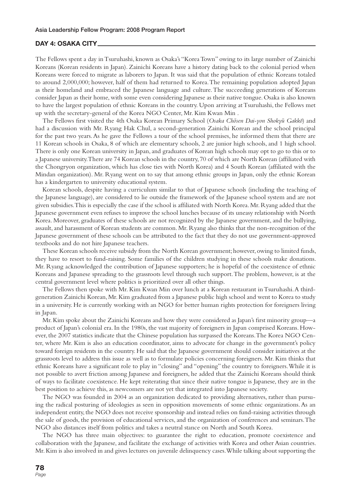#### **DAY 4: OSAKA CITY**

The Fellows spent a day in Tsuruhashi, known as Osaka's "Korea Town" owing to its large number of Zainichi Koreans (Korean residents in Japan). Zainichi Koreans have a history dating back to the colonial period when Koreans were forced to migrate as laborers to Japan. It was said that the population of ethnic Koreans totaled to around 2,000,000; however, half of them had returned to Korea. The remaining population adopted Japan as their homeland and embraced the Japanese language and culture. The succeeding generations of Koreans consider Japan as their home, with some even considering Japanese as their native tongue. Osaka is also known to have the largest population of ethnic Koreans in the country. Upon arriving at Tsuruhashi, the Fellows met up with the secretary-general of the Korea NGO Center, Mr. Kim Kwan Min .

The Fellows first visited the 4th Osaka Korean Primary School (Osaka Chōsen Dai-yon Shokyū Gakkō) and had a discussion with Mr. Ryang Hak Chul, a second-generation Zainichi Korean and the school principal for the past two years. As he gave the Fellows a tour of the school premises, he informed them that there are 11 Korean schools in Osaka, 8 of which are elementary schools, 2 are junior high schools, and 1 high school. There is only one Korean university in Japan, and graduates of Korean high schools may opt to go to this or to a Japanese university. There are 74 Korean schools in the country, 70 of which are North Korean (affiliated with the Chongryon organization, which has close ties with North Korea) and 4 South Korean (affiliated with the Mindan organization). Mr. Ryang went on to say that among ethnic groups in Japan, only the ethnic Korean has a kindergarten to university educational system.

Korean schools, despite having a curriculum similar to that of Japanese schools (including the teaching of the Japanese language), are considered to lie outside the framework of the Japanese school system and are not given subsidies. This is especially the case if the school is affiliated with North Korea. Mr. Ryang added that the Japanese government even refuses to improve the school lunches because of its uneasy relationship with North Korea. Moreover, graduates of these schools are not recognized by the Japanese government, and the bullying, assault, and harassment of Korean students are common. Mr. Ryang also thinks that the non-recognition of the Japanese government of these schools can be attributed to the fact that they do not use government-approved textbooks and do not hire Japanese teachers.

These Korean schools receive subsidy from the North Korean government; however, owing to limited funds, they have to resort to fund-raising. Some families of the children studying in these schools make donations. Mr. Ryang acknowledged the contribution of Japanese supporters; he is hopeful of the coexistence of ethnic Koreans and Japanese spreading to the grassroots level through such support. The problem, however, is at the central government level where politics is prioritized over all other things.

The Fellows then spoke with Mr. Kim Kwan Min over lunch at a Korean restaurant in Tsuruhashi. A thirdgeneration Zainichi Korean, Mr. Kim graduated from a Japanese public high school and went to Korea to study in a university. He is currently working with an NGO for better human rights protection for foreigners living in Japan.

Mr. Kim spoke about the Zainichi Koreans and how they were considered as Japan's first minority group—a product of Japan's colonial era. In the 1980s, the vast majority of foreigners in Japan comprised Koreans. However, the 2007 statistics indicate that the Chinese population has surpassed the Koreans. The Korea NGO Center, where Mr. Kim is also an education coordinator, aims to advocate for change in the government's policy toward foreign residents in the country. He said that the Japanese government should consider initiatives at the grassroots level to address this issue as well as to formulate policies concerning foreigners. Mr. Kim thinks that ethnic Koreans have a significant role to play in "closing" and "opening" the country to foreigners. While it is not possible to avert friction among Japanese and foreigners, he added that the Zainichi Koreans should think of ways to facilitate coexistence. He kept reiterating that since their native tongue is Japanese, they are in the best position to achieve this, as newcomers are not yet that integrated into Japanese society.

The NGO was founded in 2004 as an organization dedicated to providing alternatives, rather than pursuing the radical posturing of ideologies as seen in opposition movements of some ethnic organizations. As an independent entity, the NGO does not receive sponsorship and instead relies on fund-raising activities through the sale of goods, the provision of educational services, and the organization of conferences and seminars. The NGO also distances itself from politics and takes a neutral stance on North and South Korea.

The NGO has three main objectives: to guarantee the right to education, promote coexistence and collaboration with the Japanese, and facilitate the exchange of activities with Korea and other Asian countries. Mr. Kim is also involved in and gives lectures on juvenile delinquency cases. While talking about supporting the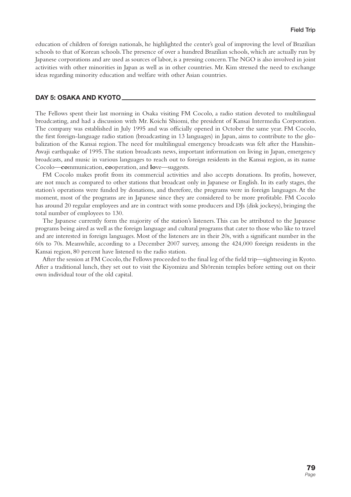education of children of foreign nationals, he highlighted the center's goal of improving the level of Brazilian schools to that of Korean schools. The presence of over a hundred Brazilian schools, which are actually run by Japanese corporations and are used as sources of labor, is a pressing concern. The NGO is also involved in joint activities with other minorities in Japan as well as in other countries. Mr. Kim stressed the need to exchange ideas regarding minority education and welfare with other Asian countries.

#### **DAY 5: OSAKA AND KYOTO**

The Fellows spent their last morning in Osaka visiting FM Cocolo, a radio station devoted to multilingual broadcasting, and had a discussion with Mr. Koichi Shiomi, the president of Kansai Intermedia Corporation. The company was established in July 1995 and was officially opened in October the same year. FM Cocolo, the first foreign-language radio station (broadcasting in 13 languages) in Japan, aims to contribute to the globalization of the Kansai region. The need for multilingual emergency broadcasts was felt after the Hanshin-Awaji earthquake of 1995. The station broadcasts news, important information on living in Japan, emergency broadcasts, and music in various languages to reach out to foreign residents in the Kansai region, as its name Cocolo—**co**mmunication, **co**operation, and **lo**ve—suggests.

FM Cocolo makes profit from its commercial activities and also accepts donations. Its profits, however, are not much as compared to other stations that broadcast only in Japanese or English. In its early stages, the station's operations were funded by donations, and therefore, the programs were in foreign languages. At the moment, most of the programs are in Japanese since they are considered to be more profitable. FM Cocolo has around 20 regular employees and are in contract with some producers and DJs (disk jockeys), bringing the total number of employees to 130.

The Japanese currently form the majority of the station's listeners. This can be attributed to the Japanese programs being aired as well as the foreign language and cultural programs that cater to those who like to travel and are interested in foreign languages. Most of the listeners are in their 20s, with a significant number in the 60s to 70s. Meanwhile, according to a December 2007 survey, among the 424,000 foreign residents in the Kansai region, 80 percent have listened to the radio station.

After the session at FM Cocolo, the Fellows proceeded to the final leg of the field trip—sightseeing in Kyoto. After a traditional lunch, they set out to visit the Kiyomizu and Shōrenin temples before setting out on their own individual tour of the old capital.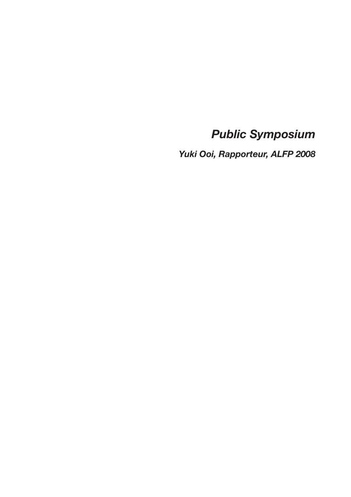*Public Symposium*

*Yuki Ooi, Rapporteur, ALFP 2008*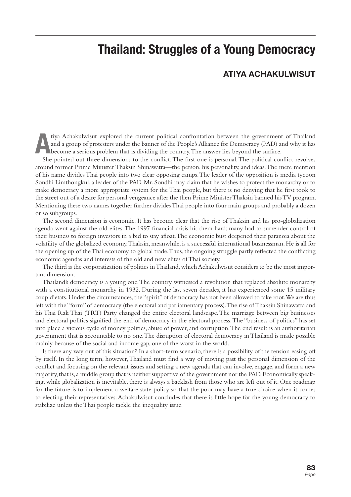## **Thailand: Struggles of a Young Democracy**

### **ATIYA ACHAKULWISUT**

The actual confrontation between the government of Thailand<br>and a group of protesters under the banner of the People's Alliance for Democracy (PAD) and why it has<br>become a serious problem that is dividing the country. The and a group of protesters under the banner of the People's Alliance for Democracy (PAD) and why it has become a serious problem that is dividing the country. The answer lies beyond the surface.

She pointed out three dimensions to the conflict. The first one is personal. The political conflict revolves around former Prime Minister Thaksin Shinawatra—the person, his personality, and ideas. The mere mention of his name divides Thai people into two clear opposing camps. The leader of the opposition is media tycoon Sondhi Limthongkul, a leader of the PAD. Mr. Sondhi may claim that he wishes to protect the monarchy or to make democracy a more appropriate system for the Thai people, but there is no denying that he first took to the street out of a desire for personal vengeance after the then Prime Minister Thaksin banned his TV program. Mentioning these two names together further divides Thai people into four main groups and probably a dozen or so subgroups.

The second dimension is economic. It has become clear that the rise of Thaksin and his pro-globalization agenda went against the old elites. The 1997 financial crisis hit them hard; many had to surrender control of their business to foreign investors in a bid to stay afloat. The economic bust deepened their paranoia about the volatility of the globalized economy. Thaksin, meanwhile, is a successful international businessman. He is all for the opening up of the Thai economy to global trade. Thus, the ongoing struggle partly reflected the conflicting economic agendas and interests of the old and new elites of Thai society.

The third is the corporatization of politics in Thailand, which Achakulwisut considers to be the most important dimension.

Thailand's democracy is a young one. The country witnessed a revolution that replaced absolute monarchy with a constitutional monarchy in 1932. During the last seven decades, it has experienced some 15 military coup d'etats. Under the circumstances, the "spirit" of democracy has not been allowed to take root. We are thus left with the "form" of democracy (the electoral and parliamentary process). The rise of Thaksin Shinawatra and his Thai Rak Thai (TRT) Party changed the entire electoral landscape. The marriage between big businesses and electoral politics signified the end of democracy in the electoral process. The "business of politics" has set into place a vicious cycle of money politics, abuse of power, and corruption. The end result is an authoritarian government that is accountable to no one. The disruption of electoral democracy in Thailand is made possible mainly because of the social and income gap, one of the worst in the world.

Is there any way out of this situation? In a short-term scenario, there is a possibility of the tension easing off by itself. In the long term, however, Thailand must find a way of moving past the personal dimension of the conflict and focusing on the relevant issues and setting a new agenda that can involve, engage, and form a new majority, that is, a middle group that is neither supportive of the government nor the PAD. Economically speaking, while globalization is inevitable, there is always a backlash from those who are left out of it. One roadmap for the future is to implement a welfare state policy so that the poor may have a true choice when it comes to electing their representatives. Achakulwisut concludes that there is little hope for the young democracy to stabilize unless the Thai people tackle the inequality issue.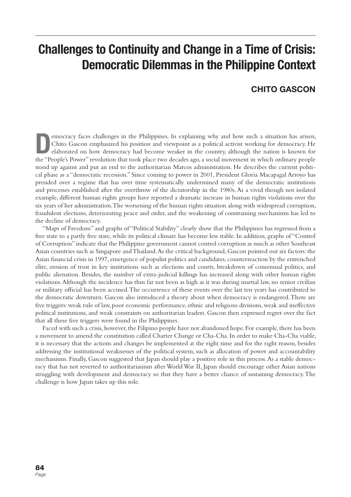## **Challenges to Continuity and Change in a Time of Crisis: Democratic Dilemmas in the Philippine Context**

### **CHITO GASCON**

**Democracy faces challenges in the Philippines. In explaining why and how such a situation has arisen, Chito Gascon emphasized his position and viewpoint as a political activist working for democracy. He elaborated on how** Chito Gascon emphasized his position and viewpoint as a political activist working for democracy. He the "People's Power" revolution that took place two decades ago, a social movement in which ordinary people stood up against and put an end to the authoritarian Marcos administration. He describes the current political phase as a "democratic recession." Since coming to power in 2001, President Gloria Macapagal Arroyo has presided over a regime that has over time systematically undermined many of the democratic institutions and processes established after the overthrow of the dictatorship in the 1980s. As a vivid though not isolated example, different human rights groups have reported a dramatic increase in human rights violations over the six years of her administration. The worsening of the human rights situation along with widespread corruption, fraudulent elections, deteriorating peace and order, and the weakening of constraining mechanisms has led to the decline of democracy.

"Maps of Freedom" and graphs of "Political Stability" clearly show that the Philippines has regressed from a free state to a partly free state, while its political climate has become less stable. In addition, graphs of "Control of Corruption" indicate that the Philippine government cannot control corruption as much as other Southeast Asian countries such as Singapore and Thailand. As the critical background, Gascon pointed out six factors: the Asian financial crisis in 1997, emergence of populist politics and candidates, counterreaction by the entrenched elite, erosion of trust in key institutions such as elections and courts, breakdown of consensual politics, and public alienation. Besides, the number of extra-judicial killings has increased along with other human rights violations. Although the incidence has thus far not been as high as it was during martial law, no senior civilian or military official has been accused. The occurrence of these events over the last ten years has contributed to the democratic downturn. Gascon also introduced a theory about when democracy is endangered. There are five triggers: weak rule of law, poor economic performance, ethnic and religious divisions, weak and ineffective political institutions, and weak constraints on authoritarian leaders. Gascon then expressed regret over the fact that all these five triggers were found in the Philippines.

Faced with such a crisis, however, the Filipino people have not abandoned hope. For example, there has been a movement to amend the constitution called Charter Change or Cha-Cha. In order to make Cha-Cha viable, it is necessary that the actions and changes be implemented at the right time and for the right reason, besides addressing the institutional weaknesses of the political system, such as allocation of power and accountability mechanisms. Finally, Gascon suggested that Japan should play a positive role in this process. As a stable democracy that has not reverted to authoritarianism after World War II, Japan should encourage other Asian nations struggling with development and democracy so that they have a better chance of sustaining democracy. The challenge is how Japan takes up this role.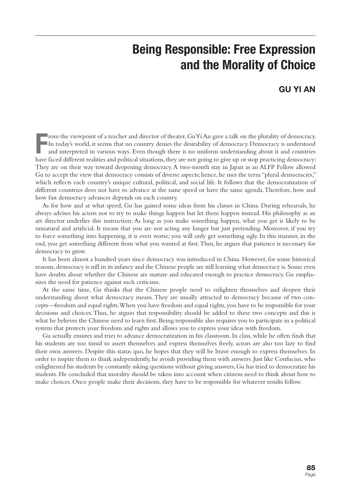# **Being Responsible: Free Expression and the Morality of Choice**

### **GU YI AN**

From the viewpoint of a teacher and director of theater, GuYi An gave a talk on the plurality of democracy.<br>In today's world, it seems that no country denies the desirability of democracy. Democracy is understood<br>and inter rom the viewpoint of a teacher and director of theater, Gu Yi An gave a talk on the plurality of democracy. In today's world, it seems that no country denies the desirability of democracy. Democracy is understood and interpreted in various ways. Even though there is no uniform understanding about it and countries They are on their way toward deepening democracy. A two-month stay in Japan as an ALFP Fellow allowed Gu to accept the view that democracy consists of diverse aspects; hence, he uses the term "plural democracies," which reflects each country's unique cultural, political, and social life. It follows that the democratization of different countries does not have to advance at the same speed or have the same agenda. Therefore, how and how fast democracy advances depends on each country.

As for how and at what speed, Gu has gained some ideas from his classes in China. During rehearsals, he always advises his actors not to try to make things happen but let them happen instead. His philosophy as an art director underlies this instruction: As long as you make something happen, what you get is likely to be unnatural and artificial. It means that you are not acting any longer but just pretending. Moreover, if you try to force something into happening, it is even worse; you will only get something ugly. In this manner, in the end, you get something different from what you wanted at first. Thus, he argues that patience is necessary for democracy to grow.

It has been almost a hundred years since democracy was introduced in China. However, for some historical reasons, democracy is still in its infancy and the Chinese people are still learning what democracy is. Some even have doubts about whether the Chinese are mature and educated enough to practice democracy. Gu emphasizes the need for patience against such criticism.

At the same time, Gu thinks that the Chinese people need to enlighten themselves and deepen their understanding about what democracy means. They are usually attracted to democracy because of two concepts—freedom and equal rights. When you have freedom and equal rights, you have to be responsible for your decisions and choices. Thus, he argues that responsibility should be added to these two concepts and this is what he believes the Chinese need to learn first. Being responsible also requires you to participate in a political system that protects your freedom and rights and allows you to express your ideas with freedom.

Gu actually ensures and tries to advance democratization in his classroom. In class, while he often finds that his students are too timid to assert themselves and express themselves freely, actors are also too lazy to find their own answers. Despite this status quo, he hopes that they will be brave enough to express themselves. In order to inspire them to think independently, he avoids providing them with answers. Just like Confucius, who enlightened his students by constantly asking questions without giving answers, Gu has tried to democratize his students. He concluded that morality should be taken into account when citizens need to think about how to make choices. Once people make their decisions, they have to be responsible for whatever results follow.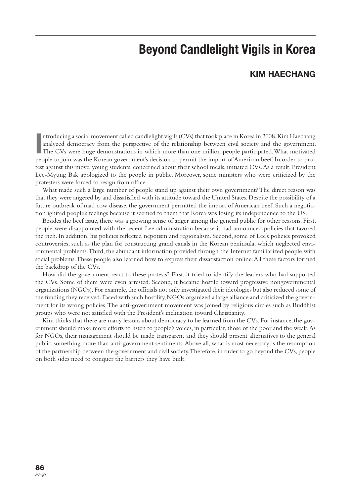## **Beyond Candlelight Vigils in Korea**

### **KIM HAECHANG**

**I** ntroducing a social movement called candlelight vigils (CVs) that took place in Korea in 2008, Kim Haechang analyzed democracy from the perspective of the relationship between civil society and the government. The CVs were huge demonstrations in which more than one million people participated. What motivated people to join was the Korean government's decision to permit the import of American beef. In order to protest against this move, young students, concerned about their school meals, initiated CVs. As a result, President Lee-Myung Bak apologized to the people in public. Moreover, some ministers who were criticized by the protesters were forced to resign from office.

What made such a large number of people stand up against their own government? The direct reason was that they were angered by and dissatisfied with its attitude toward the United States. Despite the possibility of a future outbreak of mad cow disease, the government permitted the import of American beef. Such a negotiation ignited people's feelings because it seemed to them that Korea was losing its independence to the US.

Besides the beef issue, there was a growing sense of anger among the general public for other reasons. First, people were disappointed with the recent Lee administration because it had announced policies that favored the rich. In addition, his policies reflected nepotism and regionalism. Second, some of Lee's policies provoked controversies, such as the plan for constructing grand canals in the Korean peninsula, which neglected environmental problems. Third, the abundant information provided through the Internet familiarized people with social problems. These people also learned how to express their dissatisfaction online. All these factors formed the backdrop of the CVs.

How did the government react to these protests? First, it tried to identify the leaders who had supported the CVs. Some of them were even arrested. Second, it became hostile toward progressive nongovernmental organizations (NGOs). For example, the officials not only investigated their ideologies but also reduced some of the funding they received. Faced with such hostility, NGOs organized a large alliance and criticized the government for its wrong policies. The anti-government movement was joined by religious circles such as Buddhist groups who were not satisfied with the President's inclination toward Christianity.

Kim thinks that there are many lessons about democracy to be learned from the CVs. For instance, the government should make more efforts to listen to people's voices, in particular, those of the poor and the weak. As for NGOs, their management should be made transparent and they should present alternatives to the general public, something more than anti-government sentiments. Above all, what is most necessary is the resumption of the partnership between the government and civil society. Therefore, in order to go beyond the CVs, people on both sides need to conquer the barriers they have built.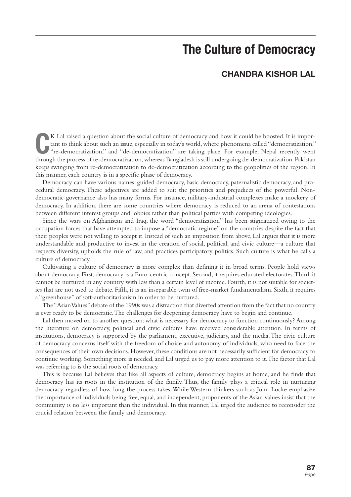## **The Culture of Democracy**

### **CHANDRA KISHOR LAL**

K Lal raised a question about the social culture of democracy and how it could be boosted. It is important to think about such an issue, especially in today's world, where phenomena called "democratization," "re-democratiz K Lal raised a question about the social culture of democracy and how it could be boosted. It is important to think about such an issue, especially in today's world, where phenomena called "democratization," "re-democratization," and "de-democratization" are taking place. For example, Nepal recently went keeps swinging from re-democratization to de-democratization according to the geopolitics of the region. In this manner, each country is in a specific phase of democracy.

Democracy can have various names: guided democracy, basic democracy, paternalistic democracy, and procedural democracy. These adjectives are added to suit the priorities and prejudices of the powerful. Nondemocratic governance also has many forms. For instance, military-industrial complexes make a mockery of democracy. In addition, there are some countries where democracy is reduced to an arena of contestations between different interest groups and lobbies rather than political parties with competing ideologies.

Since the wars on Afghanistan and Iraq, the word "democratization" has been stigmatized owing to the occupation forces that have attempted to impose a "democratic regime" on the countries despite the fact that their peoples were not willing to accept it. Instead of such an imposition from above, Lal argues that it is more understandable and productive to invest in the creation of social, political, and civic culture—a culture that respects diversity, upholds the rule of law, and practices participatory politics. Such culture is what he calls a culture of democracy.

Cultivating a culture of democracy is more complex than defining it in broad terms. People hold views about democracy. First, democracy is a Euro-centric concept. Second, it requires educated electorates. Third, it cannot be nurtured in any country with less than a certain level of income. Fourth, it is not suitable for societies that are not used to debate. Fifth, it is an inseparable twin of free-market fundamentalism. Sixth, it requires a "greenhouse" of soft-authoritarianism in order to be nurtured.

The "Asian Values" debate of the 1990s was a distraction that diverted attention from the fact that no country is ever ready to be democratic. The challenges for deepening democracy have to begin and continue.

Lal then moved on to another question: what is necessary for democracy to function continuously? Among the literature on democracy, political and civic cultures have received considerable attention. In terms of institutions, democracy is supported by the parliament, executive, judiciary, and the media. The civic culture of democracy concerns itself with the freedom of choice and autonomy of individuals, who need to face the consequences of their own decisions. However, these conditions are not necessarily sufficient for democracy to continue working. Something more is needed, and Lal urged us to pay more attention to it. The factor that Lal was referring to is the social roots of democracy.

This is because Lal believes that like all aspects of culture, democracy begins at home, and he finds that democracy has its roots in the institution of the family. Thus, the family plays a critical role in nurturing democracy regardless of how long the process takes. While Western thinkers such as John Locke emphasize the importance of individuals being free, equal, and independent, proponents of the Asian values insist that the community is no less important than the individual. In this manner, Lal urged the audience to reconsider the crucial relation between the family and democracy.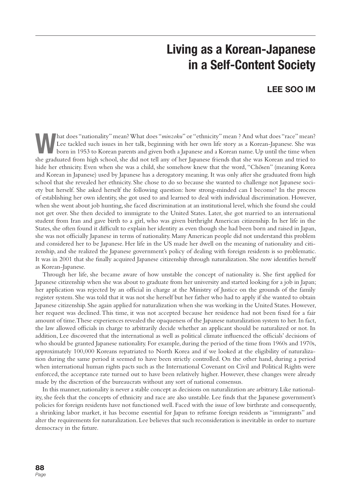# **Living as a Korean-Japanese in a Self-Content Society**

## **LEE SOO IM**

**What does "nationality" mean? What does "***minzoku***" or "ethnicity" mean ? And what does "race" mean?<br>
born in 1953 to Korean parents and given both a Japanese and a Korean name. Up until the time when<br>
also are during fro** Lee tackled such issues in her talk, beginning with her own life story as a Korean-Japanese. She was she graduated from high school, she did not tell any of her Japanese friends that she was Korean and tried to hide her ethnicity. Even when she was a child, she somehow knew that the word, "Chosen" (meaning Korea and Korean in Japanese) used by Japanese has a derogatory meaning. It was only after she graduated from high school that she revealed her ethnicity. She chose to do so because she wanted to challenge not Japanese society but herself. She asked herself the following question: how strong-minded can I become? In the process of establishing her own identity, she got used to and learned to deal with individual discrimination. However, when she went about job hunting, she faced discrimination at an institutional level, which she found she could not get over. She then decided to immigrate to the United States. Later, she got married to an international student from Iran and gave birth to a girl, who was given birthright American citizenship. In her life in the States, she often found it difficult to explain her identity as even though she had been born and raised in Japan, she was not officially Japanese in terms of nationality. Many American people did not understand this problem and considered her to be Japanese. Her life in the US made her dwell on the meaning of nationality and citizenship, and she realized the Japanese government's policy of dealing with foreign residents is so problematic. It was in 2001 that she finally acquired Japanese citizenship through naturalization. She now identifies herself as Korean-Japanese.

Through her life, she became aware of how unstable the concept of nationality is. She first applied for Japanese citizenship when she was about to graduate from her university and started looking for a job in Japan; her application was rejected by an official in charge at the Ministry of Justice on the grounds of the family register system. She was told that it was not she herself but her father who had to apply if she wanted to obtain Japanese citizenship. She again applied for naturalization when she was working in the United States. However, her request was declined. This time, it was not accepted because her residence had not been fixed for a fair amount of time. These experiences revealed the opaqueness of the Japanese naturalization system to her. In fact, the law allowed officials in charge to arbitrarily decide whether an applicant should be naturalized or not. In addition, Lee discovered that the international as well as political climate influenced the officials' decisions of who should be granted Japanese nationality. For example, during the period of the time from 1960s and 1970s, approximately 100,000 Koreans repatriated to North Korea and if we looked at the eligibility of naturalization during the same period it seemed to have been strictly controlled. On the other hand, during a period when international human rights pacts such as the International Covenant on Civil and Political Rights were enforced, the acceptance rate turned out to have been relatively higher. However, these changes were already made by the discretion of the bureaucrats without any sort of national consensus.

In this manner, nationality is never a stable concept as decisions on naturalization are arbitrary. Like nationality, she feels that the concepts of ethnicity and race are also unstable. Lee finds that the Japanese government's policies for foreign residents have not functioned well. Faced with the issue of low birthrate and consequently, a shrinking labor market, it has become essential for Japan to reframe foreign residents as "immigrants" and alter the requirements for naturalization. Lee believes that such reconsideration is inevitable in order to nurture democracy in the future.